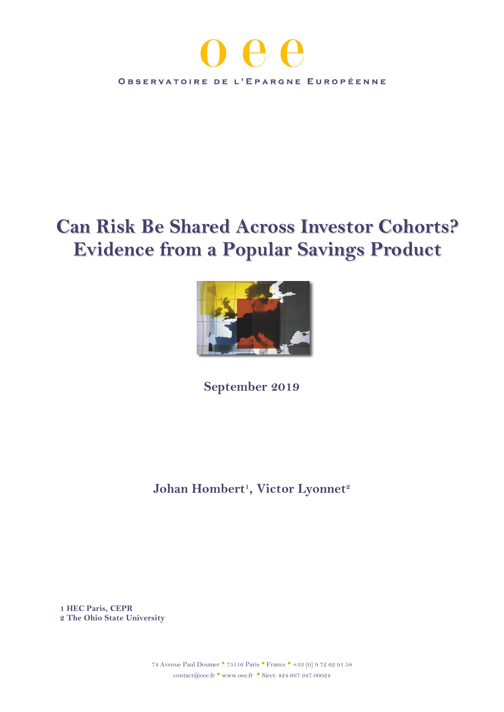

# **Can Risk Be Shared Across Investor Cohorts? Evidence from a Popular Savings Product**



**September 2019**

**Johan Hombert<sup>1</sup> , Victor Lyonnet<sup>2</sup>**

**1 HEC Paris, CEPR 2 The Ohio State University**

> <sup>74</sup> Avenue Paul Doumer • <sup>75116</sup> Paris • France • +33 (0) 9 72 62 91 58 contact@oee.fr • [www.oee.fr](http://www.oee.fr/) • Siret: 424 667 947 00024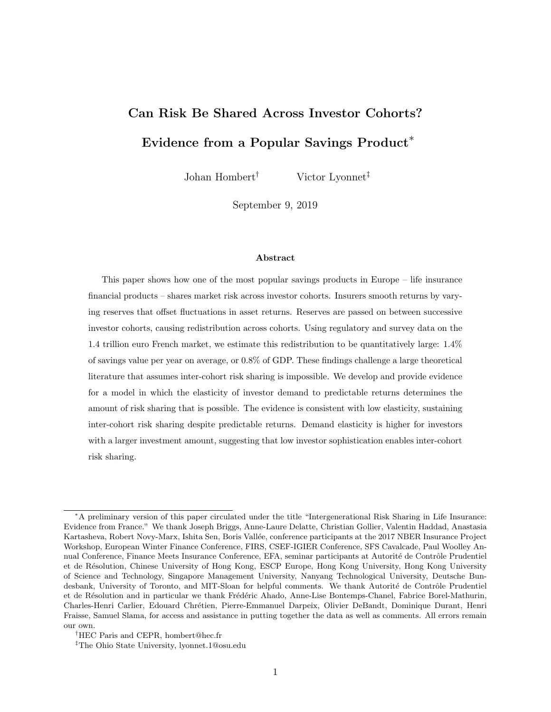# Can Risk Be Shared Across Investor Cohorts? Evidence from a Popular Savings Product<sup>∗</sup>

Johan Hombert† Victor Lyonnet‡

September 9, 2019

#### Abstract

This paper shows how one of the most popular savings products in Europe – life insurance financial products – shares market risk across investor cohorts. Insurers smooth returns by varying reserves that offset fluctuations in asset returns. Reserves are passed on between successive investor cohorts, causing redistribution across cohorts. Using regulatory and survey data on the 1.4 trillion euro French market, we estimate this redistribution to be quantitatively large: 1.4% of savings value per year on average, or 0.8% of GDP. These findings challenge a large theoretical literature that assumes inter-cohort risk sharing is impossible. We develop and provide evidence for a model in which the elasticity of investor demand to predictable returns determines the amount of risk sharing that is possible. The evidence is consistent with low elasticity, sustaining inter-cohort risk sharing despite predictable returns. Demand elasticity is higher for investors with a larger investment amount, suggesting that low investor sophistication enables inter-cohort risk sharing.

<sup>∗</sup>A preliminary version of this paper circulated under the title "Intergenerational Risk Sharing in Life Insurance: Evidence from France." We thank Joseph Briggs, Anne-Laure Delatte, Christian Gollier, Valentin Haddad, Anastasia Kartasheva, Robert Novy-Marx, Ishita Sen, Boris Vallée, conference participants at the 2017 NBER Insurance Project Workshop, European Winter Finance Conference, FIRS, CSEF-IGIER Conference, SFS Cavalcade, Paul Woolley Annual Conference, Finance Meets Insurance Conference, EFA, seminar participants at Autorité de Contrôle Prudentiel et de R´esolution, Chinese University of Hong Kong, ESCP Europe, Hong Kong University, Hong Kong University of Science and Technology, Singapore Management University, Nanyang Technological University, Deutsche Bundesbank, University of Toronto, and MIT-Sloan for helpful comments. We thank Autorité de Contrôle Prudentiel et de Résolution and in particular we thank Frédéric Ahado, Anne-Lise Bontemps-Chanel, Fabrice Borel-Mathurin, Charles-Henri Carlier, Edouard Chr´etien, Pierre-Emmanuel Darpeix, Olivier DeBandt, Dominique Durant, Henri Fraisse, Samuel Slama, for access and assistance in putting together the data as well as comments. All errors remain our own.

<sup>†</sup>HEC Paris and CEPR, hombert@hec.fr

<sup>‡</sup>The Ohio State University, lyonnet.1@osu.edu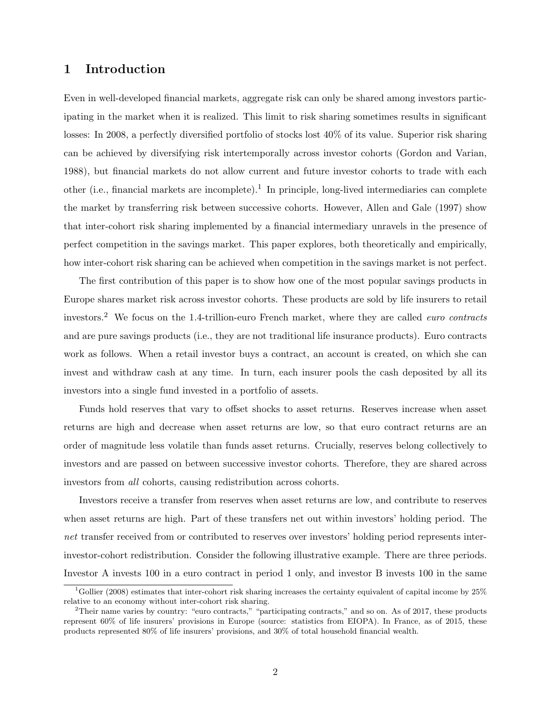# 1 Introduction

Even in well-developed financial markets, aggregate risk can only be shared among investors participating in the market when it is realized. This limit to risk sharing sometimes results in significant losses: In 2008, a perfectly diversified portfolio of stocks lost 40% of its value. Superior risk sharing can be achieved by diversifying risk intertemporally across investor cohorts [\(Gordon and Varian,](#page-35-0) [1988\)](#page-35-0), but financial markets do not allow current and future investor cohorts to trade with each other (i.e., financial markets are incomplete).<sup>[1](#page-3-1)</sup> In principle, long-lived intermediaries can complete the market by transferring risk between successive cohorts. However, [Allen and Gale](#page-35-2) [\(1997\)](#page-35-2) show that inter-cohort risk sharing implemented by a financial intermediary unravels in the presence of perfect competition in the savings market. This paper explores, both theoretically and empirically, how inter-cohort risk sharing can be achieved when competition in the savings market is not perfect.

The first contribution of this paper is to show how one of the most popular savings products in Europe shares market risk across investor cohorts. These products are sold by life insurers to retail investors.[2](#page-3-0) We focus on the 1.4-trillion-euro French market, where they are called euro contracts and are pure savings products (i.e., they are not traditional life insurance products). Euro contracts work as follows. When a retail investor buys a contract, an account is created, on which she can invest and withdraw cash at any time. In turn, each insurer pools the cash deposited by all its investors into a single fund invested in a portfolio of assets.

Funds hold reserves that vary to offset shocks to asset returns. Reserves increase when asset returns are high and decrease when asset returns are low, so that euro contract returns are an order of magnitude less volatile than funds asset returns. Crucially, reserves belong collectively to investors and are passed on between successive investor cohorts. Therefore, they are shared across investors from all cohorts, causing redistribution across cohorts.

Investors receive a transfer from reserves when asset returns are low, and contribute to reserves when asset returns are high. Part of these transfers net out within investors' holding period. The net transfer received from or contributed to reserves over investors' holding period represents interinvestor-cohort redistribution. Consider the following illustrative example. There are three periods. Investor A invests 100 in a euro contract in period 1 only, and investor B invests 100 in the same

<span id="page-3-1"></span><sup>1</sup>[Gollier](#page-35-1) [\(2008\)](#page-35-1) estimates that inter-cohort risk sharing increases the certainty equivalent of capital income by 25% relative to an economy without inter-cohort risk sharing.

<span id="page-3-0"></span><sup>&</sup>lt;sup>2</sup>Their name varies by country: "euro contracts," "participating contracts," and so on. As of 2017, these products represent 60% of life insurers' provisions in Europe (source: statistics from EIOPA). In France, as of 2015, these products represented 80% of life insurers' provisions, and 30% of total household financial wealth.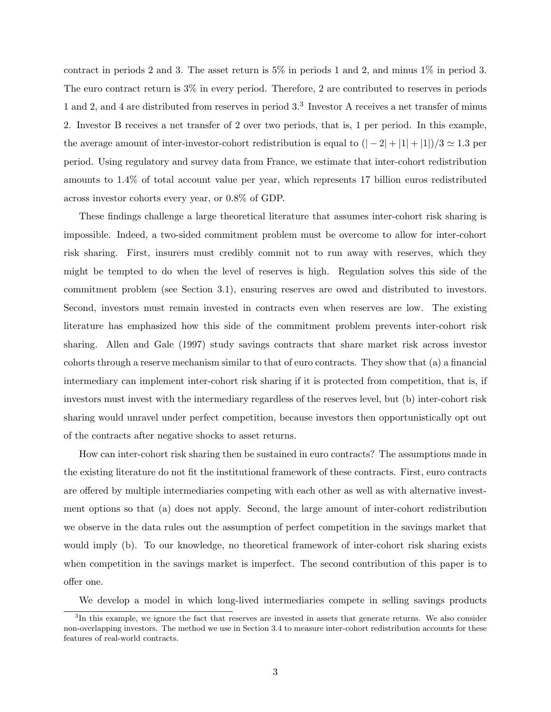contract in periods 2 and 3. The asset return is  $5\%$  in periods 1 and 2, and minus  $1\%$  in period 3. The euro contract return is 3% in every period. Therefore, 2 are contributed to reserves in periods 1 and 2, and 4 are distributed from reserves in period [3](#page-4-0).<sup>3</sup> Investor A receives a net transfer of minus 2. Investor B receives a net transfer of 2 over two periods, that is, 1 per period. In this example, the average amount of inter-investor-cohort redistribution is equal to  $(|-2|+|1|+|1|)/3 \simeq 1.3$  per period. Using regulatory and survey data from France, we estimate that inter-cohort redistribution amounts to 1.4% of total account value per year, which represents 17 billion euros redistributed across investor cohorts every year, or 0.8% of GDP.

These findings challenge a large theoretical literature that assumes inter-cohort risk sharing is impossible. Indeed, a two-sided commitment problem must be overcome to allow for inter-cohort risk sharing. First, insurers must credibly commit not to run away with reserves, which they might be tempted to do when the level of reserves is high. Regulation solves this side of the commitment problem (see Section [3.1\)](#page-17-0), ensuring reserves are owed and distributed to investors. Second, investors must remain invested in contracts even when reserves are low. The existing literature has emphasized how this side of the commitment problem prevents inter-cohort risk sharing. [Allen and Gale](#page-35-2) [\(1997\)](#page-35-2) study savings contracts that share market risk across investor cohorts through a reserve mechanism similar to that of euro contracts. They show that (a) a financial intermediary can implement inter-cohort risk sharing if it is protected from competition, that is, if investors must invest with the intermediary regardless of the reserves level, but (b) inter-cohort risk sharing would unravel under perfect competition, because investors then opportunistically opt out of the contracts after negative shocks to asset returns.

How can inter-cohort risk sharing then be sustained in euro contracts? The assumptions made in the existing literature do not fit the institutional framework of these contracts. First, euro contracts are offered by multiple intermediaries competing with each other as well as with alternative investment options so that (a) does not apply. Second, the large amount of inter-cohort redistribution we observe in the data rules out the assumption of perfect competition in the savings market that would imply (b). To our knowledge, no theoretical framework of inter-cohort risk sharing exists when competition in the savings market is imperfect. The second contribution of this paper is to offer one.

<span id="page-4-0"></span>We develop a model in which long-lived intermediaries compete in selling savings products

<sup>&</sup>lt;sup>3</sup>In this example, we ignore the fact that reserves are invested in assets that generate returns. We also consider non-overlapping investors. The method we use in Section [3.4](#page-21-0) to measure inter-cohort redistribution accounts for these features of real-world contracts.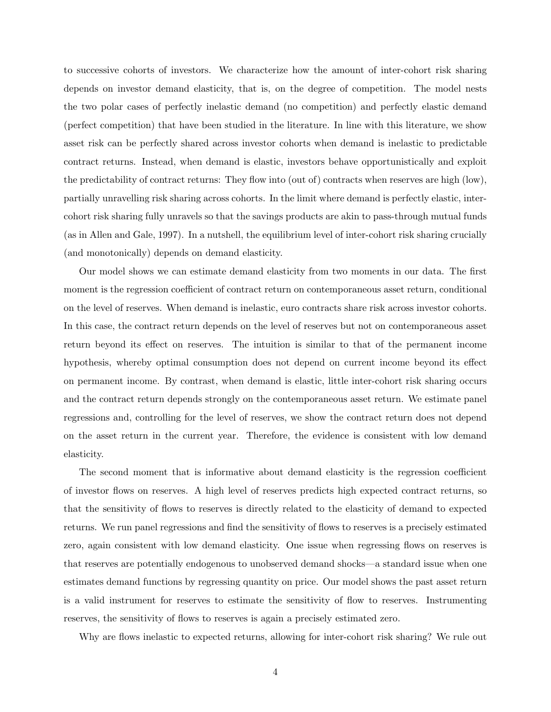to successive cohorts of investors. We characterize how the amount of inter-cohort risk sharing depends on investor demand elasticity, that is, on the degree of competition. The model nests the two polar cases of perfectly inelastic demand (no competition) and perfectly elastic demand (perfect competition) that have been studied in the literature. In line with this literature, we show asset risk can be perfectly shared across investor cohorts when demand is inelastic to predictable contract returns. Instead, when demand is elastic, investors behave opportunistically and exploit the predictability of contract returns: They flow into (out of) contracts when reserves are high (low), partially unravelling risk sharing across cohorts. In the limit where demand is perfectly elastic, intercohort risk sharing fully unravels so that the savings products are akin to pass-through mutual funds (as in [Allen and Gale, 1997\)](#page-35-2). In a nutshell, the equilibrium level of inter-cohort risk sharing crucially (and monotonically) depends on demand elasticity.

Our model shows we can estimate demand elasticity from two moments in our data. The first moment is the regression coefficient of contract return on contemporaneous asset return, conditional on the level of reserves. When demand is inelastic, euro contracts share risk across investor cohorts. In this case, the contract return depends on the level of reserves but not on contemporaneous asset return beyond its effect on reserves. The intuition is similar to that of the permanent income hypothesis, whereby optimal consumption does not depend on current income beyond its effect on permanent income. By contrast, when demand is elastic, little inter-cohort risk sharing occurs and the contract return depends strongly on the contemporaneous asset return. We estimate panel regressions and, controlling for the level of reserves, we show the contract return does not depend on the asset return in the current year. Therefore, the evidence is consistent with low demand elasticity.

The second moment that is informative about demand elasticity is the regression coefficient of investor flows on reserves. A high level of reserves predicts high expected contract returns, so that the sensitivity of flows to reserves is directly related to the elasticity of demand to expected returns. We run panel regressions and find the sensitivity of flows to reserves is a precisely estimated zero, again consistent with low demand elasticity. One issue when regressing flows on reserves is that reserves are potentially endogenous to unobserved demand shocks—a standard issue when one estimates demand functions by regressing quantity on price. Our model shows the past asset return is a valid instrument for reserves to estimate the sensitivity of flow to reserves. Instrumenting reserves, the sensitivity of flows to reserves is again a precisely estimated zero.

Why are flows inelastic to expected returns, allowing for inter-cohort risk sharing? We rule out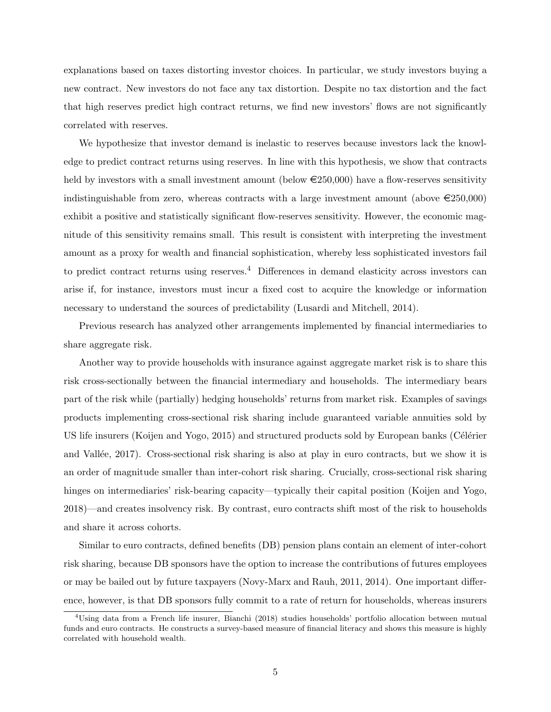explanations based on taxes distorting investor choices. In particular, we study investors buying a new contract. New investors do not face any tax distortion. Despite no tax distortion and the fact that high reserves predict high contract returns, we find new investors' flows are not significantly correlated with reserves.

We hypothesize that investor demand is inelastic to reserves because investors lack the knowledge to predict contract returns using reserves. In line with this hypothesis, we show that contracts held by investors with a small investment amount (below  $\epsilon$ 250,000) have a flow-reserves sensitivity indistinguishable from zero, whereas contracts with a large investment amount (above  $\epsilon$ 250,000) exhibit a positive and statistically significant flow-reserves sensitivity. However, the economic magnitude of this sensitivity remains small. This result is consistent with interpreting the investment amount as a proxy for wealth and financial sophistication, whereby less sophisticated investors fail to predict contract returns using reserves.<sup>[4](#page-6-0)</sup> Differences in demand elasticity across investors can arise if, for instance, investors must incur a fixed cost to acquire the knowledge or information necessary to understand the sources of predictability [\(Lusardi and Mitchell, 2014\)](#page-36-3).

Previous research has analyzed other arrangements implemented by financial intermediaries to share aggregate risk.

Another way to provide households with insurance against aggregate market risk is to share this risk cross-sectionally between the financial intermediary and households. The intermediary bears part of the risk while (partially) hedging households' returns from market risk. Examples of savings products implementing cross-sectional risk sharing include guaranteed variable annuities sold by US life insurers [\(Koijen and Yogo, 2015\)](#page-36-0) and structured products sold by European banks (Célérier and Vallée, 2017). Cross-sectional risk sharing is also at play in euro contracts, but we show it is an order of magnitude smaller than inter-cohort risk sharing. Crucially, cross-sectional risk sharing hinges on intermediaries' risk-bearing capacity—typically their capital position [\(Koijen and Yogo,](#page-36-1) [2018\)](#page-36-1)—and creates insolvency risk. By contrast, euro contracts shift most of the risk to households and share it across cohorts.

Similar to euro contracts, defined benefits (DB) pension plans contain an element of inter-cohort risk sharing, because DB sponsors have the option to increase the contributions of futures employees or may be bailed out by future taxpayers [\(Novy-Marx and Rauh, 2011,](#page-36-4) [2014\)](#page-36-2). One important difference, however, is that DB sponsors fully commit to a rate of return for households, whereas insurers

<span id="page-6-0"></span><sup>4</sup>Using data from a French life insurer, [Bianchi](#page-35-3) [\(2018\)](#page-35-3) studies households' portfolio allocation between mutual funds and euro contracts. He constructs a survey-based measure of financial literacy and shows this measure is highly correlated with household wealth.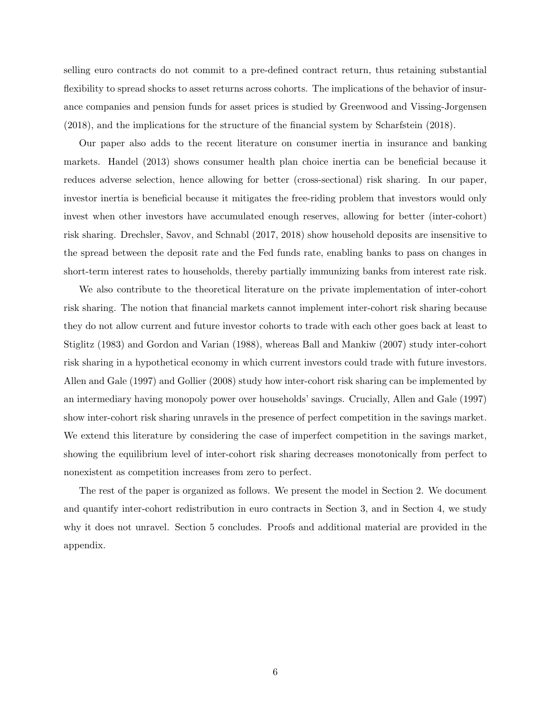selling euro contracts do not commit to a pre-defined contract return, thus retaining substantial flexibility to spread shocks to asset returns across cohorts. The implications of the behavior of insurance companies and pension funds for asset prices is studied by [Greenwood and Vissing-Jorgensen](#page-35-8) [\(2018\)](#page-35-8), and the implications for the structure of the financial system by [Scharfstein](#page-36-5) [\(2018\)](#page-36-5).

Our paper also adds to the recent literature on consumer inertia in insurance and banking markets. [Handel](#page-36-6) [\(2013\)](#page-36-6) shows consumer health plan choice inertia can be beneficial because it reduces adverse selection, hence allowing for better (cross-sectional) risk sharing. In our paper, investor inertia is beneficial because it mitigates the free-riding problem that investors would only invest when other investors have accumulated enough reserves, allowing for better (inter-cohort) risk sharing. [Drechsler, Savov, and Schnabl](#page-35-6) [\(2017,](#page-35-6) [2018\)](#page-35-5) show household deposits are insensitive to the spread between the deposit rate and the Fed funds rate, enabling banks to pass on changes in short-term interest rates to households, thereby partially immunizing banks from interest rate risk.

We also contribute to the theoretical literature on the private implementation of inter-cohort risk sharing. The notion that financial markets cannot implement inter-cohort risk sharing because they do not allow current and future investor cohorts to trade with each other goes back at least to [Stiglitz](#page-36-7) [\(1983\)](#page-36-7) and [Gordon and Varian](#page-35-0) [\(1988\)](#page-35-0), whereas [Ball and Mankiw](#page-35-7) [\(2007\)](#page-35-7) study inter-cohort risk sharing in a hypothetical economy in which current investors could trade with future investors. [Allen and Gale](#page-35-2) [\(1997\)](#page-35-2) and [Gollier](#page-35-1) [\(2008\)](#page-35-1) study how inter-cohort risk sharing can be implemented by an intermediary having monopoly power over households' savings. Crucially, [Allen and Gale](#page-35-2) [\(1997\)](#page-35-2) show inter-cohort risk sharing unravels in the presence of perfect competition in the savings market. We extend this literature by considering the case of imperfect competition in the savings market, showing the equilibrium level of inter-cohort risk sharing decreases monotonically from perfect to nonexistent as competition increases from zero to perfect.

The rest of the paper is organized as follows. We present the model in Section [2.](#page-8-0) We document and quantify inter-cohort redistribution in euro contracts in Section [3,](#page-16-0) and in Section [4,](#page-24-0) we study why it does not unravel. Section [5](#page-34-0) concludes. Proofs and additional material are provided in the appendix.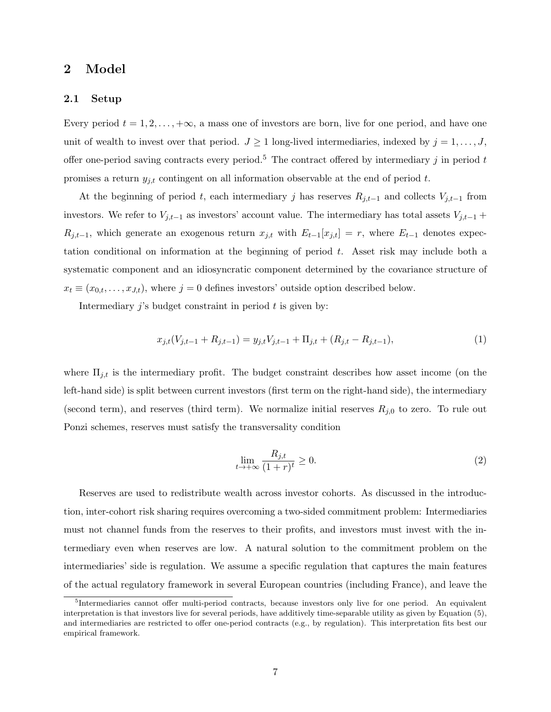### <span id="page-8-0"></span>2 Model

### 2.1 Setup

Every period  $t = 1, 2, \ldots, +\infty$ , a mass one of investors are born, live for one period, and have one unit of wealth to invest over that period.  $J \geq 1$  long-lived intermediaries, indexed by  $j = 1, \ldots, J$ , offer one-period saving contracts every period.<sup>[5](#page-8-1)</sup> The contract offered by intermediary j in period t promises a return  $y_{j,t}$  contingent on all information observable at the end of period t.

At the beginning of period t, each intermediary j has reserves  $R_{j,t-1}$  and collects  $V_{j,t-1}$  from investors. We refer to  $V_{j,t-1}$  as investors' account value. The intermediary has total assets  $V_{j,t-1}$  +  $R_{j,t-1}$ , which generate an exogenous return  $x_{j,t}$  with  $E_{t-1}[x_{j,t}] = r$ , where  $E_{t-1}$  denotes expectation conditional on information at the beginning of period  $t$ . Asset risk may include both a systematic component and an idiosyncratic component determined by the covariance structure of  $x_t \equiv (x_{0,t}, \ldots, x_{J,t})$ , where  $j = 0$  defines investors' outside option described below.

Intermediary  $j$ 's budget constraint in period  $t$  is given by:

<span id="page-8-2"></span>
$$
x_{j,t}(V_{j,t-1} + R_{j,t-1}) = y_{j,t}V_{j,t-1} + \Pi_{j,t} + (R_{j,t} - R_{j,t-1}),
$$
\n(1)

where  $\Pi_{j,t}$  is the intermediary profit. The budget constraint describes how asset income (on the left-hand side) is split between current investors (first term on the right-hand side), the intermediary (second term), and reserves (third term). We normalize initial reserves  $R_{j,0}$  to zero. To rule out Ponzi schemes, reserves must satisfy the transversality condition

<span id="page-8-3"></span>
$$
\lim_{t \to +\infty} \frac{R_{j,t}}{(1+r)^t} \ge 0.
$$
\n<sup>(2)</sup>

Reserves are used to redistribute wealth across investor cohorts. As discussed in the introduction, inter-cohort risk sharing requires overcoming a two-sided commitment problem: Intermediaries must not channel funds from the reserves to their profits, and investors must invest with the intermediary even when reserves are low. A natural solution to the commitment problem on the intermediaries' side is regulation. We assume a specific regulation that captures the main features of the actual regulatory framework in several European countries (including France), and leave the

<span id="page-8-1"></span><sup>&</sup>lt;sup>5</sup>Intermediaries cannot offer multi-period contracts, because investors only live for one period. An equivalent interpretation is that investors live for several periods, have additively time-separable utility as given by Equation [\(5\)](#page-9-0), and intermediaries are restricted to offer one-period contracts (e.g., by regulation). This interpretation fits best our empirical framework.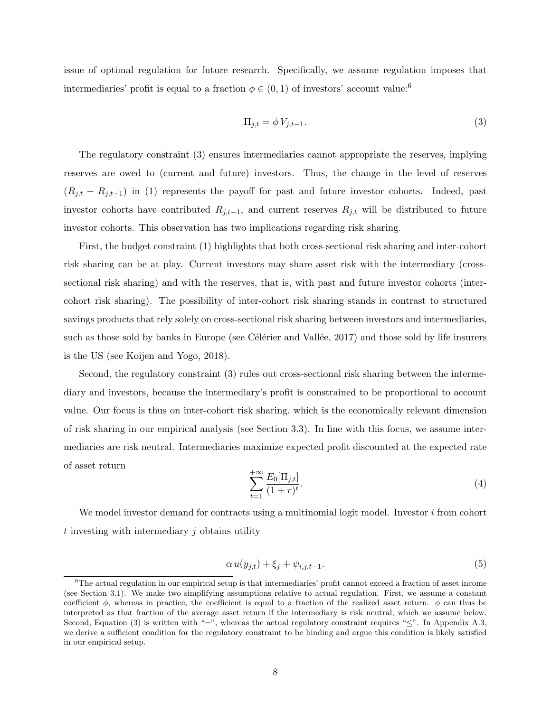issue of optimal regulation for future research. Specifically, we assume regulation imposes that intermediaries' profit is equal to a fraction  $\phi \in (0,1)$  of investors' account value:<sup>[6](#page-9-2)</sup>

<span id="page-9-1"></span>
$$
\Pi_{j,t} = \phi V_{j,t-1}.\tag{3}
$$

The regulatory constraint [\(3\)](#page-9-1) ensures intermediaries cannot appropriate the reserves, implying reserves are owed to (current and future) investors. Thus, the change in the level of reserves  $(R_{j,t} - R_{j,t-1})$  in [\(1\)](#page-8-2) represents the payoff for past and future investor cohorts. Indeed, past investor cohorts have contributed  $R_{j,t-1}$ , and current reserves  $R_{j,t}$  will be distributed to future investor cohorts. This observation has two implications regarding risk sharing.

First, the budget constraint [\(1\)](#page-8-2) highlights that both cross-sectional risk sharing and inter-cohort risk sharing can be at play. Current investors may share asset risk with the intermediary (crosssectional risk sharing) and with the reserves, that is, with past and future investor cohorts (intercohort risk sharing). The possibility of inter-cohort risk sharing stands in contrast to structured savings products that rely solely on cross-sectional risk sharing between investors and intermediaries, such as those sold by banks in Europe (see Célérier and Vallée, 2017) and those sold by life insurers is the US (see [Koijen and Yogo, 2018\)](#page-36-1).

Second, the regulatory constraint [\(3\)](#page-9-1) rules out cross-sectional risk sharing between the intermediary and investors, because the intermediary's profit is constrained to be proportional to account value. Our focus is thus on inter-cohort risk sharing, which is the economically relevant dimension of risk sharing in our empirical analysis (see Section [3.3\)](#page-21-1). In line with this focus, we assume intermediaries are risk neutral. Intermediaries maximize expected profit discounted at the expected rate of asset return

<span id="page-9-3"></span>
$$
\sum_{t=1}^{+\infty} \frac{E_0[\Pi_{j,t}]}{(1+r)^t}.
$$
\n(4)

We model investor demand for contracts using a multinomial logit model. Investor  $i$  from cohort  $t$  investing with intermediary  $j$  obtains utility

<span id="page-9-0"></span>
$$
\alpha u(y_{j,t}) + \xi_j + \psi_{i,j,t-1}.\tag{5}
$$

<span id="page-9-2"></span> ${}^{6}$ The actual regulation in our empirical setup is that intermediaries' profit cannot exceed a fraction of asset income (see Section [3.1\)](#page-17-0). We make two simplifying assumptions relative to actual regulation. First, we assume a constant coefficient  $\phi$ , whereas in practice, the coefficient is equal to a fraction of the realized asset return.  $\phi$  can thus be interpreted as that fraction of the average asset return if the intermediary is risk neutral, which we assume below. Second, Equation [\(3\)](#page-9-1) is written with "=", whereas the actual regulatory constraint requires " $\leq$ ". In Appendix [A.3,](#page-54-0) we derive a sufficient condition for the regulatory constraint to be binding and argue this condition is likely satisfied in our empirical setup.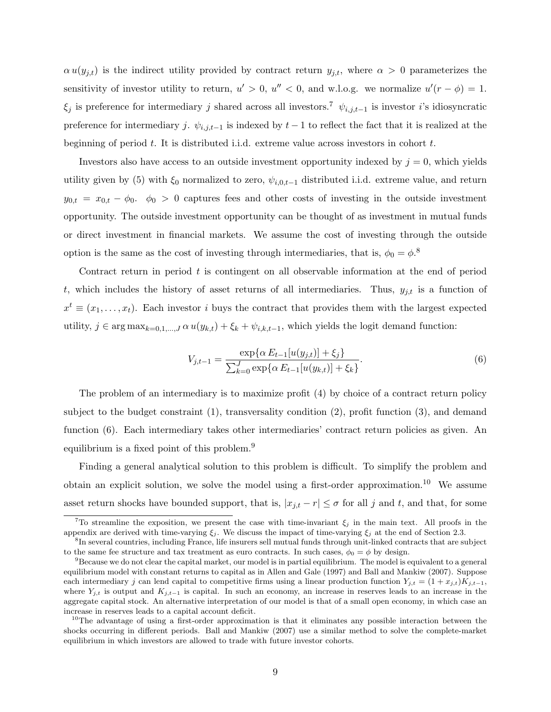$\alpha u(y_{j,t})$  is the indirect utility provided by contract return  $y_{j,t}$ , where  $\alpha > 0$  parameterizes the sensitivity of investor utility to return,  $u' > 0$ ,  $u'' < 0$ , and w.l.o.g. we normalize  $u'(r - \phi) = 1$ .  $\xi_j$  is preference for intermediary j shared across all investors.<sup>[7](#page-10-1)</sup>  $\psi_{i,j,t-1}$  is investor i's idiosyncratic preference for intermediary j.  $\psi_{i,j,t-1}$  is indexed by  $t-1$  to reflect the fact that it is realized at the beginning of period  $t$ . It is distributed i.i.d. extreme value across investors in cohort  $t$ .

Investors also have access to an outside investment opportunity indexed by  $j = 0$ , which yields utility given by [\(5\)](#page-9-0) with  $\xi_0$  normalized to zero,  $\psi_{i,0,t-1}$  distributed i.i.d. extreme value, and return  $y_{0,t} = x_{0,t} - \phi_0$ .  $\phi_0 > 0$  captures fees and other costs of investing in the outside investment opportunity. The outside investment opportunity can be thought of as investment in mutual funds or direct investment in financial markets. We assume the cost of investing through the outside option is the same as the cost of investing through intermediaries, that is,  $\phi_0 = \phi$ .<sup>[8](#page-10-3)</sup>

Contract return in period t is contingent on all observable information at the end of period t, which includes the history of asset returns of all intermediaries. Thus,  $y_{j,t}$  is a function of  $x^t \equiv (x_1, \ldots, x_t)$ . Each investor i buys the contract that provides them with the largest expected utility,  $j \in \arg \max_{k=0,1,\dots,J} \alpha u(y_{k,t}) + \xi_k + \psi_{i,k,t-1}$ , which yields the logit demand function:

<span id="page-10-4"></span>
$$
V_{j,t-1} = \frac{\exp\{\alpha E_{t-1}[u(y_{j,t})] + \xi_j\}}{\sum_{k=0}^{J} \exp\{\alpha E_{t-1}[u(y_{k,t})] + \xi_k\}}.
$$
\n(6)

The problem of an intermediary is to maximize profit [\(4\)](#page-9-3) by choice of a contract return policy subject to the budget constraint [\(1\)](#page-8-2), transversality condition [\(2\)](#page-8-3), profit function [\(3\)](#page-9-1), and demand function [\(6\)](#page-10-4). Each intermediary takes other intermediaries' contract return policies as given. An equilibrium is a fixed point of this problem.[9](#page-10-0)

Finding a general analytical solution to this problem is difficult. To simplify the problem and obtain an explicit solution, we solve the model using a first-order approximation.<sup>[10](#page-10-2)</sup> We assume asset return shocks have bounded support, that is,  $|x_{j,t} - r| \leq \sigma$  for all j and t, and that, for some

<span id="page-10-1"></span><sup>&</sup>lt;sup>7</sup>To streamline the exposition, we present the case with time-invariant  $\xi_j$  in the main text. All proofs in the appendix are derived with time-varying  $\xi_j$ . We discuss the impact of time-varying  $\xi_j$  at the end of Section [2.3.](#page-13-0)

<span id="page-10-3"></span><sup>&</sup>lt;sup>8</sup>In several countries, including France, life insurers sell mutual funds through unit-linked contracts that are subject to the same fee structure and tax treatment as euro contracts. In such cases,  $\phi_0 = \phi$  by design.

<span id="page-10-0"></span> $9B$ ecause we do not clear the capital market, our model is in partial equilibrium. The model is equivalent to a general equilibrium model with constant returns to capital as in [Allen and Gale](#page-35-2) [\(1997\)](#page-35-2) and [Ball and Mankiw](#page-35-7) [\(2007\)](#page-35-7). Suppose each intermediary j can lend capital to competitive firms using a linear production function  $Y_{j,t} = (1 + x_{j,t})K_{j,t-1}$ , where  $Y_{j,t}$  is output and  $K_{j,t-1}$  is capital. In such an economy, an increase in reserves leads to an increase in the aggregate capital stock. An alternative interpretation of our model is that of a small open economy, in which case an increase in reserves leads to a capital account deficit.

<span id="page-10-2"></span><sup>&</sup>lt;sup>10</sup>The advantage of using a first-order approximation is that it eliminates any possible interaction between the shocks occurring in different periods. [Ball and Mankiw](#page-35-7) [\(2007\)](#page-35-7) use a similar method to solve the complete-market equilibrium in which investors are allowed to trade with future investor cohorts.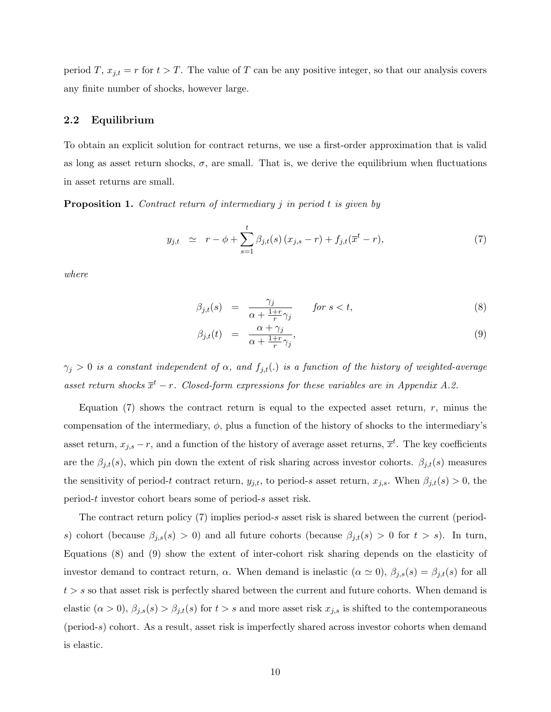period T,  $x_{j,t} = r$  for  $t > T$ . The value of T can be any positive integer, so that our analysis covers any finite number of shocks, however large.

### 2.2 Equilibrium

To obtain an explicit solution for contract returns, we use a first-order approximation that is valid as long as asset return shocks,  $\sigma$ , are small. That is, we derive the equilibrium when fluctuations in asset returns are small.

<span id="page-11-2"></span>**Proposition 1.** Contract return of intermediary j in period t is given by

<span id="page-11-0"></span>
$$
y_{j,t} \simeq r - \phi + \sum_{s=1}^{t} \beta_{j,t}(s) (x_{j,s} - r) + f_{j,t}(\overline{x}^t - r), \tag{7}
$$

where

<span id="page-11-1"></span>
$$
\beta_{j,t}(s) = \frac{\gamma_j}{\alpha + \frac{1+r}{r}\gamma_j} \qquad \text{for } s < t,\tag{8}
$$

$$
\beta_{j,t}(t) = \frac{\alpha + \gamma_j}{\alpha + \frac{1+r}{r}\gamma_j},\tag{9}
$$

 $\gamma_j > 0$  is a constant independent of  $\alpha$ , and  $f_{j,t}(.)$  is a function of the history of weighted-average asset return shocks  $\overline{x}^t$  - r. Closed-form expressions for these variables are in Appendix [A.2.](#page-49-0)

Equation  $(7)$  shows the contract return is equal to the expected asset return, r, minus the compensation of the intermediary,  $\phi$ , plus a function of the history of shocks to the intermediary's asset return,  $x_{j,s} - r$ , and a function of the history of average asset returns,  $\bar{x}^t$ . The key coefficients are the  $\beta_{j,t}(s)$ , which pin down the extent of risk sharing across investor cohorts.  $\beta_{j,t}(s)$  measures the sensitivity of period-t contract return,  $y_{j,t}$ , to period-s asset return,  $x_{j,s}$ . When  $\beta_{j,t}(s) > 0$ , the period-t investor cohort bears some of period-s asset risk.

The contract return policy  $(7)$  implies period-s asset risk is shared between the current (periods) cohort (because  $\beta_{j,s}(s) > 0$ ) and all future cohorts (because  $\beta_{j,t}(s) > 0$  for  $t > s$ ). In turn, Equations [\(8\)](#page-11-1) and [\(9\)](#page-11-1) show the extent of inter-cohort risk sharing depends on the elasticity of investor demand to contract return,  $\alpha$ . When demand is inelastic  $(\alpha \simeq 0)$ ,  $\beta_{j,s}(s) = \beta_{j,t}(s)$  for all  $t > s$  so that asset risk is perfectly shared between the current and future cohorts. When demand is elastic  $(\alpha > 0)$ ,  $\beta_{j,s}(s) > \beta_{j,t}(s)$  for  $t > s$  and more asset risk  $x_{j,s}$  is shifted to the contemporaneous (period-s) cohort. As a result, asset risk is imperfectly shared across investor cohorts when demand is elastic.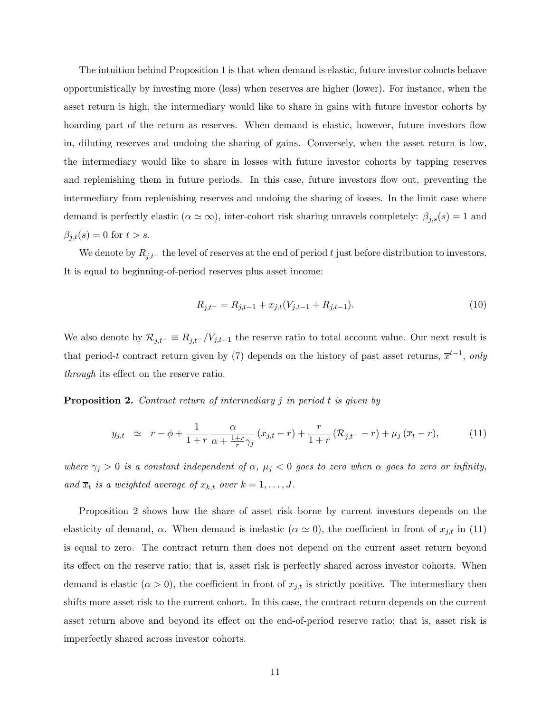The intuition behind Proposition [1](#page-11-2) is that when demand is elastic, future investor cohorts behave opportunistically by investing more (less) when reserves are higher (lower). For instance, when the asset return is high, the intermediary would like to share in gains with future investor cohorts by hoarding part of the return as reserves. When demand is elastic, however, future investors flow in, diluting reserves and undoing the sharing of gains. Conversely, when the asset return is low, the intermediary would like to share in losses with future investor cohorts by tapping reserves and replenishing them in future periods. In this case, future investors flow out, preventing the intermediary from replenishing reserves and undoing the sharing of losses. In the limit case where demand is perfectly elastic ( $\alpha \simeq \infty$ ), inter-cohort risk sharing unravels completely:  $\beta_{j,s}(s) = 1$  and  $\beta_{j,t}(s) = 0$  for  $t > s$ .

We denote by  $R_{j,t-}$  the level of reserves at the end of period t just before distribution to investors. It is equal to beginning-of-period reserves plus asset income:

<span id="page-12-2"></span>
$$
R_{j,t^{-}} = R_{j,t-1} + x_{j,t}(V_{j,t-1} + R_{j,t-1}).
$$
\n(10)

We also denote by  $\mathcal{R}_{j,t^-} \equiv R_{j,t^-}/V_{j,t-1}$  the reserve ratio to total account value. Our next result is that period-t contract return given by [\(7\)](#page-11-0) depends on the history of past asset returns,  $\bar{x}^{t-1}$ , only through its effect on the reserve ratio.

<span id="page-12-0"></span>**Proposition 2.** Contract return of intermediary j in period t is given by

<span id="page-12-1"></span>
$$
y_{j,t} \simeq r - \phi + \frac{1}{1+r} \frac{\alpha}{\alpha + \frac{1+r}{r} \gamma_j} (x_{j,t} - r) + \frac{r}{1+r} (\mathcal{R}_{j,t} - r) + \mu_j (\overline{x}_{t} - r), \tag{11}
$$

where  $\gamma_j > 0$  is a constant independent of  $\alpha$ ,  $\mu_j < 0$  goes to zero when  $\alpha$  goes to zero or infinity, and  $\overline{x}_t$  is a weighted average of  $x_{k,t}$  over  $k = 1, \ldots, J$ .

Proposition [2](#page-12-0) shows how the share of asset risk borne by current investors depends on the elasticity of demand,  $\alpha$ . When demand is inelastic ( $\alpha \simeq 0$ ), the coefficient in front of  $x_{j,t}$  in [\(11\)](#page-12-1) is equal to zero. The contract return then does not depend on the current asset return beyond its effect on the reserve ratio; that is, asset risk is perfectly shared across investor cohorts. When demand is elastic  $(\alpha > 0)$ , the coefficient in front of  $x_{j,t}$  is strictly positive. The intermediary then shifts more asset risk to the current cohort. In this case, the contract return depends on the current asset return above and beyond its effect on the end-of-period reserve ratio; that is, asset risk is imperfectly shared across investor cohorts.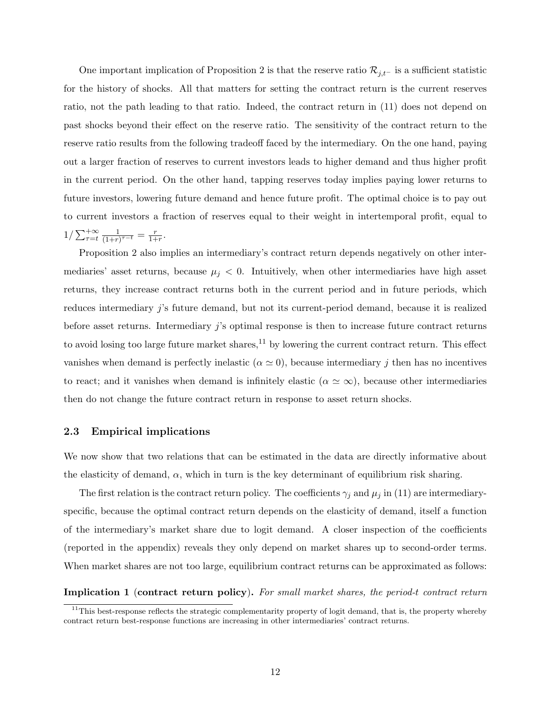One important implication of Proposition [2](#page-12-0) is that the reserve ratio  $\mathcal{R}_{j,t-}$  is a sufficient statistic for the history of shocks. All that matters for setting the contract return is the current reserves ratio, not the path leading to that ratio. Indeed, the contract return in [\(11\)](#page-12-1) does not depend on past shocks beyond their effect on the reserve ratio. The sensitivity of the contract return to the reserve ratio results from the following tradeoff faced by the intermediary. On the one hand, paying out a larger fraction of reserves to current investors leads to higher demand and thus higher profit in the current period. On the other hand, tapping reserves today implies paying lower returns to future investors, lowering future demand and hence future profit. The optimal choice is to pay out to current investors a fraction of reserves equal to their weight in intertemporal profit, equal to  $1/\sum_{\tau=t}^{+\infty} \frac{1}{(1+r)}$  $\frac{1}{(1+r)^{\tau-t}} = \frac{r}{1+r}$  $\frac{r}{1+r}$ .

Proposition [2](#page-12-0) also implies an intermediary's contract return depends negatively on other intermediaries' asset returns, because  $\mu_j < 0$ . Intuitively, when other intermediaries have high asset returns, they increase contract returns both in the current period and in future periods, which reduces intermediary j's future demand, but not its current-period demand, because it is realized before asset returns. Intermediary j's optimal response is then to increase future contract returns to avoid losing too large future market shares, $^{11}$  $^{11}$  $^{11}$  by lowering the current contract return. This effect vanishes when demand is perfectly inelastic ( $\alpha \simeq 0$ ), because intermediary j then has no incentives to react; and it vanishes when demand is infinitely elastic ( $\alpha \simeq \infty$ ), because other intermediaries then do not change the future contract return in response to asset return shocks.

### <span id="page-13-0"></span>2.3 Empirical implications

We now show that two relations that can be estimated in the data are directly informative about the elasticity of demand,  $\alpha$ , which in turn is the key determinant of equilibrium risk sharing.

The first relation is the contract return policy. The coefficients  $\gamma_j$  and  $\mu_j$  in [\(11\)](#page-12-1) are intermediaryspecific, because the optimal contract return depends on the elasticity of demand, itself a function of the intermediary's market share due to logit demand. A closer inspection of the coefficients (reported in the appendix) reveals they only depend on market shares up to second-order terms. When market shares are not too large, equilibrium contract returns can be approximated as follows:

<span id="page-13-2"></span>Implication 1 (contract return policy). For small market shares, the period-t contract return

<span id="page-13-1"></span> $\frac{11}{11}$ This best-response reflects the strategic complementarity property of logit demand, that is, the property whereby contract return best-response functions are increasing in other intermediaries' contract returns.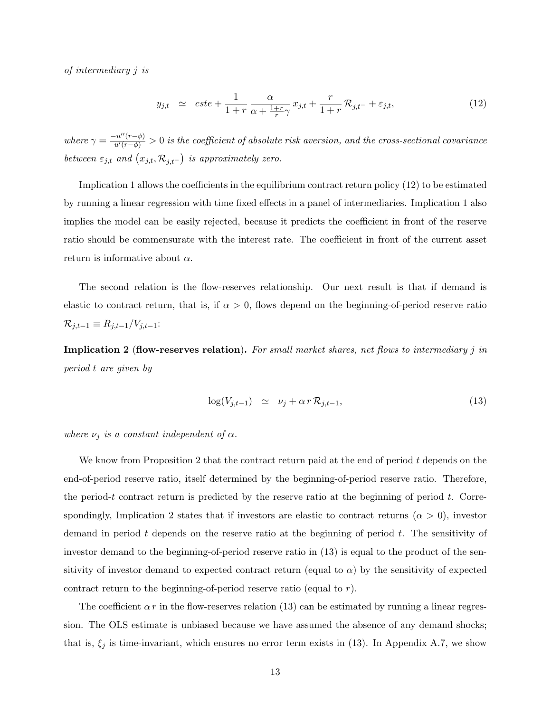of intermediary j is

<span id="page-14-1"></span>
$$
y_{j,t} \simeq \ cste + \frac{1}{1+r} \frac{\alpha}{\alpha + \frac{1+r}{r}\gamma} x_{j,t} + \frac{r}{1+r} \mathcal{R}_{j,t-} + \varepsilon_{j,t}, \tag{12}
$$

where  $\gamma = \frac{-u''(r-\phi)}{u'(r-\phi)} > 0$  is the coefficient of absolute risk aversion, and the cross-sectional covariance between  $\varepsilon_{j,t}$  and  $(x_{j,t}, \mathcal{R}_{j,t-})$  is approximately zero.

Implication [1](#page-13-2) allows the coefficients in the equilibrium contract return policy [\(12\)](#page-14-1) to be estimated by running a linear regression with time fixed effects in a panel of intermediaries. Implication [1](#page-13-2) also implies the model can be easily rejected, because it predicts the coefficient in front of the reserve ratio should be commensurate with the interest rate. The coefficient in front of the current asset return is informative about  $\alpha$ .

The second relation is the flow-reserves relationship. Our next result is that if demand is elastic to contract return, that is, if  $\alpha > 0$ , flows depend on the beginning-of-period reserve ratio  $\mathcal{R}_{j,t-1} \equiv R_{j,t-1}/V_{j,t-1}$ :

<span id="page-14-2"></span>**Implication 2** (flow-reserves relation). For small market shares, net flows to intermediary j in period t are given by

<span id="page-14-0"></span>
$$
\log(V_{j,t-1}) \simeq \nu_j + \alpha \, r \, \mathcal{R}_{j,t-1},\tag{13}
$$

where  $\nu_j$  is a constant independent of  $\alpha$ .

We know from Proposition [2](#page-12-0) that the contract return paid at the end of period  $t$  depends on the end-of-period reserve ratio, itself determined by the beginning-of-period reserve ratio. Therefore, the period-t contract return is predicted by the reserve ratio at the beginning of period t. Corre-spondingly, Implication [2](#page-14-2) states that if investors are elastic to contract returns ( $\alpha > 0$ ), investor demand in period  $t$  depends on the reserve ratio at the beginning of period  $t$ . The sensitivity of investor demand to the beginning-of-period reserve ratio in [\(13\)](#page-14-0) is equal to the product of the sensitivity of investor demand to expected contract return (equal to  $\alpha$ ) by the sensitivity of expected contract return to the beginning-of-period reserve ratio (equal to  $r$ ).

The coefficient  $\alpha r$  in the flow-reserves relation [\(13\)](#page-14-0) can be estimated by running a linear regression. The OLS estimate is unbiased because we have assumed the absence of any demand shocks; that is,  $\xi_j$  is time-invariant, which ensures no error term exists in [\(13\)](#page-14-0). In Appendix [A.7,](#page-58-0) we show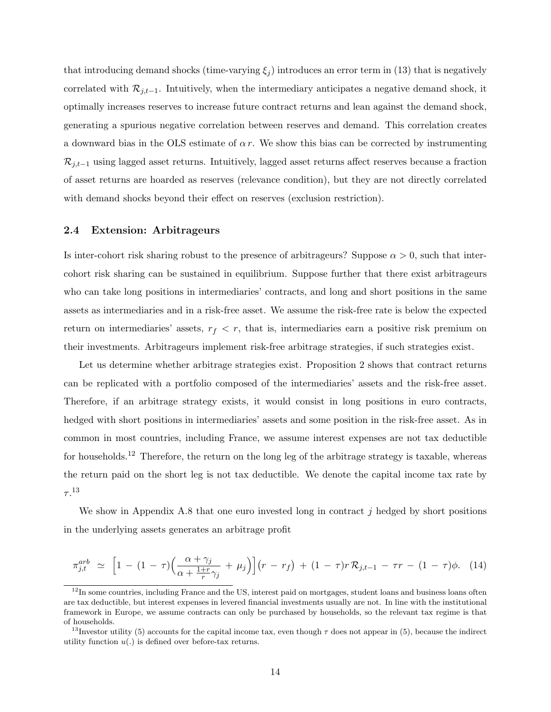that introducing demand shocks (time-varying  $\xi_i$ ) introduces an error term in [\(13\)](#page-14-0) that is negatively correlated with  $\mathcal{R}_{i,t-1}$ . Intuitively, when the intermediary anticipates a negative demand shock, it optimally increases reserves to increase future contract returns and lean against the demand shock, generating a spurious negative correlation between reserves and demand. This correlation creates a downward bias in the OLS estimate of  $\alpha r$ . We show this bias can be corrected by instrumenting  $\mathcal{R}_{j,t-1}$  using lagged asset returns. Intuitively, lagged asset returns affect reserves because a fraction of asset returns are hoarded as reserves (relevance condition), but they are not directly correlated with demand shocks beyond their effect on reserves (exclusion restriction).

### <span id="page-15-3"></span>2.4 Extension: Arbitrageurs

Is inter-cohort risk sharing robust to the presence of arbitrageurs? Suppose  $\alpha > 0$ , such that intercohort risk sharing can be sustained in equilibrium. Suppose further that there exist arbitrageurs who can take long positions in intermediaries' contracts, and long and short positions in the same assets as intermediaries and in a risk-free asset. We assume the risk-free rate is below the expected return on intermediaries' assets,  $r_f < r$ , that is, intermediaries earn a positive risk premium on their investments. Arbitrageurs implement risk-free arbitrage strategies, if such strategies exist.

Let us determine whether arbitrage strategies exist. Proposition [2](#page-12-0) shows that contract returns can be replicated with a portfolio composed of the intermediaries' assets and the risk-free asset. Therefore, if an arbitrage strategy exists, it would consist in long positions in euro contracts, hedged with short positions in intermediaries' assets and some position in the risk-free asset. As in common in most countries, including France, we assume interest expenses are not tax deductible for households.[12](#page-15-1) Therefore, the return on the long leg of the arbitrage strategy is taxable, whereas the return paid on the short leg is not tax deductible. We denote the capital income tax rate by  $\tau.^{13}$  $\tau.^{13}$  $\tau.^{13}$ 

We show in Appendix [A.8](#page-58-1) that one euro invested long in contract  $j$  hedged by short positions in the underlying assets generates an arbitrage profit

<span id="page-15-2"></span>
$$
\pi_{j,t}^{arb} \simeq \left[1 - (1 - \tau)\left(\frac{\alpha + \gamma_j}{\alpha + \frac{1+r}{r}\gamma_j} + \mu_j\right)\right](r - r_f) + (1 - \tau)r\mathcal{R}_{j,t-1} - \tau r - (1 - \tau)\phi. \tag{14}
$$

<span id="page-15-1"></span><sup>&</sup>lt;sup>12</sup>In some countries, including France and the US, interest paid on mortgages, student loans and business loans often are tax deductible, but interest expenses in levered financial investments usually are not. In line with the institutional framework in Europe, we assume contracts can only be purchased by households, so the relevant tax regime is that of households.

<span id="page-15-0"></span><sup>&</sup>lt;sup>13</sup>Investor utility [\(5\)](#page-9-0) accounts for the capital income tax, even though  $\tau$  does not appear in (5), because the indirect utility function  $u(.)$  is defined over before-tax returns.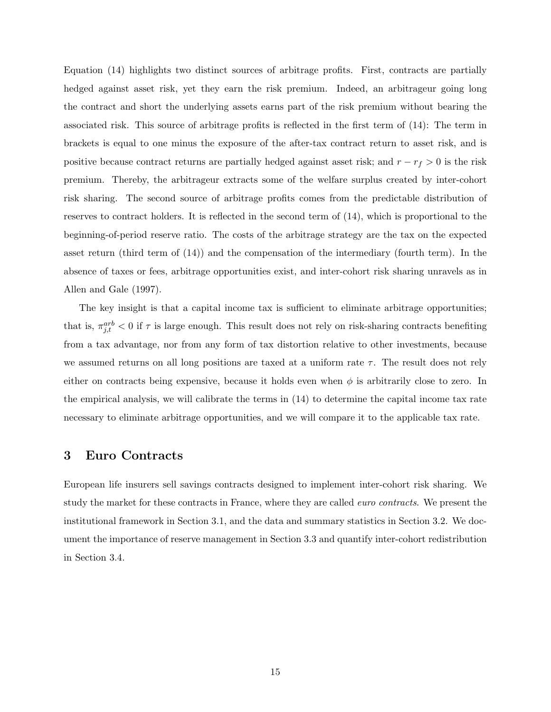Equation [\(14\)](#page-15-2) highlights two distinct sources of arbitrage profits. First, contracts are partially hedged against asset risk, yet they earn the risk premium. Indeed, an arbitrageur going long the contract and short the underlying assets earns part of the risk premium without bearing the associated risk. This source of arbitrage profits is reflected in the first term of [\(14\)](#page-15-2): The term in brackets is equal to one minus the exposure of the after-tax contract return to asset risk, and is positive because contract returns are partially hedged against asset risk; and  $r - r_f > 0$  is the risk premium. Thereby, the arbitrageur extracts some of the welfare surplus created by inter-cohort risk sharing. The second source of arbitrage profits comes from the predictable distribution of reserves to contract holders. It is reflected in the second term of [\(14\)](#page-15-2), which is proportional to the beginning-of-period reserve ratio. The costs of the arbitrage strategy are the tax on the expected asset return (third term of [\(14\)](#page-15-2)) and the compensation of the intermediary (fourth term). In the absence of taxes or fees, arbitrage opportunities exist, and inter-cohort risk sharing unravels as in [Allen and Gale](#page-35-2) [\(1997\)](#page-35-2).

The key insight is that a capital income tax is sufficient to eliminate arbitrage opportunities; that is,  $\pi_{j,t}^{arb} < 0$  if  $\tau$  is large enough. This result does not rely on risk-sharing contracts benefiting from a tax advantage, nor from any form of tax distortion relative to other investments, because we assumed returns on all long positions are taxed at a uniform rate  $\tau$ . The result does not rely either on contracts being expensive, because it holds even when  $\phi$  is arbitrarily close to zero. In the empirical analysis, we will calibrate the terms in [\(14\)](#page-15-2) to determine the capital income tax rate necessary to eliminate arbitrage opportunities, and we will compare it to the applicable tax rate.

### <span id="page-16-0"></span>3 Euro Contracts

European life insurers sell savings contracts designed to implement inter-cohort risk sharing. We study the market for these contracts in France, where they are called *euro contracts*. We present the institutional framework in Section [3.1,](#page-17-0) and the data and summary statistics in Section [3.2.](#page-19-0) We document the importance of reserve management in Section [3.3](#page-21-1) and quantify inter-cohort redistribution in Section [3.4.](#page-21-0)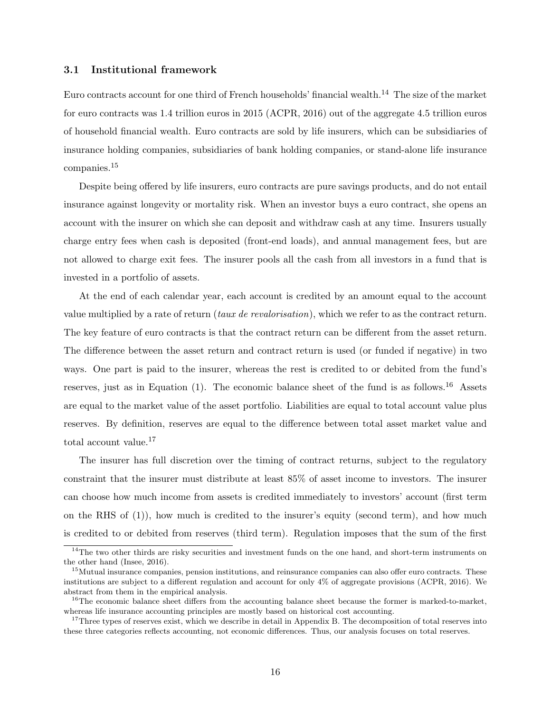### <span id="page-17-0"></span>3.1 Institutional framework

Euro contracts account for one third of French households' financial wealth.[14](#page-17-3) The size of the market for euro contracts was 1.4 trillion euros in 2015 [\(ACPR, 2016\)](#page-35-9) out of the aggregate 4.5 trillion euros of household financial wealth. Euro contracts are sold by life insurers, which can be subsidiaries of insurance holding companies, subsidiaries of bank holding companies, or stand-alone life insurance companies.[15](#page-17-1)

Despite being offered by life insurers, euro contracts are pure savings products, and do not entail insurance against longevity or mortality risk. When an investor buys a euro contract, she opens an account with the insurer on which she can deposit and withdraw cash at any time. Insurers usually charge entry fees when cash is deposited (front-end loads), and annual management fees, but are not allowed to charge exit fees. The insurer pools all the cash from all investors in a fund that is invested in a portfolio of assets.

At the end of each calendar year, each account is credited by an amount equal to the account value multiplied by a rate of return (taux de revalorisation), which we refer to as the contract return. The key feature of euro contracts is that the contract return can be different from the asset return. The difference between the asset return and contract return is used (or funded if negative) in two ways. One part is paid to the insurer, whereas the rest is credited to or debited from the fund's reserves, just as in Equation  $(1)$ . The economic balance sheet of the fund is as follows.<sup>[16](#page-17-2)</sup> Assets are equal to the market value of the asset portfolio. Liabilities are equal to total account value plus reserves. By definition, reserves are equal to the difference between total asset market value and total account value.[17](#page-17-4)

The insurer has full discretion over the timing of contract returns, subject to the regulatory constraint that the insurer must distribute at least 85% of asset income to investors. The insurer can choose how much income from assets is credited immediately to investors' account (first term on the RHS of [\(1\)](#page-8-2)), how much is credited to the insurer's equity (second term), and how much is credited to or debited from reserves (third term). Regulation imposes that the sum of the first

<span id="page-17-3"></span><sup>&</sup>lt;sup>14</sup>The two other thirds are risky securities and investment funds on the one hand, and short-term instruments on the other hand [\(Insee, 2016\)](#page-36-8).

<span id="page-17-1"></span><sup>&</sup>lt;sup>15</sup>Mutual insurance companies, pension institutions, and reinsurance companies can also offer euro contracts. These institutions are subject to a different regulation and account for only 4% of aggregate provisions [\(ACPR, 2016\)](#page-35-9). We abstract from them in the empirical analysis.

<span id="page-17-2"></span><sup>&</sup>lt;sup>16</sup>The economic balance sheet differs from the accounting balance sheet because the former is marked-to-market, whereas life insurance accounting principles are mostly based on historical cost accounting.

<span id="page-17-4"></span><sup>&</sup>lt;sup>17</sup>Three types of reserves exist, which we describe in detail in Appendix [B.](#page-60-0) The decomposition of total reserves into these three categories reflects accounting, not economic differences. Thus, our analysis focuses on total reserves.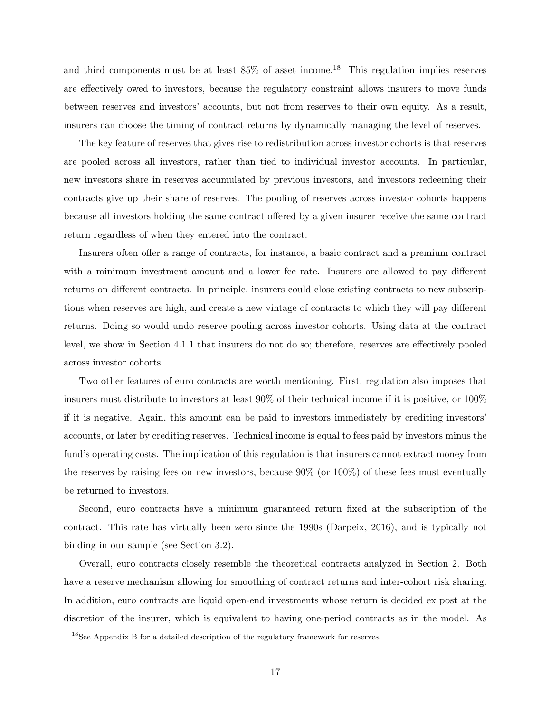and third components must be at least  $85\%$  of asset income.<sup>[18](#page-18-0)</sup> This regulation implies reserves are effectively owed to investors, because the regulatory constraint allows insurers to move funds between reserves and investors' accounts, but not from reserves to their own equity. As a result, insurers can choose the timing of contract returns by dynamically managing the level of reserves.

The key feature of reserves that gives rise to redistribution across investor cohorts is that reserves are pooled across all investors, rather than tied to individual investor accounts. In particular, new investors share in reserves accumulated by previous investors, and investors redeeming their contracts give up their share of reserves. The pooling of reserves across investor cohorts happens because all investors holding the same contract offered by a given insurer receive the same contract return regardless of when they entered into the contract.

Insurers often offer a range of contracts, for instance, a basic contract and a premium contract with a minimum investment amount and a lower fee rate. Insurers are allowed to pay different returns on different contracts. In principle, insurers could close existing contracts to new subscriptions when reserves are high, and create a new vintage of contracts to which they will pay different returns. Doing so would undo reserve pooling across investor cohorts. Using data at the contract level, we show in Section [4.1.1](#page-26-0) that insurers do not do so; therefore, reserves are effectively pooled across investor cohorts.

Two other features of euro contracts are worth mentioning. First, regulation also imposes that insurers must distribute to investors at least 90% of their technical income if it is positive, or 100% if it is negative. Again, this amount can be paid to investors immediately by crediting investors' accounts, or later by crediting reserves. Technical income is equal to fees paid by investors minus the fund's operating costs. The implication of this regulation is that insurers cannot extract money from the reserves by raising fees on new investors, because  $90\%$  (or  $100\%$ ) of these fees must eventually be returned to investors.

Second, euro contracts have a minimum guaranteed return fixed at the subscription of the contract. This rate has virtually been zero since the 1990s [\(Darpeix, 2016\)](#page-35-10), and is typically not binding in our sample (see Section [3.2\)](#page-19-0).

Overall, euro contracts closely resemble the theoretical contracts analyzed in Section [2.](#page-8-0) Both have a reserve mechanism allowing for smoothing of contract returns and inter-cohort risk sharing. In addition, euro contracts are liquid open-end investments whose return is decided ex post at the discretion of the insurer, which is equivalent to having one-period contracts as in the model. As

<span id="page-18-0"></span><sup>18</sup>See Appendix [B](#page-60-0) for a detailed description of the regulatory framework for reserves.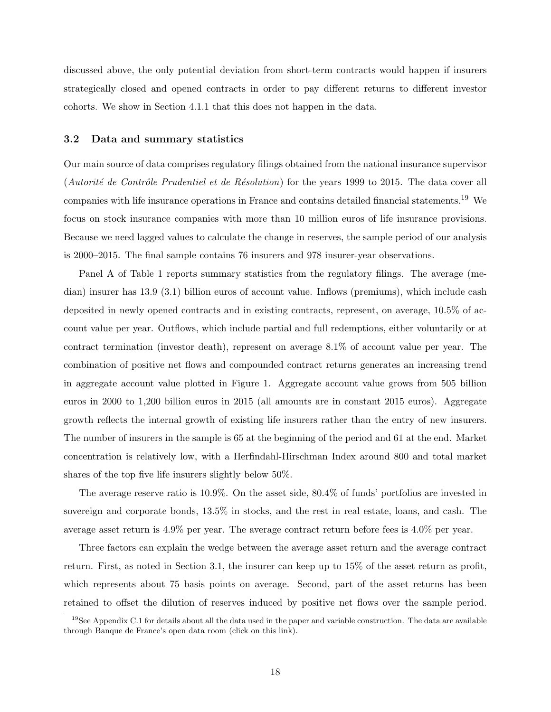discussed above, the only potential deviation from short-term contracts would happen if insurers strategically closed and opened contracts in order to pay different returns to different investor cohorts. We show in Section [4.1.1](#page-26-0) that this does not happen in the data.

### <span id="page-19-0"></span>3.2 Data and summary statistics

Our main source of data comprises regulatory filings obtained from the national insurance supervisor (Autorité de Contrôle Prudentiel et de Résolution) for the years 1999 to 2015. The data cover all companies with life insurance operations in France and contains detailed financial statements.[19](#page-19-1) We focus on stock insurance companies with more than 10 million euros of life insurance provisions. Because we need lagged values to calculate the change in reserves, the sample period of our analysis is 2000–2015. The final sample contains 76 insurers and 978 insurer-year observations.

Panel A of Table [1](#page-40-0) reports summary statistics from the regulatory filings. The average (median) insurer has 13.9 (3.1) billion euros of account value. Inflows (premiums), which include cash deposited in newly opened contracts and in existing contracts, represent, on average, 10.5% of account value per year. Outflows, which include partial and full redemptions, either voluntarily or at contract termination (investor death), represent on average 8.1% of account value per year. The combination of positive net flows and compounded contract returns generates an increasing trend in aggregate account value plotted in Figure [1.](#page-37-0) Aggregate account value grows from 505 billion euros in 2000 to 1,200 billion euros in 2015 (all amounts are in constant 2015 euros). Aggregate growth reflects the internal growth of existing life insurers rather than the entry of new insurers. The number of insurers in the sample is 65 at the beginning of the period and 61 at the end. Market concentration is relatively low, with a Herfindahl-Hirschman Index around 800 and total market shares of the top five life insurers slightly below 50%.

The average reserve ratio is 10.9%. On the asset side, 80.4% of funds' portfolios are invested in sovereign and corporate bonds, 13.5% in stocks, and the rest in real estate, loans, and cash. The average asset return is 4.9% per year. The average contract return before fees is 4.0% per year.

Three factors can explain the wedge between the average asset return and the average contract return. First, as noted in Section [3.1,](#page-17-0) the insurer can keep up to 15% of the asset return as profit, which represents about 75 basis points on average. Second, part of the asset returns has been retained to offset the dilution of reserves induced by positive net flows over the sample period.

<span id="page-19-1"></span><sup>&</sup>lt;sup>19</sup>See Appendix [C.1](#page-62-0) for details about all the data used in the paper and variable construction. The data are available through Banque de France's open data room (click [on this link\)](https://www.banque-france.fr/en/statistics/access-granular-data/open-data-room).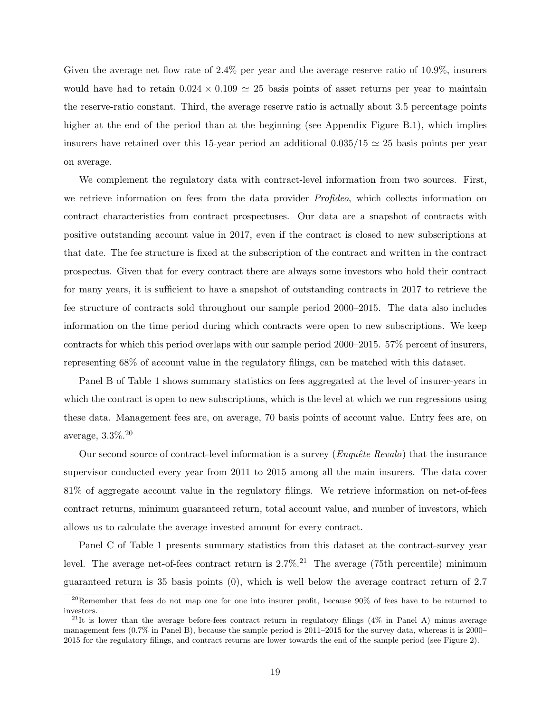Given the average net flow rate of 2.4% per year and the average reserve ratio of 10.9%, insurers would have had to retain  $0.024 \times 0.109 \approx 25$  basis points of asset returns per year to maintain the reserve-ratio constant. Third, the average reserve ratio is actually about 3.5 percentage points higher at the end of the period than at the beginning (see Appendix Figure [B.1\)](#page-61-0), which implies insurers have retained over this 15-year period an additional  $0.035/15 \simeq 25$  basis points per year on average.

We complement the regulatory data with contract-level information from two sources. First, we retrieve information on fees from the data provider *Profideo*, which collects information on contract characteristics from contract prospectuses. Our data are a snapshot of contracts with positive outstanding account value in 2017, even if the contract is closed to new subscriptions at that date. The fee structure is fixed at the subscription of the contract and written in the contract prospectus. Given that for every contract there are always some investors who hold their contract for many years, it is sufficient to have a snapshot of outstanding contracts in 2017 to retrieve the fee structure of contracts sold throughout our sample period 2000–2015. The data also includes information on the time period during which contracts were open to new subscriptions. We keep contracts for which this period overlaps with our sample period 2000–2015. 57% percent of insurers, representing 68% of account value in the regulatory filings, can be matched with this dataset.

Panel B of Table [1](#page-40-0) shows summary statistics on fees aggregated at the level of insurer-years in which the contract is open to new subscriptions, which is the level at which we run regressions using these data. Management fees are, on average, 70 basis points of account value. Entry fees are, on average, 3.3%.[20](#page-20-0)

Our second source of contract-level information is a survey  $(Enquête\; Revalo)$  that the insurance supervisor conducted every year from 2011 to 2015 among all the main insurers. The data cover 81% of aggregate account value in the regulatory filings. We retrieve information on net-of-fees contract returns, minimum guaranteed return, total account value, and number of investors, which allows us to calculate the average invested amount for every contract.

Panel C of Table [1](#page-40-0) presents summary statistics from this dataset at the contract-survey year level. The average net-of-fees contract return is  $2.7\%$ .<sup>[21](#page-20-1)</sup> The average (75th percentile) minimum guaranteed return is 35 basis points (0), which is well below the average contract return of 2.7

<span id="page-20-0"></span><sup>20</sup>Remember that fees do not map one for one into insurer profit, because 90% of fees have to be returned to investors.

<span id="page-20-1"></span><sup>&</sup>lt;sup>21</sup>It is lower than the average before-fees contract return in regulatory filings  $(4\%$  in Panel A) minus average management fees (0.7% in Panel B), because the sample period is 2011–2015 for the survey data, whereas it is 2000– 2015 for the regulatory filings, and contract returns are lower towards the end of the sample period (see Figure [2\)](#page-38-0).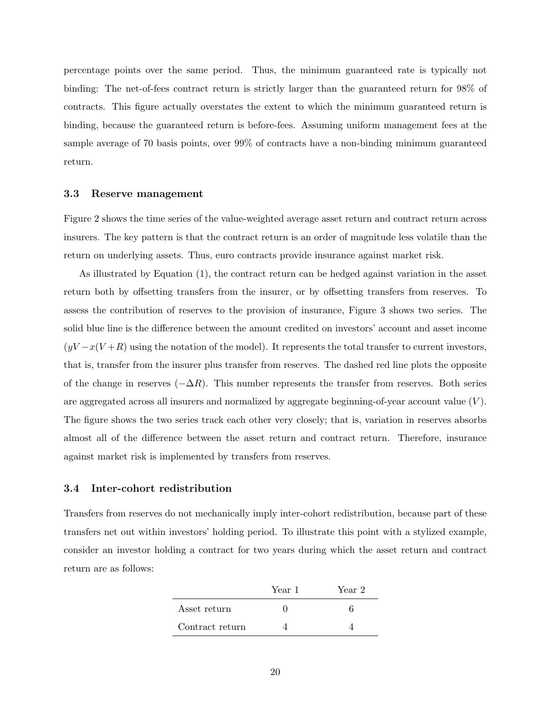percentage points over the same period. Thus, the minimum guaranteed rate is typically not binding: The net-of-fees contract return is strictly larger than the guaranteed return for 98% of contracts. This figure actually overstates the extent to which the minimum guaranteed return is binding, because the guaranteed return is before-fees. Assuming uniform management fees at the sample average of 70 basis points, over 99% of contracts have a non-binding minimum guaranteed return.

#### <span id="page-21-1"></span>3.3 Reserve management

Figure [2](#page-38-0) shows the time series of the value-weighted average asset return and contract return across insurers. The key pattern is that the contract return is an order of magnitude less volatile than the return on underlying assets. Thus, euro contracts provide insurance against market risk.

As illustrated by Equation [\(1\)](#page-8-2), the contract return can be hedged against variation in the asset return both by offsetting transfers from the insurer, or by offsetting transfers from reserves. To assess the contribution of reserves to the provision of insurance, Figure [3](#page-39-0) shows two series. The solid blue line is the difference between the amount credited on investors' account and asset income  $(yV - x(V + R)$  using the notation of the model). It represents the total transfer to current investors, that is, transfer from the insurer plus transfer from reserves. The dashed red line plots the opposite of the change in reserves  $(-\Delta R)$ . This number represents the transfer from reserves. Both series are aggregated across all insurers and normalized by aggregate beginning-of-year account value  $(V)$ . The figure shows the two series track each other very closely; that is, variation in reserves absorbs almost all of the difference between the asset return and contract return. Therefore, insurance against market risk is implemented by transfers from reserves.

### <span id="page-21-0"></span>3.4 Inter-cohort redistribution

Transfers from reserves do not mechanically imply inter-cohort redistribution, because part of these transfers net out within investors' holding period. To illustrate this point with a stylized example, consider an investor holding a contract for two years during which the asset return and contract return are as follows:

|                 | Year 1 | Year 2 |
|-----------------|--------|--------|
| Asset return    |        |        |
| Contract return |        |        |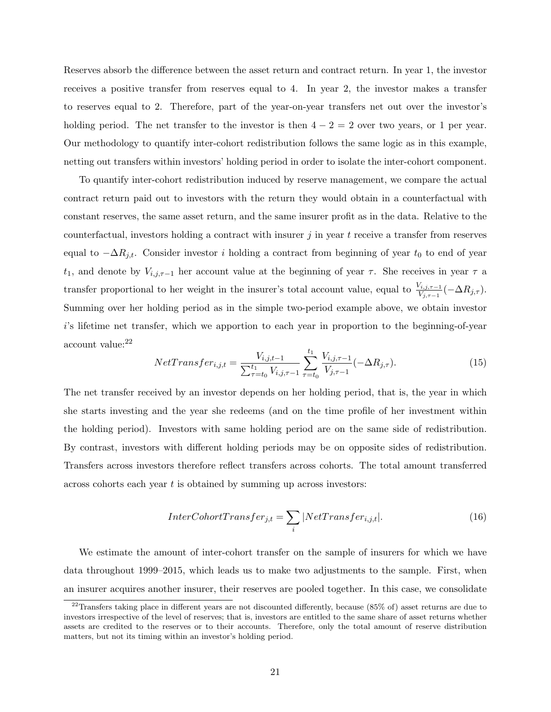Reserves absorb the difference between the asset return and contract return. In year 1, the investor receives a positive transfer from reserves equal to 4. In year 2, the investor makes a transfer to reserves equal to 2. Therefore, part of the year-on-year transfers net out over the investor's holding period. The net transfer to the investor is then  $4 - 2 = 2$  over two years, or 1 per year. Our methodology to quantify inter-cohort redistribution follows the same logic as in this example, netting out transfers within investors' holding period in order to isolate the inter-cohort component.

To quantify inter-cohort redistribution induced by reserve management, we compare the actual contract return paid out to investors with the return they would obtain in a counterfactual with constant reserves, the same asset return, and the same insurer profit as in the data. Relative to the counterfactual, investors holding a contract with insurer  $j$  in year  $t$  receive a transfer from reserves equal to  $-\Delta R_{j,t}$ . Consider investor i holding a contract from beginning of year  $t_0$  to end of year t<sub>1</sub>, and denote by  $V_{i,j,\tau-1}$  her account value at the beginning of year  $\tau$ . She receives in year  $\tau$  a transfer proportional to her weight in the insurer's total account value, equal to  $\frac{V_{i,j,\tau-1}}{V_{j,\tau-1}}(-\Delta R_{j,\tau}).$ Summing over her holding period as in the simple two-period example above, we obtain investor i's lifetime net transfer, which we apportion to each year in proportion to the beginning-of-year account value:[22](#page-22-0)

<span id="page-22-1"></span>
$$
NetTransfer_{i,j,t} = \frac{V_{i,j,t-1}}{\sum_{\tau=t_0}^{t_1} V_{i,j,\tau-1}} \sum_{\tau=t_0}^{t_1} \frac{V_{i,j,\tau-1}}{V_{j,\tau-1}} (-\Delta R_{j,\tau}).
$$
\n(15)

The net transfer received by an investor depends on her holding period, that is, the year in which she starts investing and the year she redeems (and on the time profile of her investment within the holding period). Investors with same holding period are on the same side of redistribution. By contrast, investors with different holding periods may be on opposite sides of redistribution. Transfers across investors therefore reflect transfers across cohorts. The total amount transferred across cohorts each year t is obtained by summing up across investors:

<span id="page-22-2"></span>
$$
InterColorcTransfer_{j,t} = \sum_{i} |NetTransfer_{i,j,t}|.
$$
\n(16)

We estimate the amount of inter-cohort transfer on the sample of insurers for which we have data throughout 1999–2015, which leads us to make two adjustments to the sample. First, when an insurer acquires another insurer, their reserves are pooled together. In this case, we consolidate

<span id="page-22-0"></span> $22$ Transfers taking place in different years are not discounted differently, because (85% of) asset returns are due to investors irrespective of the level of reserves; that is, investors are entitled to the same share of asset returns whether assets are credited to the reserves or to their accounts. Therefore, only the total amount of reserve distribution matters, but not its timing within an investor's holding period.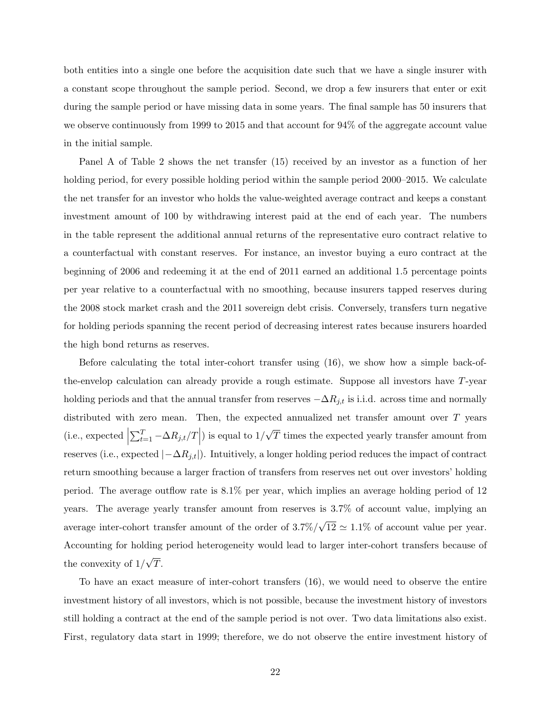both entities into a single one before the acquisition date such that we have a single insurer with a constant scope throughout the sample period. Second, we drop a few insurers that enter or exit during the sample period or have missing data in some years. The final sample has 50 insurers that we observe continuously from 1999 to 2015 and that account for 94% of the aggregate account value in the initial sample.

Panel A of Table [2](#page-41-0) shows the net transfer [\(15\)](#page-22-1) received by an investor as a function of her holding period, for every possible holding period within the sample period 2000–2015. We calculate the net transfer for an investor who holds the value-weighted average contract and keeps a constant investment amount of 100 by withdrawing interest paid at the end of each year. The numbers in the table represent the additional annual returns of the representative euro contract relative to a counterfactual with constant reserves. For instance, an investor buying a euro contract at the beginning of 2006 and redeeming it at the end of 2011 earned an additional 1.5 percentage points per year relative to a counterfactual with no smoothing, because insurers tapped reserves during the 2008 stock market crash and the 2011 sovereign debt crisis. Conversely, transfers turn negative for holding periods spanning the recent period of decreasing interest rates because insurers hoarded the high bond returns as reserves.

Before calculating the total inter-cohort transfer using [\(16\)](#page-22-2), we show how a simple back-ofthe-envelop calculation can already provide a rough estimate. Suppose all investors have  $T$ -year holding periods and that the annual transfer from reserves  $-\Delta R_{j,t}$  is i.i.d. across time and normally distributed with zero mean. Then, the expected annualized net transfer amount over T years (i.e., expected  $\Big\vert$  $\sum_{t=1}^{T} -\Delta R_{j,t}/T$  is equal to 1/ √ T times the expected yearly transfer amount from reserves (i.e., expected  $|-\Delta R_{j,t}|$ ). Intuitively, a longer holding period reduces the impact of contract return smoothing because a larger fraction of transfers from reserves net out over investors' holding period. The average outflow rate is 8.1% per year, which implies an average holding period of 12 years. The average yearly transfer amount from reserves is 3.7% of account value, implying an average inter-cohort transfer amount of the order of 3.7%/ √  $12 \simeq 1.1\%$  of account value per year. Accounting for holding period heterogeneity would lead to larger inter-cohort transfers because of the convexity of 1/ √ T.

To have an exact measure of inter-cohort transfers [\(16\)](#page-22-2), we would need to observe the entire investment history of all investors, which is not possible, because the investment history of investors still holding a contract at the end of the sample period is not over. Two data limitations also exist. First, regulatory data start in 1999; therefore, we do not observe the entire investment history of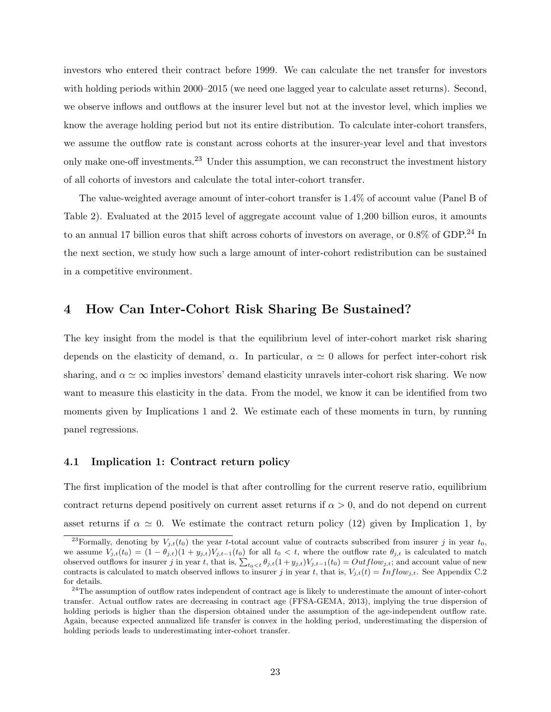investors who entered their contract before 1999. We can calculate the net transfer for investors with holding periods within 2000–2015 (we need one lagged year to calculate asset returns). Second, we observe inflows and outflows at the insurer level but not at the investor level, which implies we know the average holding period but not its entire distribution. To calculate inter-cohort transfers, we assume the outflow rate is constant across cohorts at the insurer-year level and that investors only make one-off investments.<sup>[23](#page-24-2)</sup> Under this assumption, we can reconstruct the investment history of all cohorts of investors and calculate the total inter-cohort transfer.

The value-weighted average amount of inter-cohort transfer is 1.4% of account value (Panel B of Table [2\)](#page-41-0). Evaluated at the 2015 level of aggregate account value of 1,200 billion euros, it amounts to an annual 17 billion euros that shift across cohorts of investors on average, or  $0.8\%$  of GDP.<sup>[24](#page-24-1)</sup> In the next section, we study how such a large amount of inter-cohort redistribution can be sustained in a competitive environment.

## <span id="page-24-0"></span>4 How Can Inter-Cohort Risk Sharing Be Sustained?

The key insight from the model is that the equilibrium level of inter-cohort market risk sharing depends on the elasticity of demand,  $\alpha$ . In particular,  $\alpha \simeq 0$  allows for perfect inter-cohort risk sharing, and  $\alpha \simeq \infty$  implies investors' demand elasticity unravels inter-cohort risk sharing. We now want to measure this elasticity in the data. From the model, we know it can be identified from two moments given by Implications [1](#page-13-2) and [2.](#page-14-2) We estimate each of these moments in turn, by running panel regressions.

### 4.1 Implication 1: Contract return policy

The first implication of the model is that after controlling for the current reserve ratio, equilibrium contract returns depend positively on current asset returns if  $\alpha > 0$ , and do not depend on current asset returns if  $\alpha \simeq 0$ . We estimate the contract return policy [\(12\)](#page-14-1) given by Implication 1, by

<span id="page-24-2"></span><sup>&</sup>lt;sup>23</sup>Formally, denoting by  $V_{j,t}(t_0)$  the year t-total account value of contracts subscribed from insurer j in year  $t_0$ , we assume  $V_{j,t}(t_0) = (1 - \theta_{j,t})(1 + y_{j,t})V_{j,t-1}(t_0)$  for all  $t_0 < t$ , where the outflow rate  $\theta_{j,t}$  is calculated to match observed outflows for insurer j in year t, that is,  $\sum_{t_0 \le t} \theta_{j,t}(1+y_{j,t})V_{j,t-1}(t_0) = Outflow_{j,t}$ ; and account value of new contracts is calculated to match observed inflows to insurer j in year t, that is,  $V_{j,t}(t) = Inflow_{j,t}$ . See Appendix [C.2](#page-63-0) for details.

<span id="page-24-1"></span><sup>&</sup>lt;sup>24</sup>The assumption of outflow rates independent of contract age is likely to underestimate the amount of inter-cohort transfer. Actual outflow rates are decreasing in contract age [\(FFSA-GEMA, 2013\)](#page-35-11), implying the true dispersion of holding periods is higher than the dispersion obtained under the assumption of the age-independent outflow rate. Again, because expected annualized life transfer is convex in the holding period, underestimating the dispersion of holding periods leads to underestimating inter-cohort transfer.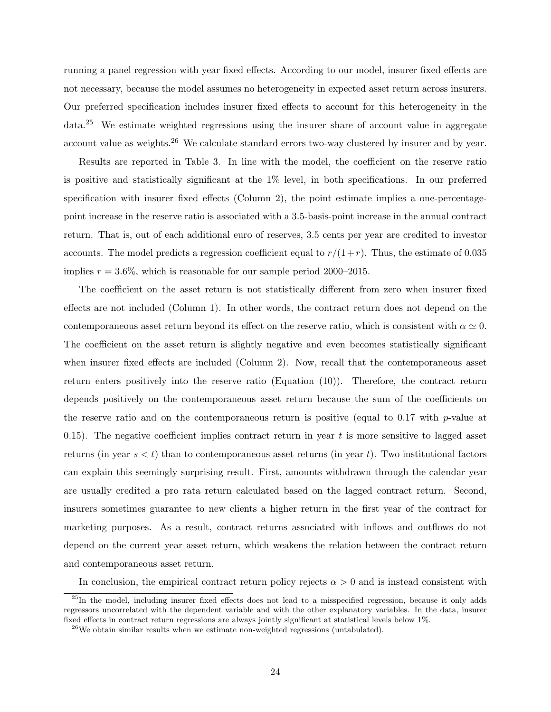running a panel regression with year fixed effects. According to our model, insurer fixed effects are not necessary, because the model assumes no heterogeneity in expected asset return across insurers. Our preferred specification includes insurer fixed effects to account for this heterogeneity in the data.[25](#page-25-0) We estimate weighted regressions using the insurer share of account value in aggregate account value as weights.<sup>[26](#page-25-1)</sup> We calculate standard errors two-way clustered by insurer and by year.

Results are reported in Table [3.](#page-42-0) In line with the model, the coefficient on the reserve ratio is positive and statistically significant at the 1% level, in both specifications. In our preferred specification with insurer fixed effects (Column 2), the point estimate implies a one-percentagepoint increase in the reserve ratio is associated with a 3.5-basis-point increase in the annual contract return. That is, out of each additional euro of reserves, 3.5 cents per year are credited to investor accounts. The model predicts a regression coefficient equal to  $r/(1+r)$ . Thus, the estimate of 0.035 implies  $r = 3.6\%$ , which is reasonable for our sample period 2000–2015.

The coefficient on the asset return is not statistically different from zero when insurer fixed effects are not included (Column 1). In other words, the contract return does not depend on the contemporaneous asset return beyond its effect on the reserve ratio, which is consistent with  $\alpha \simeq 0$ . The coefficient on the asset return is slightly negative and even becomes statistically significant when insurer fixed effects are included (Column 2). Now, recall that the contemporaneous asset return enters positively into the reserve ratio (Equation [\(10\)](#page-12-2)). Therefore, the contract return depends positively on the contemporaneous asset return because the sum of the coefficients on the reserve ratio and on the contemporaneous return is positive (equal to  $0.17$  with p-value at 0.15). The negative coefficient implies contract return in year t is more sensitive to lagged asset returns (in year  $s < t$ ) than to contemporaneous asset returns (in year t). Two institutional factors can explain this seemingly surprising result. First, amounts withdrawn through the calendar year are usually credited a pro rata return calculated based on the lagged contract return. Second, insurers sometimes guarantee to new clients a higher return in the first year of the contract for marketing purposes. As a result, contract returns associated with inflows and outflows do not depend on the current year asset return, which weakens the relation between the contract return and contemporaneous asset return.

In conclusion, the empirical contract return policy rejects  $\alpha > 0$  and is instead consistent with

<span id="page-25-0"></span><sup>25</sup>In the model, including insurer fixed effects does not lead to a misspecified regression, because it only adds regressors uncorrelated with the dependent variable and with the other explanatory variables. In the data, insurer fixed effects in contract return regressions are always jointly significant at statistical levels below 1%.

<span id="page-25-1"></span> $26$ We obtain similar results when we estimate non-weighted regressions (untabulated).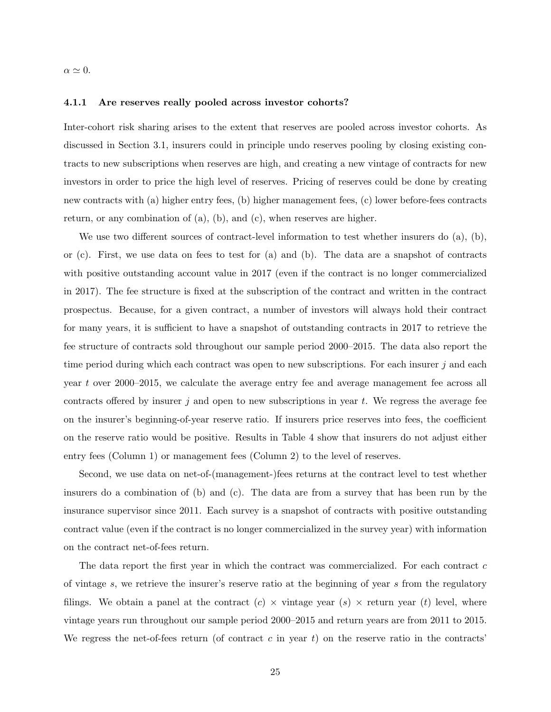$\alpha \simeq 0.$ 

#### <span id="page-26-0"></span>4.1.1 Are reserves really pooled across investor cohorts?

Inter-cohort risk sharing arises to the extent that reserves are pooled across investor cohorts. As discussed in Section [3.1,](#page-17-0) insurers could in principle undo reserves pooling by closing existing contracts to new subscriptions when reserves are high, and creating a new vintage of contracts for new investors in order to price the high level of reserves. Pricing of reserves could be done by creating new contracts with (a) higher entry fees, (b) higher management fees, (c) lower before-fees contracts return, or any combination of (a), (b), and (c), when reserves are higher.

We use two different sources of contract-level information to test whether insurers do (a), (b), or (c). First, we use data on fees to test for (a) and (b). The data are a snapshot of contracts with positive outstanding account value in 2017 (even if the contract is no longer commercialized in 2017). The fee structure is fixed at the subscription of the contract and written in the contract prospectus. Because, for a given contract, a number of investors will always hold their contract for many years, it is sufficient to have a snapshot of outstanding contracts in 2017 to retrieve the fee structure of contracts sold throughout our sample period 2000–2015. The data also report the time period during which each contract was open to new subscriptions. For each insurer  $j$  and each year t over 2000–2015, we calculate the average entry fee and average management fee across all contracts offered by insurer j and open to new subscriptions in year t. We regress the average fee on the insurer's beginning-of-year reserve ratio. If insurers price reserves into fees, the coefficient on the reserve ratio would be positive. Results in Table [4](#page-43-0) show that insurers do not adjust either entry fees (Column 1) or management fees (Column 2) to the level of reserves.

Second, we use data on net-of-(management-)fees returns at the contract level to test whether insurers do a combination of (b) and (c). The data are from a survey that has been run by the insurance supervisor since 2011. Each survey is a snapshot of contracts with positive outstanding contract value (even if the contract is no longer commercialized in the survey year) with information on the contract net-of-fees return.

The data report the first year in which the contract was commercialized. For each contract  $c$ of vintage s, we retrieve the insurer's reserve ratio at the beginning of year s from the regulatory filings. We obtain a panel at the contract  $(c) \times$  vintage year  $(s) \times$  return year  $(t)$  level, where vintage years run throughout our sample period 2000–2015 and return years are from 2011 to 2015. We regress the net-of-fees return (of contract c in year t) on the reserve ratio in the contracts'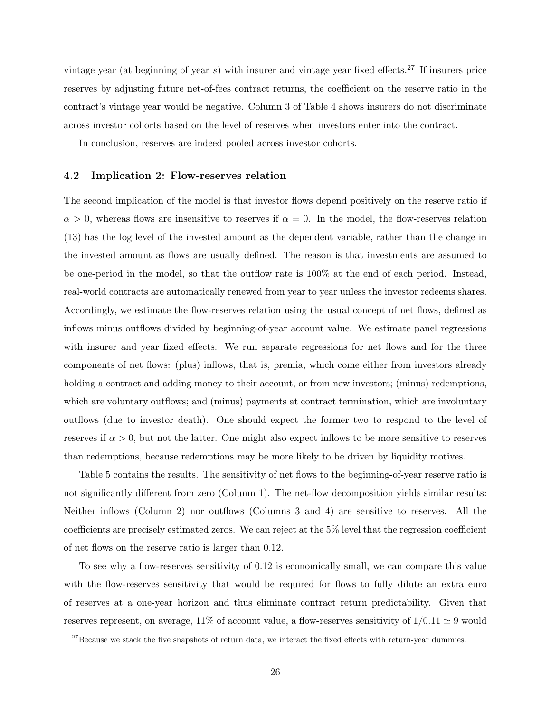vintage year (at beginning of year s) with insurer and vintage year fixed effects.<sup>[27](#page-27-0)</sup> If insurers price reserves by adjusting future net-of-fees contract returns, the coefficient on the reserve ratio in the contract's vintage year would be negative. Column 3 of Table [4](#page-43-0) shows insurers do not discriminate across investor cohorts based on the level of reserves when investors enter into the contract.

In conclusion, reserves are indeed pooled across investor cohorts.

#### <span id="page-27-1"></span>4.2 Implication 2: Flow-reserves relation

The second implication of the model is that investor flows depend positively on the reserve ratio if  $\alpha > 0$ , whereas flows are insensitive to reserves if  $\alpha = 0$ . In the model, the flow-reserves relation [\(13\)](#page-14-0) has the log level of the invested amount as the dependent variable, rather than the change in the invested amount as flows are usually defined. The reason is that investments are assumed to be one-period in the model, so that the outflow rate is 100% at the end of each period. Instead, real-world contracts are automatically renewed from year to year unless the investor redeems shares. Accordingly, we estimate the flow-reserves relation using the usual concept of net flows, defined as inflows minus outflows divided by beginning-of-year account value. We estimate panel regressions with insurer and year fixed effects. We run separate regressions for net flows and for the three components of net flows: (plus) inflows, that is, premia, which come either from investors already holding a contract and adding money to their account, or from new investors; (minus) redemptions, which are voluntary outflows; and (minus) payments at contract termination, which are involuntary outflows (due to investor death). One should expect the former two to respond to the level of reserves if  $\alpha > 0$ , but not the latter. One might also expect inflows to be more sensitive to reserves than redemptions, because redemptions may be more likely to be driven by liquidity motives.

Table [5](#page-44-0) contains the results. The sensitivity of net flows to the beginning-of-year reserve ratio is not significantly different from zero (Column 1). The net-flow decomposition yields similar results: Neither inflows (Column 2) nor outflows (Columns 3 and 4) are sensitive to reserves. All the coefficients are precisely estimated zeros. We can reject at the 5% level that the regression coefficient of net flows on the reserve ratio is larger than 0.12.

To see why a flow-reserves sensitivity of 0.12 is economically small, we can compare this value with the flow-reserves sensitivity that would be required for flows to fully dilute an extra euro of reserves at a one-year horizon and thus eliminate contract return predictability. Given that reserves represent, on average,  $11\%$  of account value, a flow-reserves sensitivity of  $1/0.11 \simeq 9$  would

<span id="page-27-0"></span> $27$ Because we stack the five snapshots of return data, we interact the fixed effects with return-year dummies.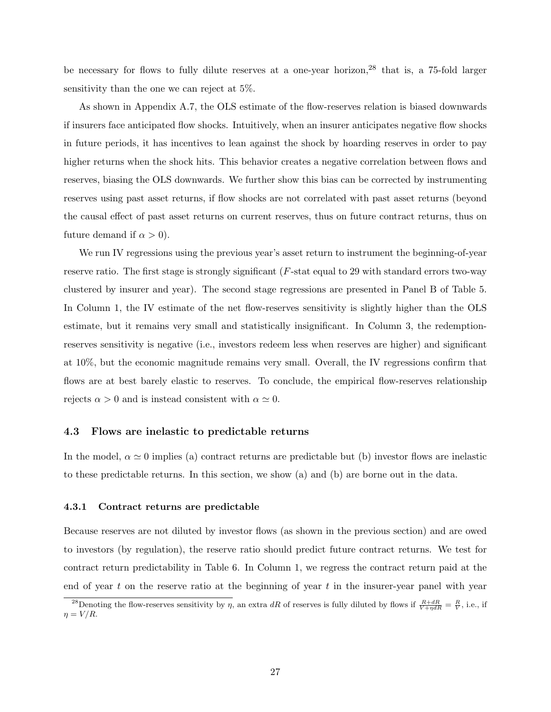be necessary for flows to fully dilute reserves at a one-year horizon,<sup>[28](#page-28-0)</sup> that is, a 75-fold larger sensitivity than the one we can reject at 5%.

As shown in Appendix [A.7,](#page-58-0) the OLS estimate of the flow-reserves relation is biased downwards if insurers face anticipated flow shocks. Intuitively, when an insurer anticipates negative flow shocks in future periods, it has incentives to lean against the shock by hoarding reserves in order to pay higher returns when the shock hits. This behavior creates a negative correlation between flows and reserves, biasing the OLS downwards. We further show this bias can be corrected by instrumenting reserves using past asset returns, if flow shocks are not correlated with past asset returns (beyond the causal effect of past asset returns on current reserves, thus on future contract returns, thus on future demand if  $\alpha > 0$ ).

We run IV regressions using the previous year's asset return to instrument the beginning-of-year reserve ratio. The first stage is strongly significant (F-stat equal to 29 with standard errors two-way clustered by insurer and year). The second stage regressions are presented in Panel B of Table [5.](#page-44-0) In Column 1, the IV estimate of the net flow-reserves sensitivity is slightly higher than the OLS estimate, but it remains very small and statistically insignificant. In Column 3, the redemptionreserves sensitivity is negative (i.e., investors redeem less when reserves are higher) and significant at 10%, but the economic magnitude remains very small. Overall, the IV regressions confirm that flows are at best barely elastic to reserves. To conclude, the empirical flow-reserves relationship rejects  $\alpha > 0$  and is instead consistent with  $\alpha \simeq 0$ .

### 4.3 Flows are inelastic to predictable returns

In the model,  $\alpha \simeq 0$  implies (a) contract returns are predictable but (b) investor flows are inelastic to these predictable returns. In this section, we show (a) and (b) are borne out in the data.

#### <span id="page-28-1"></span>4.3.1 Contract returns are predictable

Because reserves are not diluted by investor flows (as shown in the previous section) and are owed to investors (by regulation), the reserve ratio should predict future contract returns. We test for contract return predictability in Table [6.](#page-45-0) In Column 1, we regress the contract return paid at the end of year t on the reserve ratio at the beginning of year t in the insurer-year panel with year

<span id="page-28-0"></span><sup>&</sup>lt;sup>28</sup>Denoting the flow-reserves sensitivity by  $\eta$ , an extra dR of reserves is fully diluted by flows if  $\frac{R+dR}{V+\eta dR}=\frac{R}{V}$ , i.e., if  $\eta = V/R$ .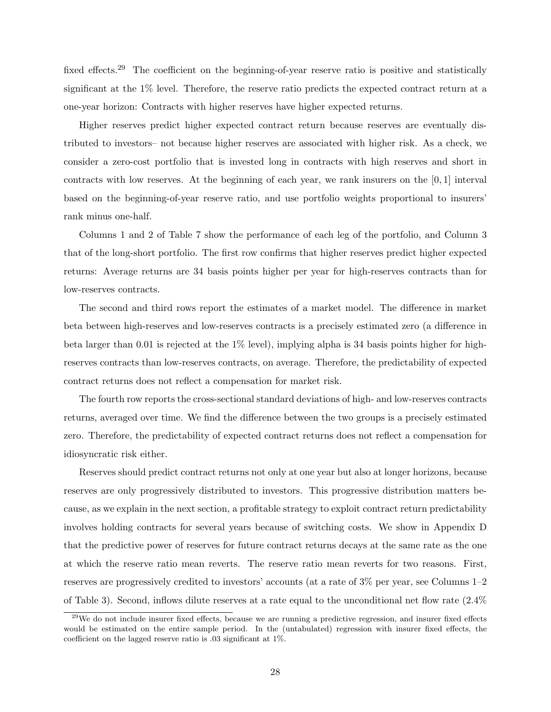fixed effects.<sup>[29](#page-29-0)</sup> The coefficient on the beginning-of-year reserve ratio is positive and statistically significant at the 1% level. Therefore, the reserve ratio predicts the expected contract return at a one-year horizon: Contracts with higher reserves have higher expected returns.

Higher reserves predict higher expected contract return because reserves are eventually distributed to investors– not because higher reserves are associated with higher risk. As a check, we consider a zero-cost portfolio that is invested long in contracts with high reserves and short in contracts with low reserves. At the beginning of each year, we rank insurers on the [0, 1] interval based on the beginning-of-year reserve ratio, and use portfolio weights proportional to insurers' rank minus one-half.

Columns 1 and 2 of Table [7](#page-46-0) show the performance of each leg of the portfolio, and Column 3 that of the long-short portfolio. The first row confirms that higher reserves predict higher expected returns: Average returns are 34 basis points higher per year for high-reserves contracts than for low-reserves contracts.

The second and third rows report the estimates of a market model. The difference in market beta between high-reserves and low-reserves contracts is a precisely estimated zero (a difference in beta larger than 0.01 is rejected at the 1% level), implying alpha is 34 basis points higher for highreserves contracts than low-reserves contracts, on average. Therefore, the predictability of expected contract returns does not reflect a compensation for market risk.

The fourth row reports the cross-sectional standard deviations of high- and low-reserves contracts returns, averaged over time. We find the difference between the two groups is a precisely estimated zero. Therefore, the predictability of expected contract returns does not reflect a compensation for idiosyncratic risk either.

Reserves should predict contract returns not only at one year but also at longer horizons, because reserves are only progressively distributed to investors. This progressive distribution matters because, as we explain in the next section, a profitable strategy to exploit contract return predictability involves holding contracts for several years because of switching costs. We show in Appendix [D](#page-66-0) that the predictive power of reserves for future contract returns decays at the same rate as the one at which the reserve ratio mean reverts. The reserve ratio mean reverts for two reasons. First, reserves are progressively credited to investors' accounts (at a rate of 3% per year, see Columns 1–2 of Table [3\)](#page-42-0). Second, inflows dilute reserves at a rate equal to the unconditional net flow rate (2.4%

<span id="page-29-0"></span><sup>&</sup>lt;sup>29</sup>We do not include insurer fixed effects, because we are running a predictive regression, and insurer fixed effects would be estimated on the entire sample period. In the (untabulated) regression with insurer fixed effects, the coefficient on the lagged reserve ratio is .03 significant at 1%.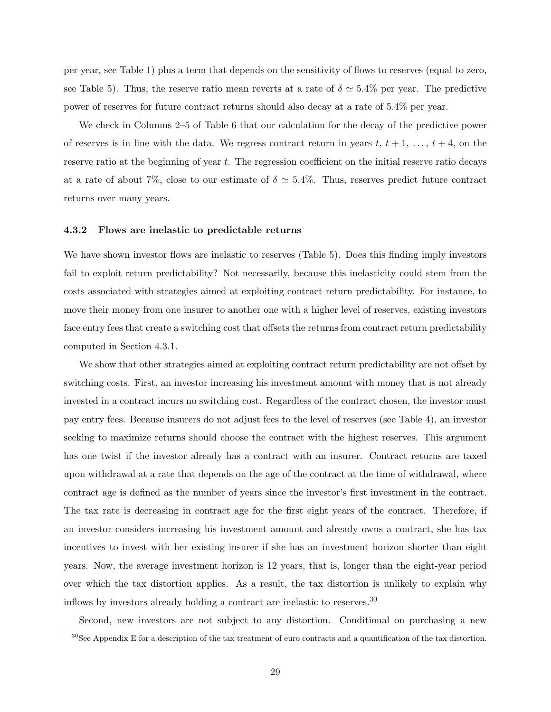per year, see Table [1\)](#page-40-0) plus a term that depends on the sensitivity of flows to reserves (equal to zero, see Table [5\)](#page-44-0). Thus, the reserve ratio mean reverts at a rate of  $\delta \simeq 5.4\%$  per year. The predictive power of reserves for future contract returns should also decay at a rate of 5.4% per year.

We check in Columns 2–5 of Table [6](#page-45-0) that our calculation for the decay of the predictive power of reserves is in line with the data. We regress contract return in years  $t, t + 1, \ldots, t + 4$ , on the reserve ratio at the beginning of year t. The regression coefficient on the initial reserve ratio decays at a rate of about 7%, close to our estimate of  $\delta \simeq 5.4\%$ . Thus, reserves predict future contract returns over many years.

#### <span id="page-30-1"></span>4.3.2 Flows are inelastic to predictable returns

We have shown investor flows are inelastic to reserves (Table [5\)](#page-44-0). Does this finding imply investors fail to exploit return predictability? Not necessarily, because this inelasticity could stem from the costs associated with strategies aimed at exploiting contract return predictability. For instance, to move their money from one insurer to another one with a higher level of reserves, existing investors face entry fees that create a switching cost that offsets the returns from contract return predictability computed in Section [4.3.1.](#page-28-1)

We show that other strategies aimed at exploiting contract return predictability are not offset by switching costs. First, an investor increasing his investment amount with money that is not already invested in a contract incurs no switching cost. Regardless of the contract chosen, the investor must pay entry fees. Because insurers do not adjust fees to the level of reserves (see Table [4\)](#page-43-0), an investor seeking to maximize returns should choose the contract with the highest reserves. This argument has one twist if the investor already has a contract with an insurer. Contract returns are taxed upon withdrawal at a rate that depends on the age of the contract at the time of withdrawal, where contract age is defined as the number of years since the investor's first investment in the contract. The tax rate is decreasing in contract age for the first eight years of the contract. Therefore, if an investor considers increasing his investment amount and already owns a contract, she has tax incentives to invest with her existing insurer if she has an investment horizon shorter than eight years. Now, the average investment horizon is 12 years, that is, longer than the eight-year period over which the tax distortion applies. As a result, the tax distortion is unlikely to explain why inflows by investors already holding a contract are inelastic to reserves.[30](#page-30-0)

Second, new investors are not subject to any distortion. Conditional on purchasing a new

<span id="page-30-0"></span> $30$ See Appendix [E](#page-68-0) for a description of the tax treatment of euro contracts and a quantification of the tax distortion.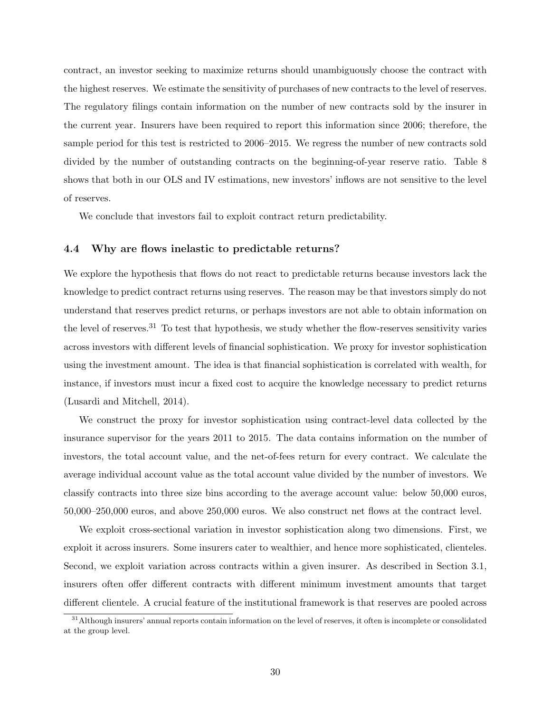contract, an investor seeking to maximize returns should unambiguously choose the contract with the highest reserves. We estimate the sensitivity of purchases of new contracts to the level of reserves. The regulatory filings contain information on the number of new contracts sold by the insurer in the current year. Insurers have been required to report this information since 2006; therefore, the sample period for this test is restricted to 2006–2015. We regress the number of new contracts sold divided by the number of outstanding contracts on the beginning-of-year reserve ratio. Table [8](#page-47-0) shows that both in our OLS and IV estimations, new investors' inflows are not sensitive to the level of reserves.

We conclude that investors fail to exploit contract return predictability.

### <span id="page-31-1"></span>4.4 Why are flows inelastic to predictable returns?

We explore the hypothesis that flows do not react to predictable returns because investors lack the knowledge to predict contract returns using reserves. The reason may be that investors simply do not understand that reserves predict returns, or perhaps investors are not able to obtain information on the level of reserves.<sup>[31](#page-31-0)</sup> To test that hypothesis, we study whether the flow-reserves sensitivity varies across investors with different levels of financial sophistication. We proxy for investor sophistication using the investment amount. The idea is that financial sophistication is correlated with wealth, for instance, if investors must incur a fixed cost to acquire the knowledge necessary to predict returns [\(Lusardi and Mitchell, 2014\)](#page-36-3).

We construct the proxy for investor sophistication using contract-level data collected by the insurance supervisor for the years 2011 to 2015. The data contains information on the number of investors, the total account value, and the net-of-fees return for every contract. We calculate the average individual account value as the total account value divided by the number of investors. We classify contracts into three size bins according to the average account value: below 50,000 euros, 50,000–250,000 euros, and above 250,000 euros. We also construct net flows at the contract level.

We exploit cross-sectional variation in investor sophistication along two dimensions. First, we exploit it across insurers. Some insurers cater to wealthier, and hence more sophisticated, clienteles. Second, we exploit variation across contracts within a given insurer. As described in Section [3.1,](#page-17-0) insurers often offer different contracts with different minimum investment amounts that target different clientele. A crucial feature of the institutional framework is that reserves are pooled across

<span id="page-31-0"></span><sup>&</sup>lt;sup>31</sup>Although insurers' annual reports contain information on the level of reserves, it often is incomplete or consolidated at the group level.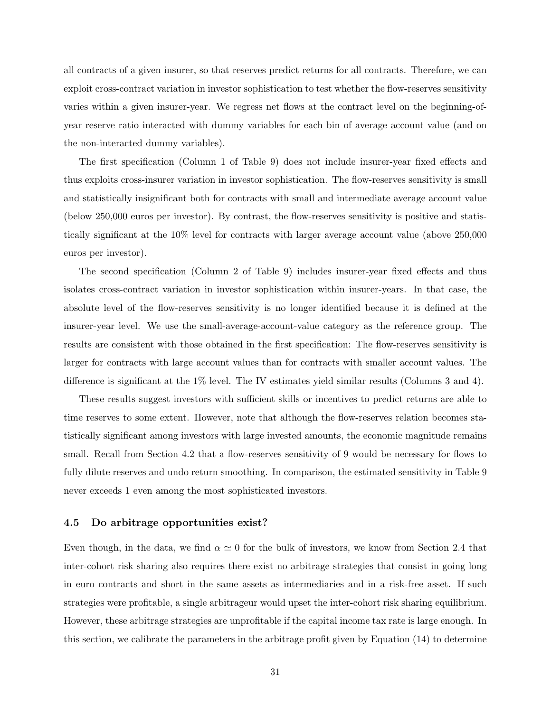all contracts of a given insurer, so that reserves predict returns for all contracts. Therefore, we can exploit cross-contract variation in investor sophistication to test whether the flow-reserves sensitivity varies within a given insurer-year. We regress net flows at the contract level on the beginning-ofyear reserve ratio interacted with dummy variables for each bin of average account value (and on the non-interacted dummy variables).

The first specification (Column 1 of Table [9\)](#page-48-0) does not include insurer-year fixed effects and thus exploits cross-insurer variation in investor sophistication. The flow-reserves sensitivity is small and statistically insignificant both for contracts with small and intermediate average account value (below 250,000 euros per investor). By contrast, the flow-reserves sensitivity is positive and statistically significant at the 10% level for contracts with larger average account value (above 250,000 euros per investor).

The second specification (Column 2 of Table [9\)](#page-48-0) includes insurer-year fixed effects and thus isolates cross-contract variation in investor sophistication within insurer-years. In that case, the absolute level of the flow-reserves sensitivity is no longer identified because it is defined at the insurer-year level. We use the small-average-account-value category as the reference group. The results are consistent with those obtained in the first specification: The flow-reserves sensitivity is larger for contracts with large account values than for contracts with smaller account values. The difference is significant at the 1% level. The IV estimates yield similar results (Columns 3 and 4).

These results suggest investors with sufficient skills or incentives to predict returns are able to time reserves to some extent. However, note that although the flow-reserves relation becomes statistically significant among investors with large invested amounts, the economic magnitude remains small. Recall from Section [4.2](#page-27-1) that a flow-reserves sensitivity of 9 would be necessary for flows to fully dilute reserves and undo return smoothing. In comparison, the estimated sensitivity in Table [9](#page-48-0) never exceeds 1 even among the most sophisticated investors.

### 4.5 Do arbitrage opportunities exist?

Even though, in the data, we find  $\alpha \simeq 0$  for the bulk of investors, we know from Section [2.4](#page-15-3) that inter-cohort risk sharing also requires there exist no arbitrage strategies that consist in going long in euro contracts and short in the same assets as intermediaries and in a risk-free asset. If such strategies were profitable, a single arbitrageur would upset the inter-cohort risk sharing equilibrium. However, these arbitrage strategies are unprofitable if the capital income tax rate is large enough. In this section, we calibrate the parameters in the arbitrage profit given by Equation [\(14\)](#page-15-2) to determine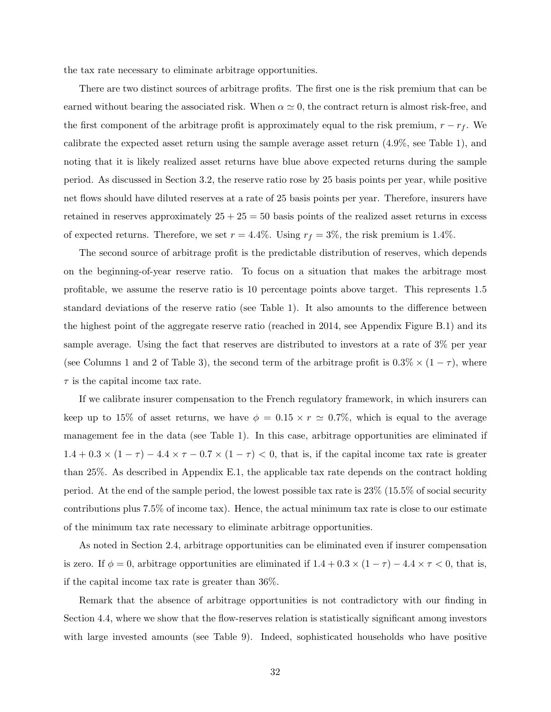the tax rate necessary to eliminate arbitrage opportunities.

There are two distinct sources of arbitrage profits. The first one is the risk premium that can be earned without bearing the associated risk. When  $\alpha \simeq 0$ , the contract return is almost risk-free, and the first component of the arbitrage profit is approximately equal to the risk premium,  $r - r_f$ . We calibrate the expected asset return using the sample average asset return (4.9%, see Table [1\)](#page-40-0), and noting that it is likely realized asset returns have blue above expected returns during the sample period. As discussed in Section [3.2,](#page-19-0) the reserve ratio rose by 25 basis points per year, while positive net flows should have diluted reserves at a rate of 25 basis points per year. Therefore, insurers have retained in reserves approximately  $25 + 25 = 50$  basis points of the realized asset returns in excess of expected returns. Therefore, we set  $r = 4.4\%$ . Using  $r_f = 3\%$ , the risk premium is 1.4%.

The second source of arbitrage profit is the predictable distribution of reserves, which depends on the beginning-of-year reserve ratio. To focus on a situation that makes the arbitrage most profitable, we assume the reserve ratio is 10 percentage points above target. This represents 1.5 standard deviations of the reserve ratio (see Table [1\)](#page-40-0). It also amounts to the difference between the highest point of the aggregate reserve ratio (reached in 2014, see Appendix Figure [B.1\)](#page-61-0) and its sample average. Using the fact that reserves are distributed to investors at a rate of 3% per year (see Columns 1 and 2 of Table [3\)](#page-42-0), the second term of the arbitrage profit is  $0.3\% \times (1 - \tau)$ , where  $\tau$  is the capital income tax rate.

If we calibrate insurer compensation to the French regulatory framework, in which insurers can keep up to 15% of asset returns, we have  $\phi = 0.15 \times r \approx 0.7\%$ , which is equal to the average management fee in the data (see Table [1\)](#page-40-0). In this case, arbitrage opportunities are eliminated if  $1.4 + 0.3 \times (1 - \tau) - 4.4 \times \tau - 0.7 \times (1 - \tau) < 0$ , that is, if the capital income tax rate is greater than 25%. As described in Appendix [E.1,](#page-68-1) the applicable tax rate depends on the contract holding period. At the end of the sample period, the lowest possible tax rate is 23% (15.5% of social security contributions plus 7.5% of income tax). Hence, the actual minimum tax rate is close to our estimate of the minimum tax rate necessary to eliminate arbitrage opportunities.

As noted in Section [2.4,](#page-15-3) arbitrage opportunities can be eliminated even if insurer compensation is zero. If  $\phi = 0$ , arbitrage opportunities are eliminated if  $1.4 + 0.3 \times (1 - \tau) - 4.4 \times \tau < 0$ , that is, if the capital income tax rate is greater than 36%.

Remark that the absence of arbitrage opportunities is not contradictory with our finding in Section [4.4,](#page-31-1) where we show that the flow-reserves relation is statistically significant among investors with large invested amounts (see Table [9\)](#page-48-0). Indeed, sophisticated households who have positive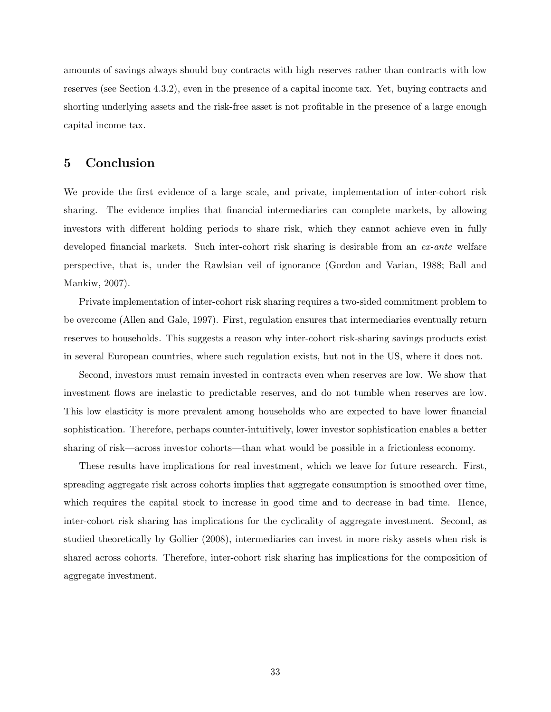amounts of savings always should buy contracts with high reserves rather than contracts with low reserves (see Section [4.3.2\)](#page-30-1), even in the presence of a capital income tax. Yet, buying contracts and shorting underlying assets and the risk-free asset is not profitable in the presence of a large enough capital income tax.

# <span id="page-34-0"></span>5 Conclusion

We provide the first evidence of a large scale, and private, implementation of inter-cohort risk sharing. The evidence implies that financial intermediaries can complete markets, by allowing investors with different holding periods to share risk, which they cannot achieve even in fully developed financial markets. Such inter-cohort risk sharing is desirable from an ex-ante welfare perspective, that is, under the Rawlsian veil of ignorance [\(Gordon and Varian, 1988;](#page-35-0) [Ball and](#page-35-7) [Mankiw, 2007\)](#page-35-7).

Private implementation of inter-cohort risk sharing requires a two-sided commitment problem to be overcome [\(Allen and Gale, 1997\)](#page-35-2). First, regulation ensures that intermediaries eventually return reserves to households. This suggests a reason why inter-cohort risk-sharing savings products exist in several European countries, where such regulation exists, but not in the US, where it does not.

Second, investors must remain invested in contracts even when reserves are low. We show that investment flows are inelastic to predictable reserves, and do not tumble when reserves are low. This low elasticity is more prevalent among households who are expected to have lower financial sophistication. Therefore, perhaps counter-intuitively, lower investor sophistication enables a better sharing of risk—across investor cohorts—than what would be possible in a frictionless economy.

These results have implications for real investment, which we leave for future research. First, spreading aggregate risk across cohorts implies that aggregate consumption is smoothed over time, which requires the capital stock to increase in good time and to decrease in bad time. Hence, inter-cohort risk sharing has implications for the cyclicality of aggregate investment. Second, as studied theoretically by [Gollier](#page-35-1) [\(2008\)](#page-35-1), intermediaries can invest in more risky assets when risk is shared across cohorts. Therefore, inter-cohort risk sharing has implications for the composition of aggregate investment.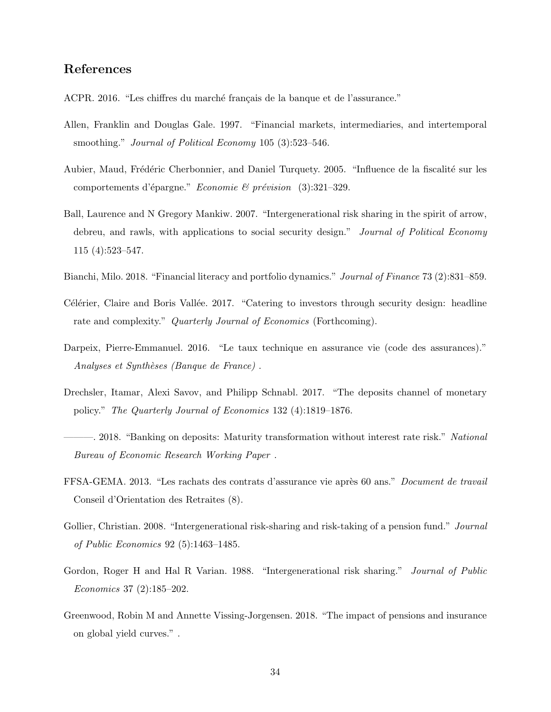# References

- <span id="page-35-9"></span>ACPR. 2016. "Les chiffres du marché français de la banque et de l'assurance."
- <span id="page-35-2"></span>Allen, Franklin and Douglas Gale. 1997. "Financial markets, intermediaries, and intertemporal smoothing." Journal of Political Economy 105 (3):523-546.
- <span id="page-35-12"></span>Aubier, Maud, Frédéric Cherbonnier, and Daniel Turquety. 2005. "Influence de la fiscalité sur les comportements d'épargne." Economie & prévision  $(3):321-329$ .
- <span id="page-35-7"></span>Ball, Laurence and N Gregory Mankiw. 2007. "Intergenerational risk sharing in the spirit of arrow, debreu, and rawls, with applications to social security design." Journal of Political Economy 115 (4):523–547.
- <span id="page-35-3"></span>Bianchi, Milo. 2018. "Financial literacy and portfolio dynamics." Journal of Finance 73 (2):831–859.
- <span id="page-35-4"></span>Célérier, Claire and Boris Vallée. 2017. "Catering to investors through security design: headline rate and complexity." Quarterly Journal of Economics (Forthcoming).
- <span id="page-35-10"></span>Darpeix, Pierre-Emmanuel. 2016. "Le taux technique en assurance vie (code des assurances)." Analyses et Synthèses (Banque de France).
- <span id="page-35-6"></span>Drechsler, Itamar, Alexi Savov, and Philipp Schnabl. 2017. "The deposits channel of monetary policy." The Quarterly Journal of Economics 132 (4):1819–1876.
- <span id="page-35-5"></span>– 2018. "Banking on deposits: Maturity transformation without interest rate risk." National Bureau of Economic Research Working Paper .
- <span id="page-35-11"></span>FFSA-GEMA. 2013. "Les rachats des contrats d'assurance vie après 60 ans." Document de travail Conseil d'Orientation des Retraites (8).
- <span id="page-35-1"></span>Gollier, Christian. 2008. "Intergenerational risk-sharing and risk-taking of a pension fund." *Journal* of Public Economics 92 (5):1463–1485.
- <span id="page-35-0"></span>Gordon, Roger H and Hal R Varian. 1988. "Intergenerational risk sharing." *Journal of Public* Economics 37 (2):185–202.
- <span id="page-35-8"></span>Greenwood, Robin M and Annette Vissing-Jorgensen. 2018. "The impact of pensions and insurance on global yield curves." .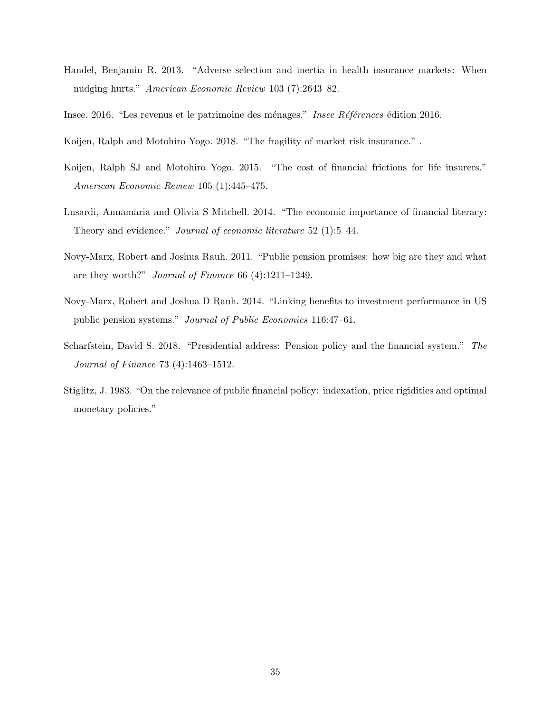- <span id="page-36-6"></span>Handel, Benjamin R. 2013. "Adverse selection and inertia in health insurance markets: When nudging hurts." American Economic Review 103 (7):2643–82.
- <span id="page-36-8"></span>Insee. 2016. "Les revenus et le patrimoine des ménages." Insee Références édition 2016.
- <span id="page-36-1"></span>Koijen, Ralph and Motohiro Yogo. 2018. "The fragility of market risk insurance.".
- <span id="page-36-0"></span>Koijen, Ralph SJ and Motohiro Yogo. 2015. "The cost of financial frictions for life insurers." American Economic Review 105 (1):445–475.
- <span id="page-36-3"></span>Lusardi, Annamaria and Olivia S Mitchell. 2014. "The economic importance of financial literacy: Theory and evidence." *Journal of economic literature* 52 (1):5–44.
- <span id="page-36-4"></span>Novy-Marx, Robert and Joshua Rauh. 2011. "Public pension promises: how big are they and what are they worth?" Journal of Finance 66 (4):1211–1249.
- <span id="page-36-2"></span>Novy-Marx, Robert and Joshua D Rauh. 2014. "Linking benefits to investment performance in US public pension systems." Journal of Public Economics 116:47–61.
- <span id="page-36-5"></span>Scharfstein, David S. 2018. "Presidential address: Pension policy and the financial system." The Journal of Finance 73 (4):1463–1512.
- <span id="page-36-7"></span>Stiglitz, J. 1983. "On the relevance of public financial policy: indexation, price rigidities and optimal monetary policies."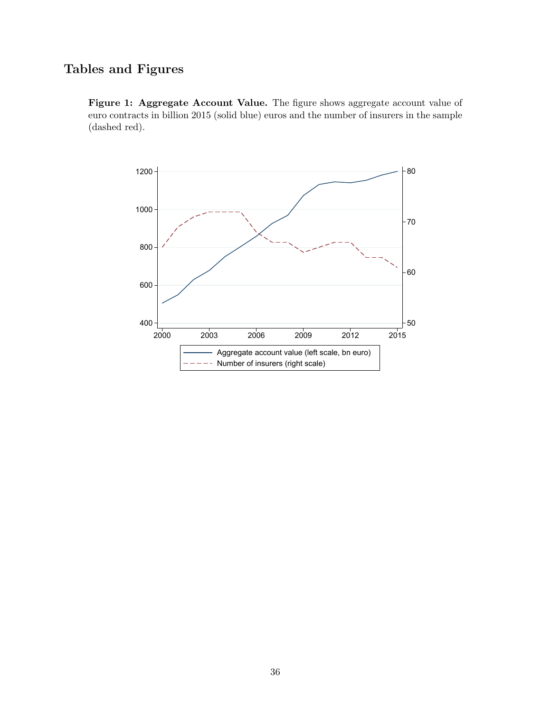# Tables and Figures

<span id="page-37-0"></span>Figure 1: Aggregate Account Value. The figure shows aggregate account value of euro contracts in billion 2015 (solid blue) euros and the number of insurers in the sample (dashed red).

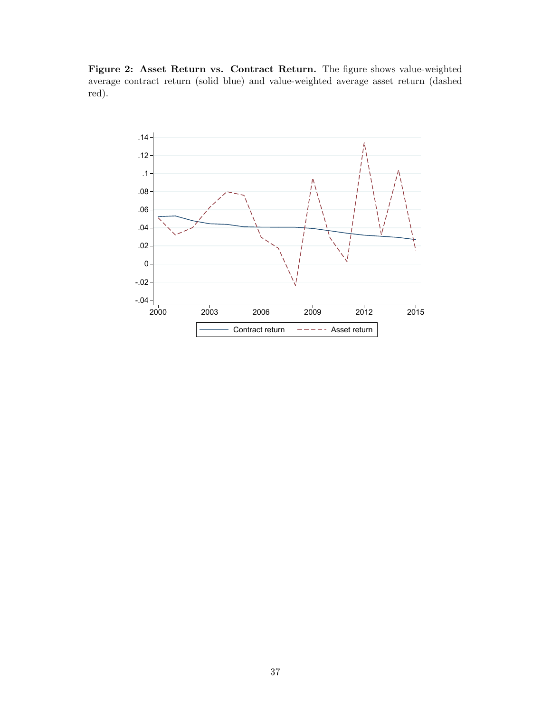<span id="page-38-0"></span>Figure 2: Asset Return vs. Contract Return. The figure shows value-weighted average contract return (solid blue) and value-weighted average asset return (dashed red).

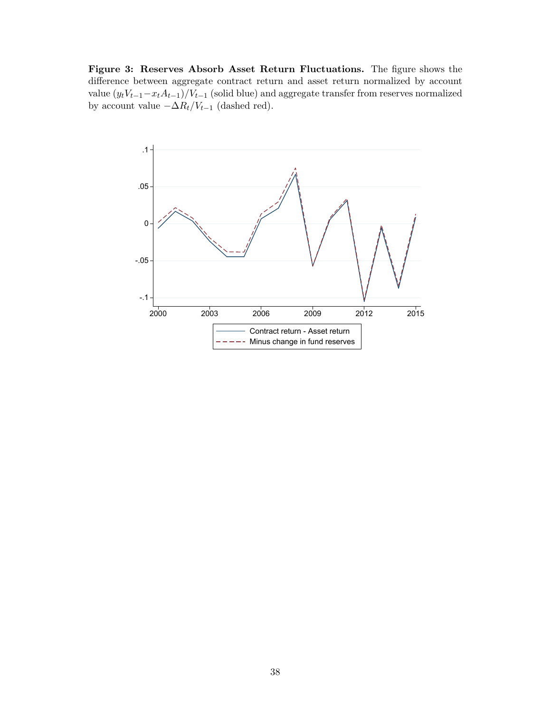<span id="page-39-0"></span>Figure 3: Reserves Absorb Asset Return Fluctuations. The figure shows the difference between aggregate contract return and asset return normalized by account value  $(y_tV_{t-1}-x_tA_{t-1})/V_{t-1}$  (solid blue) and aggregate transfer from reserves normalized by account value  $-\Delta R_t/V_{t-1}$  (dashed red).

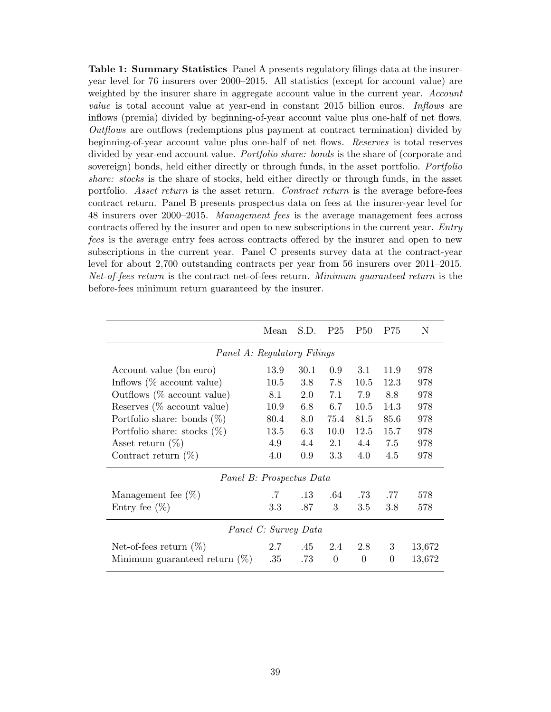<span id="page-40-0"></span>Table 1: Summary Statistics Panel A presents regulatory filings data at the insureryear level for 76 insurers over 2000–2015. All statistics (except for account value) are weighted by the insurer share in aggregate account value in the current year. Account value is total account value at year-end in constant 2015 billion euros. Inflows are inflows (premia) divided by beginning-of-year account value plus one-half of net flows. Outflows are outflows (redemptions plus payment at contract termination) divided by beginning-of-year account value plus one-half of net flows. Reserves is total reserves divided by year-end account value. *Portfolio share: bonds* is the share of (corporate and sovereign) bonds, held either directly or through funds, in the asset portfolio. *Portfolio* share: stocks is the share of stocks, held either directly or through funds, in the asset portfolio. Asset return is the asset return. Contract return is the average before-fees contract return. Panel B presents prospectus data on fees at the insurer-year level for 48 insurers over 2000–2015. Management fees is the average management fees across contracts offered by the insurer and open to new subscriptions in the current year. Entry fees is the average entry fees across contracts offered by the insurer and open to new subscriptions in the current year. Panel C presents survey data at the contract-year level for about 2,700 outstanding contracts per year from 56 insurers over 2011–2015. Net-of-fees return is the contract net-of-fees return. Minimum guaranteed return is the before-fees minimum return guaranteed by the insurer.

|                                       | Mean   | S.D.    | P <sub>25</sub> | <b>P50</b>     | P75      | N      |
|---------------------------------------|--------|---------|-----------------|----------------|----------|--------|
| Panel A: Regulatory Filings           |        |         |                 |                |          |        |
| Account value (bn euro)               | 13.9   | 30.1    | 0.9             | 3.1            | 11.9     | 978    |
| Inflows $(\% \text{ account value})$  | 10.5   | $3.8\,$ | 7.8             | 10.5           | 12.3     | 978    |
| Outflows $(\% \text{ account value})$ | 8.1    | 2.0     | 7.1             | 7.9            | 8.8      | 978    |
| Reserves $(\%$ account value)         | 10.9   | 6.8     | 6.7             | 10.5           | 14.3     | 978    |
| Portfolio share: bonds $(\%)$         | 80.4   | 8.0     | 75.4            | 81.5           | 85.6     | 978    |
| Portfolio share: stocks $(\%)$        | 13.5   | 6.3     | 10.0            | 12.5           | 15.7     | 978    |
| Asset return $(\%)$                   | 4.9    | 4.4     | 2.1             | 4.4            | 7.5      | 978    |
| Contract return $(\%)$                | 4.0    | 0.9     | 3.3             | 4.0            | 4.5      | 978    |
| Panel B: Prospectus Data              |        |         |                 |                |          |        |
| Management fee $(\%)$                 | $.7\,$ | $.13\,$ | .64             | .73            | .77      | 578    |
| Entry fee $(\%)$                      | 3.3    | .87     | 3               | 3.5            | 3.8      | 578    |
| Panel C: Survey Data                  |        |         |                 |                |          |        |
| Net-of-fees return $(\%)$             | 2.7    | .45     | 2.4             | 2.8            | 3        | 13,672 |
| Minimum guaranteed return $(\%)$      | .35    | .73     | $\overline{0}$  | $\overline{0}$ | $\theta$ | 13,672 |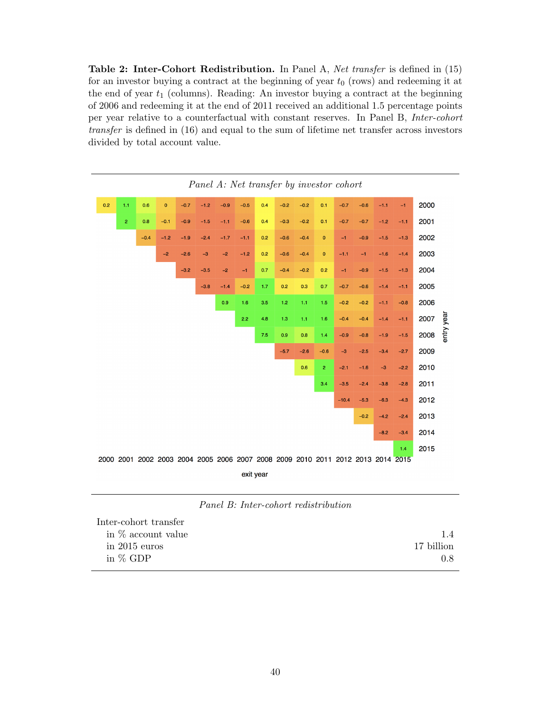<span id="page-41-0"></span>Table 2: Inter-Cohort Redistribution. In Panel A, Net transfer is defined in [\(15\)](#page-22-1) for an investor buying a contract at the beginning of year  $t_0$  (rows) and redeeming it at the end of year  $t_1$  (columns). Reading: An investor buying a contract at the beginning of 2006 and redeeming it at the end of 2011 received an additional 1.5 percentage points per year relative to a counterfactual with constant reserves. In Panel B, Inter-cohort transfer is defined in [\(16\)](#page-22-2) and equal to the sum of lifetime net transfer across investors divided by total account value.



Panel B: Inter-cohort redistribution

| Inter-cohort transfer |            |
|-----------------------|------------|
| in $\%$ account value |            |
| in $2015$ euros       | 17 billion |
| in $%$ GDP            | 0.8        |
|                       |            |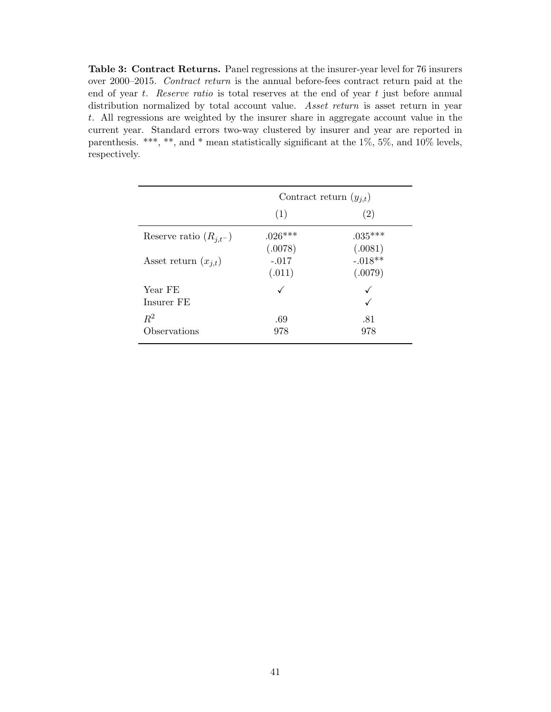<span id="page-42-0"></span>Table 3: Contract Returns. Panel regressions at the insurer-year level for 76 insurers over 2000–2015. Contract return is the annual before-fees contract return paid at the end of year  $t$ . Reserve ratio is total reserves at the end of year  $t$  just before annual distribution normalized by total account value. Asset return is asset return in year t. All regressions are weighted by the insurer share in aggregate account value in the current year. Standard errors two-way clustered by insurer and year are reported in parenthesis. \*\*\*, \*\*, and \* mean statistically significant at the 1%, 5%, and 10% levels, respectively.

|                            | Contract return $(y_{i,t})$  |                                 |  |
|----------------------------|------------------------------|---------------------------------|--|
|                            | (1)                          | (2)                             |  |
| Reserve ratio $(R_{i,t-})$ | $.026***$                    | $.035***$                       |  |
| Asset return $(x_{i,t})$   | (.0078)<br>$-.017$<br>(.011) | (.0081)<br>$-.018**$<br>(.0079) |  |
| Year FE<br>Insurer FE      |                              | ✓                               |  |
| $R^2$<br>Observations      | .69<br>978                   | .81<br>978                      |  |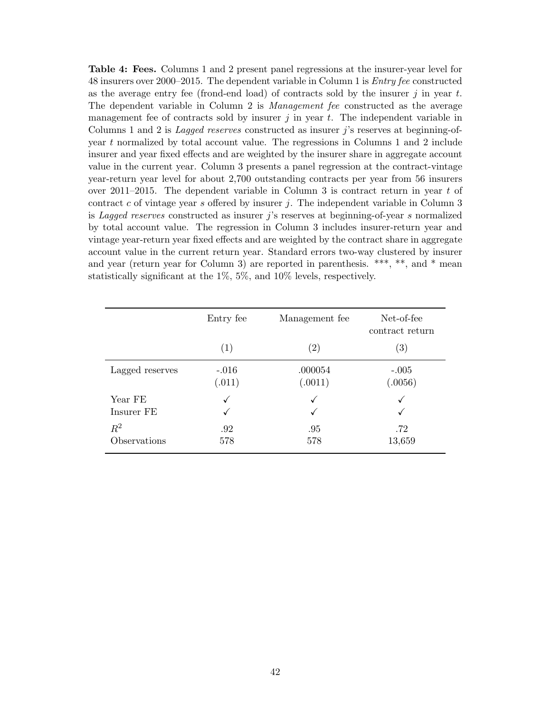<span id="page-43-0"></span>Table 4: Fees. Columns 1 and 2 present panel regressions at the insurer-year level for 48 insurers over 2000–2015. The dependent variable in Column 1 is Entry fee constructed as the average entry fee (frond-end load) of contracts sold by the insurer  $j$  in year  $t$ . The dependent variable in Column 2 is Management fee constructed as the average management fee of contracts sold by insurer  $j$  in year  $t$ . The independent variable in Columns 1 and 2 is *Lagged reserves* constructed as insurer  $j$ 's reserves at beginning-ofyear t normalized by total account value. The regressions in Columns 1 and 2 include insurer and year fixed effects and are weighted by the insurer share in aggregate account value in the current year. Column 3 presents a panel regression at the contract-vintage year-return year level for about 2,700 outstanding contracts per year from 56 insurers over 2011–2015. The dependent variable in Column 3 is contract return in year  $t$  of contract  $c$  of vintage year  $s$  offered by insurer  $j$ . The independent variable in Column 3 is Lagged reserves constructed as insurer j's reserves at beginning-of-year s normalized by total account value. The regression in Column 3 includes insurer-return year and vintage year-return year fixed effects and are weighted by the contract share in aggregate account value in the current return year. Standard errors two-way clustered by insurer and year (return year for Column 3) are reported in parenthesis. \*\*\*, \*\*, and \* mean statistically significant at the 1%, 5%, and 10% levels, respectively.

|                       | Entry fee         | Management fee     | Net-of-fee<br>contract return |
|-----------------------|-------------------|--------------------|-------------------------------|
|                       | (1)               | $\left( 2\right)$  | $\left( 3\right)$             |
| Lagged reserves       | $-.016$<br>(.011) | .000054<br>(.0011) | $-.005$<br>(.0056)            |
| Year FE               | $\checkmark$      | √                  | √                             |
| Insurer FE            | ✓                 | ✓                  | ✓                             |
| $R^2$<br>Observations | .92<br>578        | .95<br>578         | .72<br>13,659                 |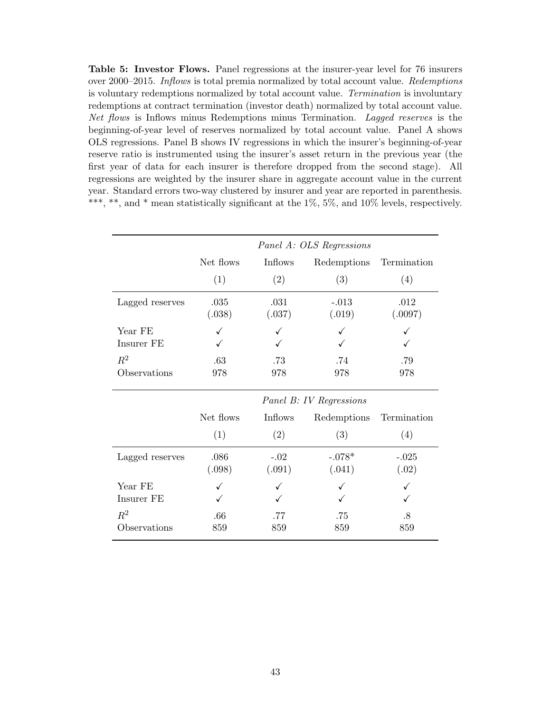<span id="page-44-0"></span>Table 5: Investor Flows. Panel regressions at the insurer-year level for 76 insurers over 2000–2015. Inflows is total premia normalized by total account value. Redemptions is voluntary redemptions normalized by total account value. Termination is involuntary redemptions at contract termination (investor death) normalized by total account value. Net flows is Inflows minus Redemptions minus Termination. Lagged reserves is the beginning-of-year level of reserves normalized by total account value. Panel A shows OLS regressions. Panel B shows IV regressions in which the insurer's beginning-of-year reserve ratio is instrumented using the insurer's asset return in the previous year (the first year of data for each insurer is therefore dropped from the second stage). All regressions are weighted by the insurer share in aggregate account value in the current year. Standard errors two-way clustered by insurer and year are reported in parenthesis. \*\*\*, \*\*, and \* mean statistically significant at the  $1\%$ ,  $5\%$ , and  $10\%$  levels, respectively.

|                 | Panel A: OLS Regressions |                |                         |                 |  |
|-----------------|--------------------------|----------------|-------------------------|-----------------|--|
|                 | Net flows                | Inflows        | Redemptions             | Termination     |  |
|                 | (1)                      | (2)            | (3)                     | (4)             |  |
| Lagged reserves | .035<br>(.038)           | .031<br>(.037) | $-.013$<br>(.019)       | .012<br>(.0097) |  |
| Year FE         |                          |                |                         |                 |  |
| Insurer FE      |                          |                |                         |                 |  |
| $\mathbb{R}^2$  | .63                      | .73            | .74                     | .79             |  |
| Observations    | 978                      | 978            | 978                     | 978             |  |
|                 |                          |                | Panel B: IV Regressions |                 |  |
|                 | Net flows                | Inflows        | Redemptions             | Termination     |  |
|                 | (1)                      | (2)            | (3)                     | (4)             |  |
| Lagged reserves | .086                     | $-.02$         | $-.078*$                | $-.025$         |  |
|                 | (.098)                   | (.091)         | (.041)                  | (.02)           |  |
| Year FE         |                          |                |                         |                 |  |
| Insurer FE      |                          |                |                         |                 |  |
| $R^2$           | .66                      | .77            | .75                     | .8              |  |
| Observations    | 859                      | 859            | 859                     | 859             |  |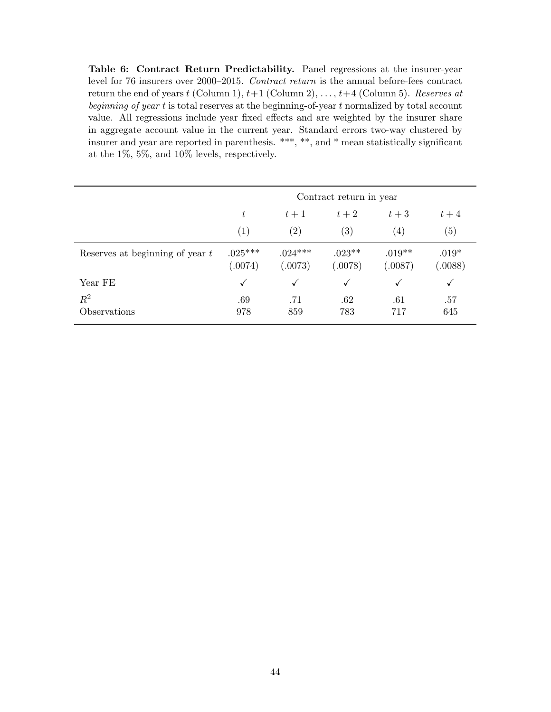<span id="page-45-0"></span>Table 6: Contract Return Predictability. Panel regressions at the insurer-year level for 76 insurers over 2000–2015. Contract return is the annual before-fees contract return the end of years t (Column 1),  $t+1$  (Column 2), ...,  $t+4$  (Column 5). Reserves at beginning of year t is total reserves at the beginning-of-year t normalized by total account value. All regressions include year fixed effects and are weighted by the insurer share in aggregate account value in the current year. Standard errors two-way clustered by insurer and year are reported in parenthesis. \*\*\*, \*\*, and \* mean statistically significant at the 1%, 5%, and 10% levels, respectively.

|                                   | Contract return in year               |                      |                     |                     |                    |  |  |
|-----------------------------------|---------------------------------------|----------------------|---------------------|---------------------|--------------------|--|--|
|                                   | $t+2$<br>$t+3$<br>t<br>$t+4$<br>$t+1$ |                      |                     |                     |                    |  |  |
|                                   | $\left( 1\right)$                     | (2)                  | (3)                 | $\left( 4\right)$   | (5)                |  |  |
| Reserves at beginning of year $t$ | $.025***$<br>(.0074)                  | $.024***$<br>(.0073) | $.023**$<br>(.0078) | $.019**$<br>(.0087) | $.019*$<br>(.0088) |  |  |
| Year FE                           | $\checkmark$                          | √                    | ✓                   | ✓                   | $\checkmark$       |  |  |
| $R^2$<br>Observations             | .69<br>978                            | .71<br>859           | .62<br>783          | .61<br>717          | .57<br>645         |  |  |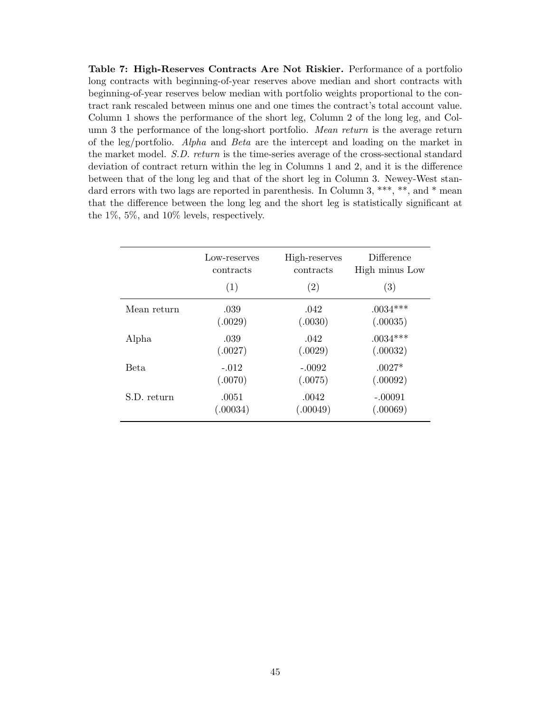<span id="page-46-0"></span>Table 7: High-Reserves Contracts Are Not Riskier. Performance of a portfolio long contracts with beginning-of-year reserves above median and short contracts with beginning-of-year reserves below median with portfolio weights proportional to the contract rank rescaled between minus one and one times the contract's total account value. Column 1 shows the performance of the short leg, Column 2 of the long leg, and Column 3 the performance of the long-short portfolio. Mean return is the average return of the leg/portfolio. Alpha and Beta are the intercept and loading on the market in the market model. S.D. return is the time-series average of the cross-sectional standard deviation of contract return within the leg in Columns 1 and 2, and it is the difference between that of the long leg and that of the short leg in Column 3. Newey-West standard errors with two lags are reported in parenthesis. In Column 3, \*\*\*, \*\*, and \* mean that the difference between the long leg and the short leg is statistically significant at the 1%, 5%, and 10% levels, respectively.

|             | Low-reserves | High-reserves | Difference     |
|-------------|--------------|---------------|----------------|
|             | contracts    | contracts     | High minus Low |
|             | (1)          | (2)           | (3)            |
| Mean return | .039         | .042          | $.0034***$     |
|             | (.0029)      | (.0030)       | (.00035)       |
| Alpha       | .039         | .042          | $.0034***$     |
|             | (.0027)      | (.0029)       | (.00032)       |
| Beta        | $-.012$      | $-.0092$      | $.0027*$       |
|             | (.0070)      | (.0075)       | (.00092)       |
| S.D. return | .0051        | .0042         | $-.00091$      |
|             | (.00034)     | (.00049)      | (.00069)       |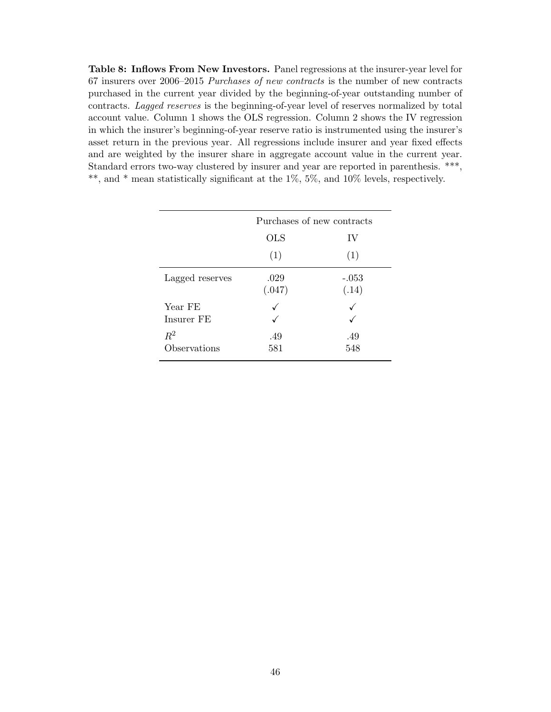<span id="page-47-0"></span>Table 8: Inflows From New Investors. Panel regressions at the insurer-year level for 67 insurers over 2006–2015 Purchases of new contracts is the number of new contracts purchased in the current year divided by the beginning-of-year outstanding number of contracts. Lagged reserves is the beginning-of-year level of reserves normalized by total account value. Column 1 shows the OLS regression. Column 2 shows the IV regression in which the insurer's beginning-of-year reserve ratio is instrumented using the insurer's asset return in the previous year. All regressions include insurer and year fixed effects and are weighted by the insurer share in aggregate account value in the current year. Standard errors two-way clustered by insurer and year are reported in parenthesis. \*\*\*, \*\*, and \* mean statistically significant at the 1%, 5%, and 10% levels, respectively.

|                 | Purchases of new contracts |                  |  |  |
|-----------------|----------------------------|------------------|--|--|
|                 | <b>OLS</b>                 | IV               |  |  |
|                 | (1)                        | (1)              |  |  |
| Lagged reserves | .029<br>(.047)             | $-.053$<br>(.14) |  |  |
| Year FE         |                            | ✓                |  |  |
| Insurer FE      |                            |                  |  |  |
| $R^2$           | .49                        | .49              |  |  |
| Observations    | 581                        | 548              |  |  |
|                 |                            |                  |  |  |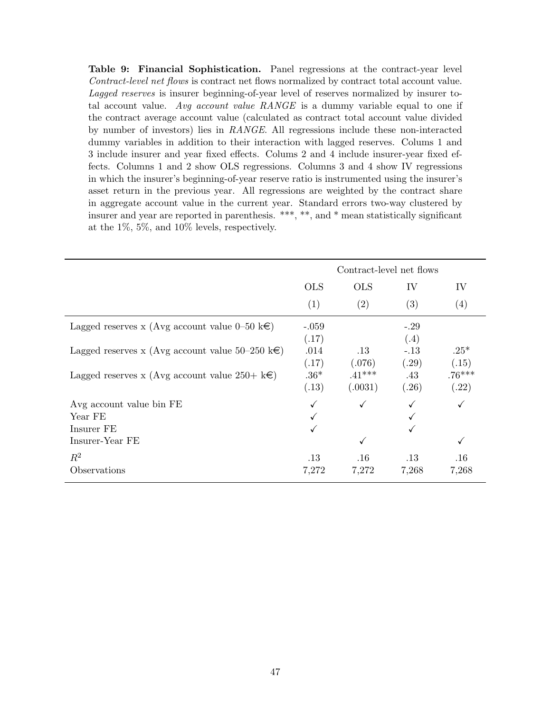<span id="page-48-0"></span>Table 9: Financial Sophistication. Panel regressions at the contract-year level Contract-level net flows is contract net flows normalized by contract total account value. Lagged reserves is insurer beginning-of-year level of reserves normalized by insurer total account value. Avg account value  $RANGE$  is a dummy variable equal to one if the contract average account value (calculated as contract total account value divided by number of investors) lies in RANGE. All regressions include these non-interacted dummy variables in addition to their interaction with lagged reserves. Colums 1 and 3 include insurer and year fixed effects. Colums 2 and 4 include insurer-year fixed effects. Columns 1 and 2 show OLS regressions. Columns 3 and 4 show IV regressions in which the insurer's beginning-of-year reserve ratio is instrumented using the insurer's asset return in the previous year. All regressions are weighted by the contract share in aggregate account value in the current year. Standard errors two-way clustered by insurer and year are reported in parenthesis. \*\*\*, \*\*, and \* mean statistically significant at the 1%, 5%, and 10% levels, respectively.

|                                                            | Contract-level net flows |              |        |          |
|------------------------------------------------------------|--------------------------|--------------|--------|----------|
|                                                            | <b>OLS</b>               | <b>OLS</b>   | IV     | IV       |
|                                                            | (1)                      | (2)          | (3)    | (4)      |
| Lagged reserves x (Avg account value 0–50 k $\epsilon$ )   | $-.059$                  |              | $-.29$ |          |
|                                                            | (.17)                    |              | (.4)   |          |
| Lagged reserves x (Avg account value 50–250 k $\epsilon$ ) | .014                     | $.13\,$      | $-.13$ | $.25*$   |
|                                                            | (.17)                    | (.076)       | (.29)  | (.15)    |
| Lagged reserves x (Avg account value 250+ $k\in$ )         | $.36*$                   | $.41***$     | .43    | $.76***$ |
|                                                            | (.13)                    | (.0031)      | (.26)  | (.22)    |
| Avg account value bin FE                                   |                          | $\checkmark$ |        |          |
| Year FE                                                    |                          |              |        |          |
| Insurer FE                                                 |                          |              |        |          |
| Insurer-Year FE                                            |                          | $\checkmark$ |        | ✓        |
| $R^2$                                                      | $.13\,$                  | .16          | .13    | .16      |
| Observations                                               | 7,272                    | 7,272        | 7,268  | 7,268    |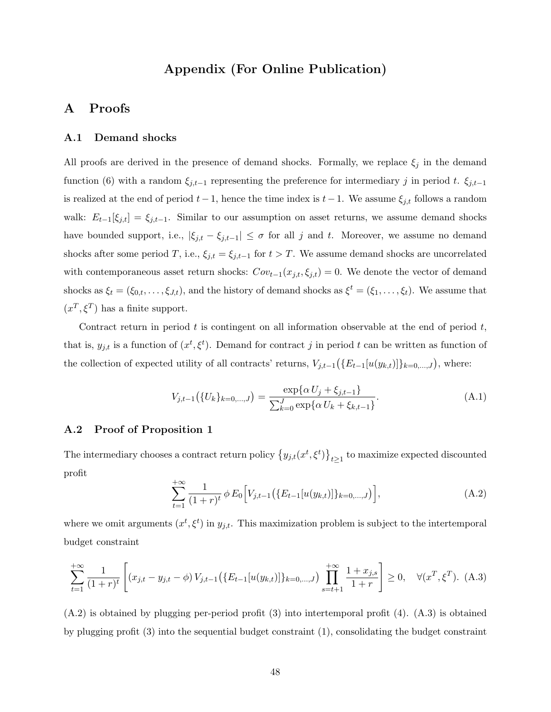# Appendix (For Online Publication)

# A Proofs

### A.1 Demand shocks

All proofs are derived in the presence of demand shocks. Formally, we replace  $\xi_j$  in the demand function [\(6\)](#page-10-4) with a random  $\xi_{j,t-1}$  representing the preference for intermediary j in period t.  $\xi_{j,t-1}$ is realized at the end of period  $t-1$ , hence the time index is  $t-1$ . We assume  $\xi_{j,t}$  follows a random walk:  $E_{t-1}[\xi_{j,t}] = \xi_{j,t-1}$ . Similar to our assumption on asset returns, we assume demand shocks have bounded support, i.e.,  $|\xi_{j,t} - \xi_{j,t-1}| \leq \sigma$  for all j and t. Moreover, we assume no demand shocks after some period T, i.e.,  $\xi_{j,t} = \xi_{j,t-1}$  for  $t > T$ . We assume demand shocks are uncorrelated with contemporaneous asset return shocks:  $Cov_{t-1}(x_{j,t}, \xi_{j,t}) = 0$ . We denote the vector of demand shocks as  $\xi_t = (\xi_{0,t}, \ldots, \xi_{J,t})$ , and the history of demand shocks as  $\xi^t = (\xi_1, \ldots, \xi_t)$ . We assume that  $(x^T, \xi^T)$  has a finite support.

Contract return in period  $t$  is contingent on all information observable at the end of period  $t$ , that is,  $y_{j,t}$  is a function of  $(x^t, \xi^t)$ . Demand for contract j in period t can be written as function of the collection of expected utility of all contracts' returns,  $V_{j,t-1}(\lbrace E_{t-1}[u(y_{k,t})]\rbrace_{k=0,\ldots,J}),$  where:

<span id="page-49-3"></span>
$$
V_{j,t-1}(\{U_k\}_{k=0,\ldots,J}) = \frac{\exp\{\alpha U_j + \xi_{j,t-1}\}}{\sum_{k=0}^J \exp\{\alpha U_k + \xi_{k,t-1}\}}.
$$
(A.1)

### <span id="page-49-0"></span>A.2 Proof of Proposition [1](#page-11-2)

The intermediary chooses a contract return policy  $\{y_{j,t}(x^t, \xi^t)\}_{t\geq 1}$  to maximize expected discounted profit

<span id="page-49-2"></span>
$$
\sum_{t=1}^{+\infty} \frac{1}{(1+r)^t} \phi E_0 \Big[ V_{j,t-1} \big( \{ E_{t-1} [u(y_{k,t})] \}_{k=0,\dots,J} \big) \Big], \tag{A.2}
$$

where we omit arguments  $(x^t, \xi^t)$  in  $y_{j,t}$ . This maximization problem is subject to the intertemporal budget constraint

<span id="page-49-1"></span>
$$
\sum_{t=1}^{+\infty} \frac{1}{(1+r)^t} \left[ (x_{j,t} - y_{j,t} - \phi) V_{j,t-1} \left( \{ E_{t-1} [u(y_{k,t})] \}_{k=0,\dots,J} \right) \prod_{s=t+1}^{+\infty} \frac{1+x_{j,s}}{1+r} \right] \ge 0, \quad \forall (x^T, \xi^T). \tag{A.3}
$$

[\(A.2\)](#page-49-2) is obtained by plugging per-period profit [\(3\)](#page-9-1) into intertemporal profit [\(4\)](#page-9-3). [\(A.3\)](#page-49-1) is obtained by plugging profit [\(3\)](#page-9-1) into the sequential budget constraint [\(1\)](#page-8-2), consolidating the budget constraint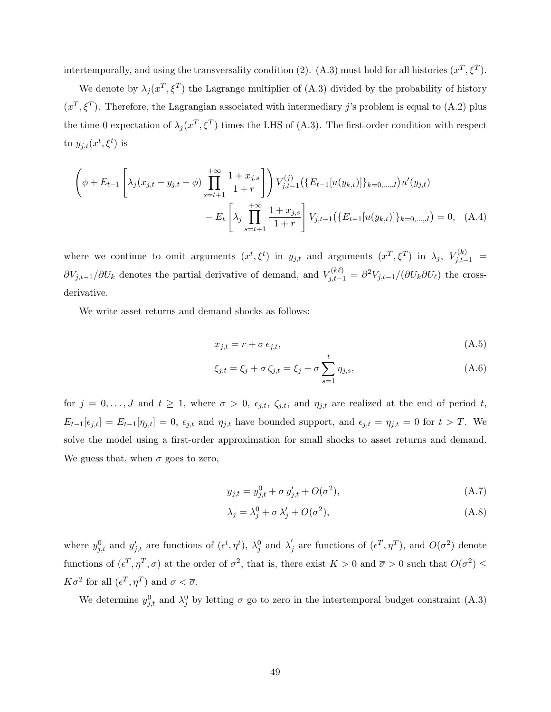intertemporally, and using the transversality condition [\(2\)](#page-8-3). [\(A.3\)](#page-49-1) must hold for all histories  $(x^T, \xi^T)$ .

We denote by  $\lambda_j(x^T, \xi^T)$  the Lagrange multiplier of [\(A.3\)](#page-49-1) divided by the probability of history  $(x^T, \xi^T)$ . Therefore, the Lagrangian associated with intermediary j's problem is equal to [\(A.2\)](#page-49-2) plus the time-0 expectation of  $\lambda_j(x^T, \xi^T)$  times the LHS of [\(A.3\)](#page-49-1). The first-order condition with respect to  $y_{j,t}(x^t, \xi^t)$  is

$$
\left(\phi + E_{t-1} \left[ \lambda_j(x_{j,t} - y_{j,t} - \phi) \prod_{s=t+1}^{+\infty} \frac{1 + x_{j,s}}{1+r} \right] \right) V_{j,t-1}^{(j)} \left( \{E_{t-1}[u(y_{k,t})] \}_{k=0,\ldots,J} \right) u'(y_{j,t})
$$

$$
- E_t \left[ \lambda_j \prod_{s=t+1}^{+\infty} \frac{1 + x_{j,s}}{1+r} \right] V_{j,t-1} \left( \{E_{t-1}[u(y_{k,t})] \}_{k=0,\ldots,J} \right) = 0, \quad (A.4)
$$

where we continue to omit arguments  $(x^t, \xi^t)$  in  $y_{j,t}$  and arguments  $(x^T, \xi^T)$  in  $\lambda_j$ ,  $V_{j,t-1}^{(k)}$  =  $\partial V_{j,t-1}/\partial U_k$  denotes the partial derivative of demand, and  $V_{j,t-1}^{(k\ell)} = \partial^2 V_{j,t-1}/(\partial U_k \partial U_\ell)$  the crossderivative.

We write asset returns and demand shocks as follows:

<span id="page-50-0"></span>
$$
x_{j,t} = r + \sigma \epsilon_{j,t},\tag{A.5}
$$

$$
\xi_{j,t} = \xi_j + \sigma \zeta_{j,t} = \xi_j + \sigma \sum_{s=1}^t \eta_{j,s},
$$
\n(A.6)

for  $j = 0, \ldots, J$  and  $t \ge 1$ , where  $\sigma > 0$ ,  $\epsilon_{j,t}$ ,  $\zeta_{j,t}$ , and  $\eta_{j,t}$  are realized at the end of period t,  $E_{t-1}[\epsilon_{j,t}] = E_{t-1}[\eta_{j,t}] = 0$ ,  $\epsilon_{j,t}$  and  $\eta_{j,t}$  have bounded support, and  $\epsilon_{j,t} = \eta_{j,t} = 0$  for  $t > T$ . We solve the model using a first-order approximation for small shocks to asset returns and demand. We guess that, when  $\sigma$  goes to zero,

$$
y_{j,t} = y_{j,t}^0 + \sigma y_{j,t}^{\prime} + O(\sigma^2), \tag{A.7}
$$

$$
\lambda_j = \lambda_j^0 + \sigma \lambda_j' + O(\sigma^2),\tag{A.8}
$$

where  $y_{j,t}^0$  and  $y_{j,t}'$  are functions of  $(\epsilon^t, \eta^t)$ ,  $\lambda_j^0$  and  $\lambda_j'$  $j$  are functions of  $(\epsilon^T, \eta^T)$ , and  $O(\sigma^2)$  denote functions of  $(\epsilon^T, \eta^T, \sigma)$  at the order of  $\sigma^2$ , that is, there exist  $K > 0$  and  $\overline{\sigma} > 0$  such that  $O(\sigma^2) \leq$  $K\sigma^2$  for all  $(\epsilon^T, \eta^T)$  and  $\sigma < \overline{\sigma}$ .

We determine  $y_{j,t}^0$  and  $\lambda_j^0$  by letting  $\sigma$  go to zero in the intertemporal budget constraint [\(A.3\)](#page-49-1)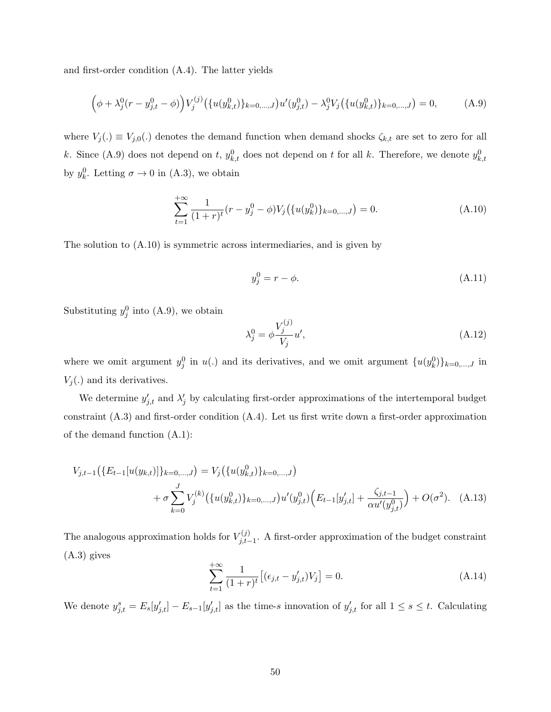and first-order condition [\(A.4\)](#page-50-0). The latter yields

<span id="page-51-0"></span>
$$
(\phi + \lambda_j^0 (r - y_{j,t}^0 - \phi)) V_j^{(j)} (\{u(y_{k,t}^0)\}_{k=0,\dots,J}) u'(y_{j,t}^0) - \lambda_j^0 V_j (\{u(y_{k,t}^0)\}_{k=0,\dots,J}) = 0,
$$
 (A.9)

where  $V_j(.) \equiv V_{j,0}(.)$  denotes the demand function when demand shocks  $\zeta_{k,t}$  are set to zero for all k. Since [\(A.9\)](#page-51-0) does not depend on t,  $y_{k,t}^0$  does not depend on t for all k. Therefore, we denote  $y_{k,t}^0$ by  $y_k^0$ . Letting  $\sigma \to 0$  in [\(A.3\)](#page-49-1), we obtain

<span id="page-51-1"></span>
$$
\sum_{t=1}^{+\infty} \frac{1}{(1+r)^t} (r - y_j^0 - \phi) V_j(\{u(y_k^0)\}_{k=0,\dots,J}) = 0.
$$
\n(A.10)

The solution to [\(A.10\)](#page-51-1) is symmetric across intermediaries, and is given by

<span id="page-51-4"></span>
$$
y_j^0 = r - \phi. \tag{A.11}
$$

Substituting  $y_j^0$  into [\(A.9\)](#page-51-0), we obtain

<span id="page-51-3"></span>
$$
\lambda_j^0 = \phi \frac{V_j^{(j)}}{V_j} u',\tag{A.12}
$$

where we omit argument  $y_j^0$  in  $u(.)$  and its derivatives, and we omit argument  $\{u(y_k^0)\}_{k=0,\dots,J}$  in  $V_i(.)$  and its derivatives.

We determine  $y'_{j,t}$  and  $\lambda'_{j}$  by calculating first-order approximations of the intertemporal budget constraint [\(A.3\)](#page-49-1) and first-order condition [\(A.4\)](#page-50-0). Let us first write down a first-order approximation of the demand function [\(A.1\)](#page-49-3):

$$
V_{j,t-1}(\lbrace E_{t-1}[u(y_{k,t})]\rbrace_{k=0,\ldots,J}) = V_j(\lbrace u(y_{k,t}^0)\rbrace_{k=0,\ldots,J})
$$
  
+  $\sigma \sum_{k=0}^J V_j^{(k)}(\lbrace u(y_{k,t}^0)\rbrace_{k=0,\ldots,J})u'(y_{j,t}^0)\Bigl(E_{t-1}[y'_{j,t}] + \frac{\zeta_{j,t-1}}{\alpha u'(y_{j,t}^0)}\Bigr) + O(\sigma^2).$  (A.13)

The analogous approximation holds for  $V_{i,t}^{(j)}$  $j_{j,t-1}^{(j)}$ . A first-order approximation of the budget constraint [\(A.3\)](#page-49-1) gives

<span id="page-51-2"></span>
$$
\sum_{t=1}^{+\infty} \frac{1}{(1+r)^t} \left[ (\epsilon_{j,t} - y'_{j,t}) V_j \right] = 0.
$$
 (A.14)

We denote  $y_{j,t}^s = E_s[y'_{j,t}] - E_{s-1}[y'_{j,t}]$  as the time-s innovation of  $y'_{j,t}$  for all  $1 \leq s \leq t$ . Calculating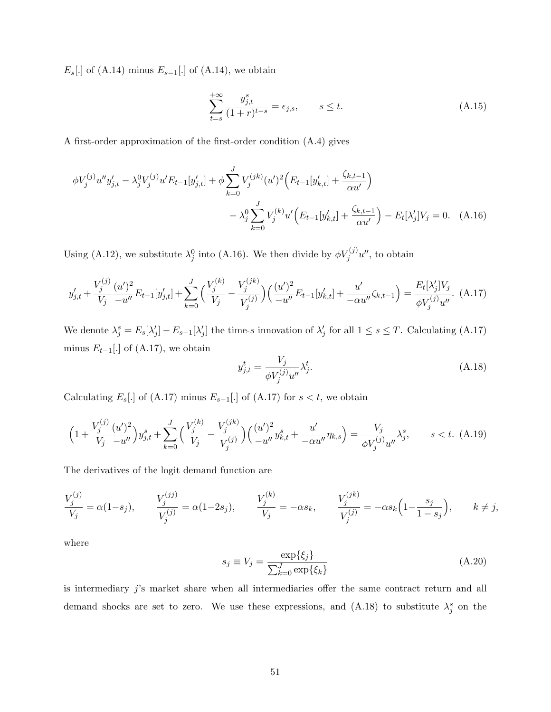$E_s[.]$  of [\(A.14\)](#page-51-2) minus  $E_{s-1}[.]$  of (A.14), we obtain

<span id="page-52-4"></span><span id="page-52-2"></span>
$$
\sum_{t=s}^{+\infty} \frac{y_{j,t}^s}{(1+r)^{t-s}} = \epsilon_{j,s}, \qquad s \le t.
$$
\n(A.15)

A first-order approximation of the first-order condition [\(A.4\)](#page-50-0) gives

$$
\phi V_j^{(j)} u'' y'_{j,t} - \lambda_j^0 V_j^{(j)} u' E_{t-1} [y'_{j,t}] + \phi \sum_{k=0}^J V_j^{(jk)} (u')^2 \Big( E_{t-1} [y'_{k,t}] + \frac{\zeta_{k,t-1}}{\alpha u'} \Big) - \lambda_j^0 \sum_{k=0}^J V_j^{(k)} u' \Big( E_{t-1} [y'_{k,t}] + \frac{\zeta_{k,t-1}}{\alpha u'} \Big) - E_t [\lambda_j'] V_j = 0. \quad (A.16)
$$

Using [\(A.12\)](#page-51-3), we substitute  $\lambda_j^0$  into [\(A.16\)](#page-52-2). We then divide by  $\phi V_j^{(j)}u''$ , to obtain

<span id="page-52-0"></span>
$$
y'_{j,t} + \frac{V_j^{(j)}}{V_j} \frac{(u')^2}{-u''} E_{t-1}[y'_{j,t}] + \sum_{k=0}^J \Big(\frac{V_j^{(k)}}{V_j} - \frac{V_j^{(jk)}}{V_j^{(j)}}\Big) \Big(\frac{(u')^2}{-u''} E_{t-1}[y'_{k,t}] + \frac{u'}{-\alpha u''} \zeta_{k,t-1} \Big) = \frac{E_t[\lambda'_j] V_j}{\phi V_j^{(j)} u''}. \tag{A.17}
$$

We denote  $\lambda_j^s = E_s[\lambda'_j] - E_{s-1}[\lambda'_j]$  the time-s innovation of  $\lambda'_j$  for all  $1 \leq s \leq T$ . Calculating [\(A.17\)](#page-52-0) minus  $E_{t-1}$ [.] of [\(A.17\)](#page-52-0), we obtain

<span id="page-52-1"></span>
$$
y_{j,t}^t = \frac{V_j}{\phi V_j^{(j)} u''} \lambda_j^t. \tag{A.18}
$$

Calculating  $E_s[.]$  of [\(A.17\)](#page-52-0) minus  $E_{s-1}$ [.] of (A.17) for  $s < t$ , we obtain

<span id="page-52-3"></span>
$$
\left(1+\frac{V_j^{(j)}}{V_j}\frac{(u')^2}{-u''}\right)y_{j,t}^s + \sum_{k=0}^J \Big(\frac{V_j^{(k)}}{V_j} - \frac{V_j^{(jk)}}{V_j^{(j)}}\Big) \Big(\frac{(u')^2}{-u''}y_{k,t}^s + \frac{u'}{-\alpha u''}\eta_{k,s}\Big) = \frac{V_j}{\phi V_j^{(j)}u''}\lambda_j^s, \qquad s < t. \tag{A.19}
$$

The derivatives of the logit demand function are

$$
\frac{V_j^{(j)}}{V_j} = \alpha(1-s_j), \qquad \frac{V_j^{(jj)}}{V_j^{(j)}} = \alpha(1-2s_j), \qquad \frac{V_j^{(k)}}{V_j} = -\alpha s_k, \qquad \frac{V_j^{(jk)}}{V_j^{(j)}} = -\alpha s_k \left(1 - \frac{s_j}{1-s_j}\right), \qquad k \neq j,
$$

where

<span id="page-52-5"></span>
$$
s_j \equiv V_j = \frac{\exp\{\xi_j\}}{\sum_{k=0}^J \exp\{\xi_k\}}\tag{A.20}
$$

is intermediary  $j$ 's market share when all intermediaries offer the same contract return and all demand shocks are set to zero. We use these expressions, and  $(A.18)$  to substitute  $\lambda_j^s$  on the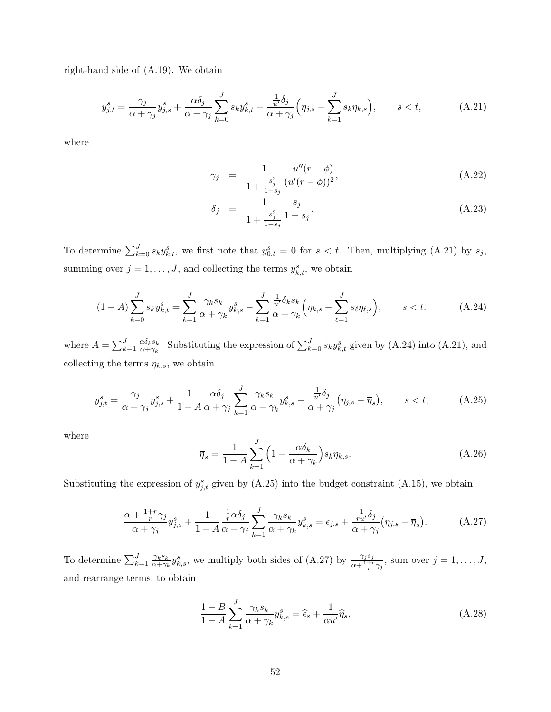right-hand side of [\(A.19\)](#page-52-3). We obtain

<span id="page-53-1"></span>
$$
y_{j,t}^s = \frac{\gamma_j}{\alpha + \gamma_j} y_{j,s}^s + \frac{\alpha \delta_j}{\alpha + \gamma_j} \sum_{k=0}^J s_k y_{k,t}^s - \frac{\frac{1}{u'} \delta_j}{\alpha + \gamma_j} \left( \eta_{j,s} - \sum_{k=1}^J s_k \eta_{k,s} \right), \qquad s < t,
$$
 (A.21)

where

<span id="page-53-4"></span>
$$
\gamma_j = \frac{1}{1 + \frac{s_j^2}{1 - s_j}} \frac{-u''(r - \phi)}{(u'(r - \phi))^2},
$$
\n(A.22)

$$
\delta_j = \frac{1}{1 + \frac{s_j^2}{1 - s_j}} \frac{s_j}{1 - s_j}.
$$
\n(A.23)

To determine  $\sum_{k=0}^{J} s_k y_{k,t}^s$ , we first note that  $y_{0,t}^s = 0$  for  $s < t$ . Then, multiplying [\(A.21\)](#page-53-1) by  $s_j$ , summing over  $j = 1, ..., J$ , and collecting the terms  $y_{k,t}^s$ , we obtain

<span id="page-53-0"></span>
$$
(1-A)\sum_{k=0}^{J} s_k y_{k,t}^s = \sum_{k=1}^{J} \frac{\gamma_k s_k}{\alpha + \gamma_k} y_{k,s}^s - \sum_{k=1}^{J} \frac{\frac{1}{u'} \delta_k s_k}{\alpha + \gamma_k} \left(\eta_{k,s} - \sum_{\ell=1}^{J} s_{\ell} \eta_{\ell,s}\right), \qquad s < t. \tag{A.24}
$$

where  $A = \sum_{k=1}^{J} \frac{\alpha \delta_k s_k}{\alpha + \gamma_k}$  $\frac{\alpha\delta_k s_k}{\alpha+\gamma_k}$ . Substituting the expression of  $\sum_{k=0}^J s_k y_{k,t}^s$  given by [\(A.24\)](#page-53-0) into [\(A.21\)](#page-53-1), and collecting the terms  $\eta_{k,s}$ , we obtain

<span id="page-53-3"></span>
$$
y_{j,t}^s = \frac{\gamma_j}{\alpha + \gamma_j} y_{j,s}^s + \frac{1}{1 - A} \frac{\alpha \delta_j}{\alpha + \gamma_j} \sum_{k=1}^J \frac{\gamma_k s_k}{\alpha + \gamma_k} y_{k,s}^s - \frac{\frac{1}{u'} \delta_j}{\alpha + \gamma_j} \left( \eta_{j,s} - \overline{\eta}_s \right), \qquad s < t,
$$
 (A.25)

where

<span id="page-53-6"></span>
$$
\overline{\eta}_s = \frac{1}{1 - A} \sum_{k=1}^{J} \left( 1 - \frac{\alpha \delta_k}{\alpha + \gamma_k} \right) s_k \eta_{k,s}.
$$
\n(A.26)

Substituting the expression of  $y_{j,t}^s$  given by [\(A.25\)](#page-53-3) into the budget constraint [\(A.15\)](#page-52-4), we obtain

<span id="page-53-2"></span>
$$
\frac{\alpha + \frac{1+r}{r}\gamma_j}{\alpha + \gamma_j} y_{j,s}^s + \frac{1}{1-A} \frac{\frac{1}{r}\alpha \delta_j}{\alpha + \gamma_j} \sum_{k=1}^J \frac{\gamma_k s_k}{\alpha + \gamma_k} y_{k,s}^s = \epsilon_{j,s} + \frac{\frac{1}{r\alpha'}\delta_j}{\alpha + \gamma_j} (\eta_{j,s} - \overline{\eta}_s). \tag{A.27}
$$

To determine  $\sum_{k=1}^{J} \frac{\gamma_k s_k}{\alpha + \gamma_k}$  $\frac{\gamma_k s_k}{\alpha + \gamma_k} y_{k,s}^s$ , we multiply both sides of [\(A.27\)](#page-53-2) by  $\frac{\gamma_j s_j}{\alpha + \frac{1+r}{r}\gamma_j}$ , sum over  $j = 1, \ldots, J$ , and rearrange terms, to obtain

<span id="page-53-5"></span>
$$
\frac{1-B}{1-A} \sum_{k=1}^{J} \frac{\gamma_k s_k}{\alpha + \gamma_k} y_{k,s}^s = \hat{\epsilon}_s + \frac{1}{\alpha u'} \hat{\eta}_s,
$$
\n(A.28)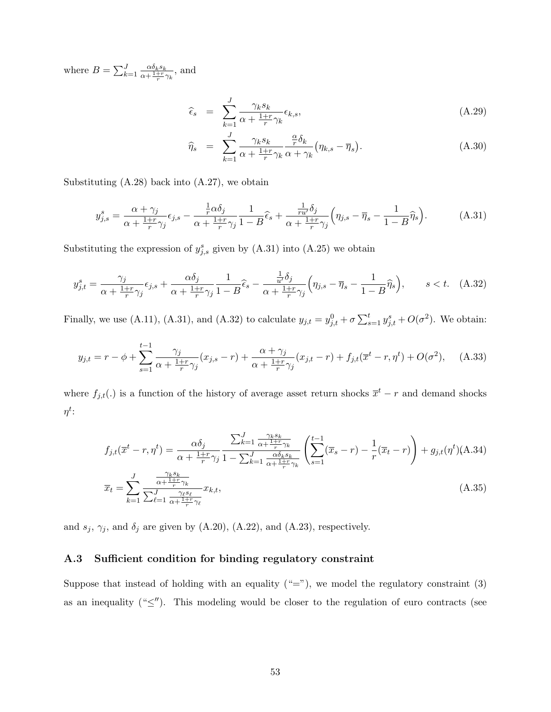where  $B = \sum_{k=1}^{J} \frac{\alpha \delta_k s_k}{\alpha + \frac{1+r}{2}}$  $\frac{\alpha o_k s_k}{\alpha + \frac{1+r}{r} \gamma_k}$ , and

<span id="page-54-4"></span>
$$
\widehat{\epsilon}_s = \sum_{k=1}^J \frac{\gamma_k s_k}{\alpha + \frac{1+r}{r} \gamma_k} \epsilon_{k,s},\tag{A.29}
$$

$$
\widehat{\eta}_s = \sum_{k=1}^J \frac{\gamma_k s_k}{\alpha + \frac{1+r}{r} \gamma_k} \frac{\frac{\alpha}{r} \delta_k}{\alpha + \gamma_k} \left( \eta_{k,s} - \overline{\eta}_s \right). \tag{A.30}
$$

Substituting  $(A.28)$  back into  $(A.27)$ , we obtain

<span id="page-54-2"></span>
$$
y_{j,s}^s = \frac{\alpha + \gamma_j}{\alpha + \frac{1+r}{r}\gamma_j} \epsilon_{j,s} - \frac{\frac{1}{r}\alpha\delta_j}{\alpha + \frac{1+r}{r}\gamma_j} \frac{1}{1-B}\widehat{\epsilon}_s + \frac{\frac{1}{ru'}\delta_j}{\alpha + \frac{1+r}{r}\gamma_j} \left(\eta_{j,s} - \overline{\eta}_s - \frac{1}{1-B}\widehat{\eta}_s\right). \tag{A.31}
$$

Substituting the expression of  $y_{j,s}^s$  given by [\(A.31\)](#page-54-2) into [\(A.25\)](#page-53-3) we obtain

<span id="page-54-1"></span>
$$
y_{j,t}^s = \frac{\gamma_j}{\alpha + \frac{1+r}{r}\gamma_j} \epsilon_{j,s} + \frac{\alpha \delta_j}{\alpha + \frac{1+r}{r}\gamma_j} \frac{1}{1 - B} \hat{\epsilon}_s - \frac{\frac{1}{u'} \delta_j}{\alpha + \frac{1+r}{r}\gamma_j} \left(\eta_{j,s} - \overline{\eta}_s - \frac{1}{1 - B} \widehat{\eta}_s\right), \qquad s < t. \quad \text{(A.32)}
$$

Finally, we use [\(A.11\)](#page-51-4), [\(A.31\)](#page-54-2), and [\(A.32\)](#page-54-1) to calculate  $y_{j,t} = y_{j,t}^0 + \sigma \sum_{s=1}^t y_{j,t}^s + O(\sigma^2)$ . We obtain:

$$
y_{j,t} = r - \phi + \sum_{s=1}^{t-1} \frac{\gamma_j}{\alpha + \frac{1+r}{r}\gamma_j} (x_{j,s} - r) + \frac{\alpha + \gamma_j}{\alpha + \frac{1+r}{r}\gamma_j} (x_{j,t} - r) + f_{j,t}(\overline{x}^t - r, \eta^t) + O(\sigma^2), \quad (A.33)
$$

where  $f_{j,t}(.)$  is a function of the history of average asset return shocks  $\bar{x}^t - r$  and demand shocks  $\eta^t$ :

<span id="page-54-3"></span>
$$
f_{j,t}(\overline{x}^t - r, \eta^t) = \frac{\alpha \delta_j}{\alpha + \frac{1+r}{r} \gamma_j} \frac{\sum_{k=1}^J \frac{\gamma_k s_k}{\alpha + \frac{1+r}{r} \gamma_k}}{1 - \sum_{k=1}^J \frac{\alpha \delta_k s_k}{\alpha + \frac{1+r}{r} \gamma_k}} \left( \sum_{s=1}^{t-1} (\overline{x}_s - r) - \frac{1}{r} (\overline{x}_t - r) \right) + g_{j,t}(\eta^t) \text{(A.34)}
$$

$$
\overline{x}_t = \sum_{k=1}^J \frac{\frac{\gamma_k s_k}{\alpha + \frac{1+r}{r} \gamma_k}}{\sum_{\ell=1}^J \frac{\gamma_\ell s_\ell}{\alpha + \frac{1+r}{r} \gamma_\ell}} x_{k,t},\tag{A.35}
$$

and  $s_j$ ,  $\gamma_j$ , and  $\delta_j$  are given by [\(A.20\)](#page-52-5), [\(A.22\)](#page-53-4), and [\(A.23\)](#page-53-4), respectively.

### <span id="page-54-0"></span>A.3 Sufficient condition for binding regulatory constraint

Suppose that instead of holding with an equality  $($ "="), we model the regulatory constraint [\(3\)](#page-9-1) as an inequality (" $\leq$ "). This modeling would be closer to the regulation of euro contracts (see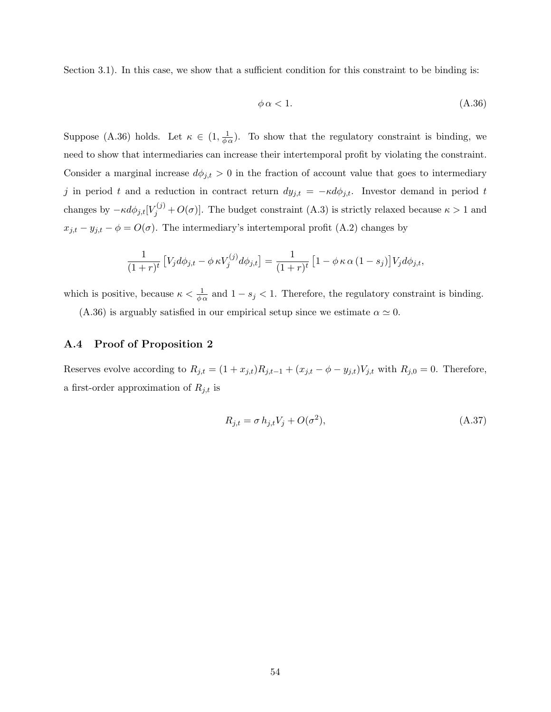Section [3.1\)](#page-17-0). In this case, we show that a sufficient condition for this constraint to be binding is:

<span id="page-55-0"></span>
$$
\phi \alpha < 1. \tag{A.36}
$$

Suppose [\(A.36\)](#page-55-0) holds. Let  $\kappa \in (1, \frac{1}{\phi \alpha})$ . To show that the regulatory constraint is binding, we need to show that intermediaries can increase their intertemporal profit by violating the constraint. Consider a marginal increase  $d\phi_{j,t} > 0$  in the fraction of account value that goes to intermediary j in period t and a reduction in contract return  $dy_{j,t} = -\kappa d\phi_{j,t}$ . Investor demand in period t changes by  $-\kappa d\phi_{j,t}[V_j^{(j)} + O(\sigma)]$ . The budget constraint [\(A.3\)](#page-49-1) is strictly relaxed because  $\kappa > 1$  and  $x_{j,t} - y_{j,t} - \phi = O(\sigma)$ . The intermediary's intertemporal profit [\(A.2\)](#page-49-2) changes by

$$
\frac{1}{(1+r)^t} \left[ V_j d\phi_{j,t} - \phi \kappa V_j^{(j)} d\phi_{j,t} \right] = \frac{1}{(1+r)^t} \left[ 1 - \phi \kappa \alpha (1-s_j) \right] V_j d\phi_{j,t},
$$

which is positive, because  $\kappa < \frac{1}{\phi \alpha}$  and  $1 - s_j < 1$ . Therefore, the regulatory constraint is binding.

[\(A.36\)](#page-55-0) is arguably satisfied in our empirical setup since we estimate  $\alpha \simeq 0$ .

### A.4 Proof of Proposition [2](#page-12-0)

Reserves evolve according to  $R_{j,t} = (1 + x_{j,t})R_{j,t-1} + (x_{j,t} - \phi - y_{j,t})V_{j,t}$  with  $R_{j,0} = 0$ . Therefore, a first-order approximation of  $R_{j,t}$  is

<span id="page-55-1"></span>
$$
R_{j,t} = \sigma h_{j,t} V_j + O(\sigma^2),\tag{A.37}
$$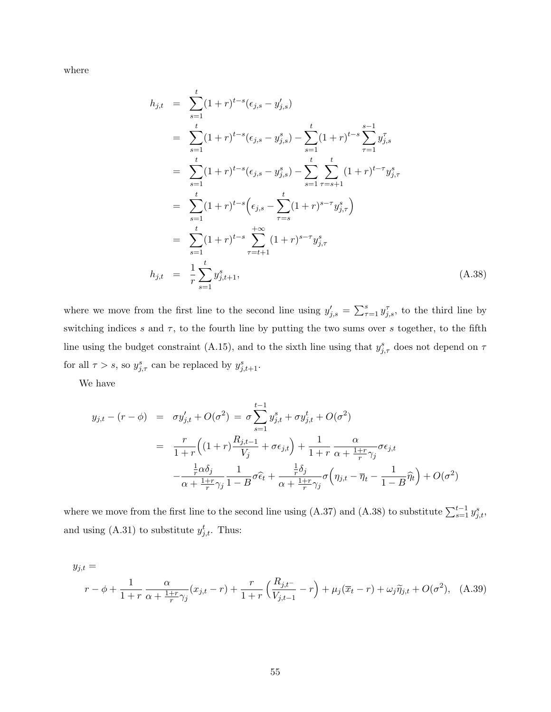where

<span id="page-56-0"></span>
$$
h_{j,t} = \sum_{s=1}^{t} (1+r)^{t-s} (\epsilon_{j,s} - y'_{j,s})
$$
  
\n
$$
= \sum_{s=1}^{t} (1+r)^{t-s} (\epsilon_{j,s} - y^s_{j,s}) - \sum_{s=1}^{t} (1+r)^{t-s} \sum_{\tau=1}^{s-1} y^{\tau}_{j,s}
$$
  
\n
$$
= \sum_{s=1}^{t} (1+r)^{t-s} (\epsilon_{j,s} - y^s_{j,s}) - \sum_{s=1}^{t} \sum_{\tau=s+1}^{t} (1+r)^{t-\tau} y^s_{j,\tau}
$$
  
\n
$$
= \sum_{s=1}^{t} (1+r)^{t-s} (\epsilon_{j,s} - \sum_{\tau=s}^{t} (1+r)^{s-\tau} y^s_{j,\tau})
$$
  
\n
$$
= \sum_{s=1}^{t} (1+r)^{t-s} \sum_{\tau=t+1}^{+\infty} (1+r)^{s-\tau} y^s_{j,\tau}
$$
  
\n
$$
h_{j,t} = \frac{1}{r} \sum_{s=1}^{t} y^s_{j,t+1}, \qquad (A.38)
$$

where we move from the first line to the second line using  $y'_{j,s} = \sum_{\tau=1}^s y_{j,s}^{\tau}$ , to the third line by switching indices s and  $\tau$ , to the fourth line by putting the two sums over s together, to the fifth line using the budget constraint [\(A.15\)](#page-52-4), and to the sixth line using that  $y_{j,\tau}^s$  does not depend on  $\tau$ for all  $\tau > s$ , so  $y_{j,\tau}^s$  can be replaced by  $y_{j,t+1}^s$ .

We have

$$
y_{j,t} - (r - \phi) = \sigma y'_{j,t} + O(\sigma^2) = \sigma \sum_{s=1}^{t-1} y^s_{j,t} + \sigma y^t_{j,t} + O(\sigma^2)
$$
  

$$
= \frac{r}{1+r} \left( (1+r) \frac{R_{j,t-1}}{V_j} + \sigma \epsilon_{j,t} \right) + \frac{1}{1+r} \frac{\alpha}{\alpha + \frac{1+r}{r} \gamma_j} \sigma \epsilon_{j,t}
$$

$$
- \frac{\frac{1}{r} \alpha \delta_j}{\alpha + \frac{1+r}{r} \gamma_j} \frac{1}{1-B} \sigma \hat{\epsilon}_t + \frac{\frac{1}{r} \delta_j}{\alpha + \frac{1+r}{r} \gamma_j} \sigma \left( \eta_{j,t} - \overline{\eta}_t - \frac{1}{1-B} \widehat{\eta}_t \right) + O(\sigma^2)
$$

where we move from the first line to the second line using [\(A.37\)](#page-55-1) and [\(A.38\)](#page-56-0) to substitute  $\sum_{s=1}^{t-1} y_{j,t}^s$ , and using  $(A.31)$  to substitute  $y_{j,t}^t$ . Thus:

<span id="page-56-1"></span>
$$
y_{j,t} =
$$
  

$$
r - \phi + \frac{1}{1+r} \frac{\alpha}{\alpha + \frac{1+r}{r}\gamma_j} (x_{j,t} - r) + \frac{r}{1+r} \left( \frac{R_{j,t-}}{V_{j,t-1}} - r \right) + \mu_j (\overline{x}_{t} - r) + \omega_j \widetilde{\eta}_{j,t} + O(\sigma^2), \quad (A.39)
$$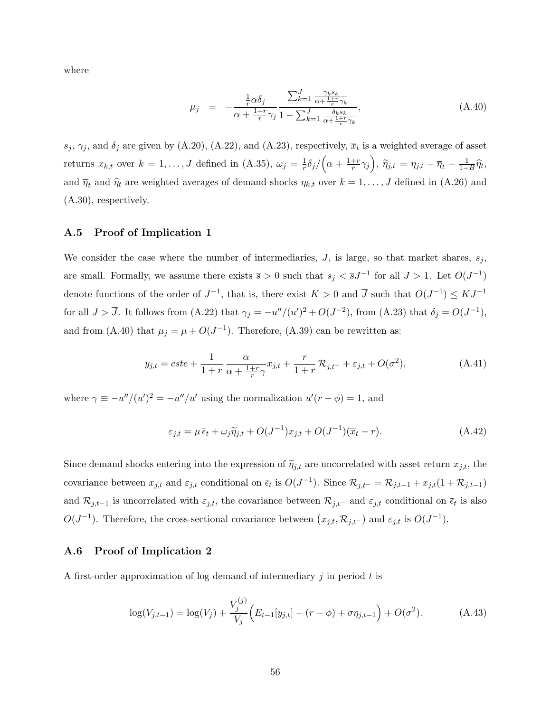where

<span id="page-57-0"></span>
$$
\mu_j = -\frac{\frac{1}{r}\alpha\delta_j}{\alpha + \frac{1+r}{r}\gamma_j} \frac{\sum_{k=1}^J \frac{\gamma_k s_k}{\alpha + \frac{1+r}{r}\gamma_k}}{1 - \sum_{k=1}^J \frac{\delta_k s_k}{\alpha + \frac{1+r}{r}\gamma_k}},\tag{A.40}
$$

 $s_j$ ,  $\gamma_j$ , and  $\delta_j$  are given by [\(A.20\)](#page-52-5), [\(A.22\)](#page-53-4), and [\(A.23\)](#page-53-4), respectively,  $\overline{x}_t$  is a weighted average of asset returns  $x_{k,t}$  over  $k = 1, \ldots, J$  defined in [\(A.35\)](#page-54-3),  $\omega_j = \frac{1}{r}$  $\frac{1}{r}\delta_j/\Big(\alpha+\frac{1+r}{r}$  $\left(\frac{+r}{r}\gamma_j\right)$ ,  $\widetilde{\eta}_{j,t} = \eta_{j,t} - \overline{\eta}_t - \frac{1}{1-B}\widehat{\eta}_t$ , and  $\bar{\eta}_t$  and  $\hat{\eta}_t$  are weighted averages of demand shocks  $\eta_{k,t}$  over  $k = 1, \ldots, J$  defined in [\(A.26\)](#page-53-6) and [\(A.30\)](#page-54-4), respectively.

### A.5 Proof of Implication [1](#page-13-2)

We consider the case where the number of intermediaries,  $J$ , is large, so that market shares,  $s_j$ , are small. Formally, we assume there exists  $\bar{s} > 0$  such that  $s_j < \bar{s} J^{-1}$  for all  $J > 1$ . Let  $O(J^{-1})$ denote functions of the order of  $J^{-1}$ , that is, there exist  $K > 0$  and  $\overline{J}$  such that  $O(J^{-1}) \leq KJ^{-1}$ for all  $J > \overline{J}$ . It follows from [\(A.22\)](#page-53-4) that  $\gamma_j = -u''/(u')^2 + O(J^{-2})$ , from [\(A.23\)](#page-53-4) that  $\delta_j = O(J^{-1})$ , and from [\(A.40\)](#page-57-0) that  $\mu_j = \mu + O(J^{-1})$ . Therefore, [\(A.39\)](#page-56-1) can be rewritten as:

$$
y_{j,t} = cste + \frac{1}{1+r} \frac{\alpha}{\alpha + \frac{1+r}{r}\gamma} x_{j,t} + \frac{r}{1+r} \mathcal{R}_{j,t-} + \varepsilon_{j,t} + O(\sigma^2), \tag{A.41}
$$

where  $\gamma \equiv -u''/(u')^2 = -u''/u'$  using the normalization  $u'(r - \phi) = 1$ , and

$$
\varepsilon_{j,t} = \mu \,\overline{\epsilon}_t + \omega_j \widetilde{\eta}_{j,t} + O(J^{-1})x_{j,t} + O(J^{-1})(\overline{x}_t - r). \tag{A.42}
$$

Since demand shocks entering into the expression of  $\tilde{\eta}_{j,t}$  are uncorrelated with asset return  $x_{j,t}$ , the covariance between  $x_{j,t}$  and  $\varepsilon_{j,t}$  conditional on  $\bar{\epsilon}_t$  is  $O(J^{-1})$ . Since  $\mathcal{R}_{j,t^-} = \mathcal{R}_{j,t-1} + x_{j,t}(1 + \mathcal{R}_{j,t-1})$ and  $\mathcal{R}_{j,t-1}$  is uncorrelated with  $\varepsilon_{j,t}$ , the covariance between  $\mathcal{R}_{j,t-1}$  and  $\varepsilon_{j,t}$  conditional on  $\bar{\epsilon}_t$  is also  $O(J^{-1})$ . Therefore, the cross-sectional covariance between  $(x_{j,t}, \mathcal{R}_{j,t-})$  and  $\varepsilon_{j,t}$  is  $O(J^{-1})$ .

### A.6 Proof of Implication [2](#page-14-2)

A first-order approximation of log demand of intermediary  $i$  in period t is

<span id="page-57-1"></span>
$$
\log(V_{j,t-1}) = \log(V_j) + \frac{V_j^{(j)}}{V_j} \left( E_{t-1}[y_{j,t}] - (r - \phi) + \sigma \eta_{j,t-1} \right) + O(\sigma^2). \tag{A.43}
$$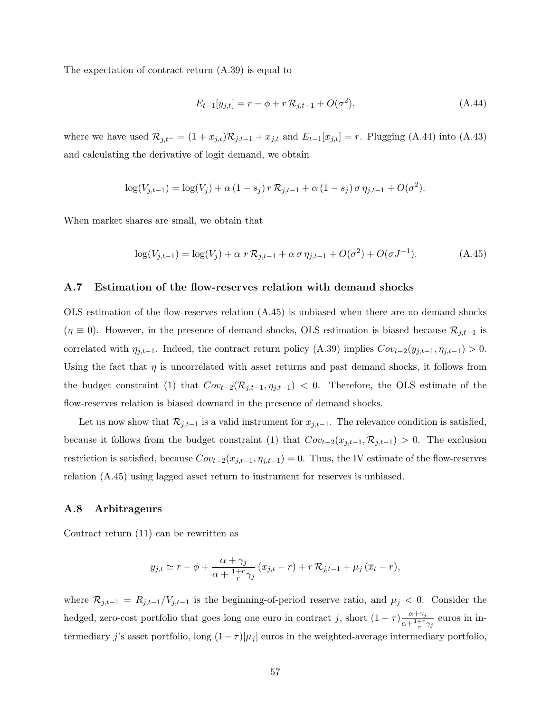The expectation of contract return [\(A.39\)](#page-56-1) is equal to

<span id="page-58-2"></span>
$$
E_{t-1}[y_{j,t}] = r - \phi + r \mathcal{R}_{j,t-1} + O(\sigma^2),
$$
\n(A.44)

where we have used  $\mathcal{R}_{j,t-1} = (1 + x_{j,t})\mathcal{R}_{j,t-1} + x_{j,t}$  and  $E_{t-1}[x_{j,t}] = r$ . Plugging [\(A.44\)](#page-58-2) into [\(A.43\)](#page-57-1) and calculating the derivative of logit demand, we obtain

$$
\log(V_{j,t-1}) = \log(V_j) + \alpha (1 - s_j) r R_{j,t-1} + \alpha (1 - s_j) \sigma \eta_{j,t-1} + O(\sigma^2).
$$

When market shares are small, we obtain that

<span id="page-58-3"></span>
$$
\log(V_{j,t-1}) = \log(V_j) + \alpha \ r \mathcal{R}_{j,t-1} + \alpha \sigma \eta_{j,t-1} + O(\sigma^2) + O(\sigma J^{-1}). \tag{A.45}
$$

### <span id="page-58-0"></span>A.7 Estimation of the flow-reserves relation with demand shocks

OLS estimation of the flow-reserves relation [\(A.45\)](#page-58-3) is unbiased when there are no demand shocks  $(\eta \equiv 0)$ . However, in the presence of demand shocks, OLS estimation is biased because  $\mathcal{R}_{j,t-1}$  is correlated with  $\eta_{j,t-1}$ . Indeed, the contract return policy [\(A.39\)](#page-56-1) implies  $Cov_{t-2}(y_{j,t-1}, \eta_{j,t-1}) > 0$ . Using the fact that  $\eta$  is uncorrelated with asset returns and past demand shocks, it follows from the budget constraint [\(1\)](#page-8-2) that  $Cov_{t-2}(\mathcal{R}_{j,t-1}, \eta_{j,t-1}) < 0$ . Therefore, the OLS estimate of the flow-reserves relation is biased downard in the presence of demand shocks.

Let us now show that  $\mathcal{R}_{j,t-1}$  is a valid instrument for  $x_{j,t-1}$ . The relevance condition is satisfied, because it follows from the budget constraint [\(1\)](#page-8-2) that  $Cov_{t-2}(x_{j,t-1}, \mathcal{R}_{j,t-1}) > 0$ . The exclusion restriction is satisfied, because  $Cov_{t-2}(x_{j,t-1}, \eta_{j,t-1}) = 0$ . Thus, the IV estimate of the flow-reserves relation [\(A.45\)](#page-58-3) using lagged asset return to instrument for reserves is unbiased.

### <span id="page-58-1"></span>A.8 Arbitrageurs

Contract return [\(11\)](#page-12-1) can be rewritten as

$$
y_{j,t} \simeq r - \phi + \frac{\alpha + \gamma_j}{\alpha + \frac{1+r}{r}\gamma_j} (x_{j,t} - r) + r \mathcal{R}_{j,t-1} + \mu_j (\overline{x}_{t} - r),
$$

where  $\mathcal{R}_{j,t-1} = R_{j,t-1}/V_{j,t-1}$  is the beginning-of-period reserve ratio, and  $\mu_j < 0$ . Consider the hedged, zero-cost portfolio that goes long one euro in contract j, short  $(1 - \tau) \frac{\alpha + \gamma_j}{\alpha + 1 + r}$  $\frac{\alpha+\gamma_j}{\alpha+\frac{1+r}{r}\gamma_j}$  euros in intermediary j's asset portfolio, long  $(1 - \tau) |\mu_j|$  euros in the weighted-average intermediary portfolio,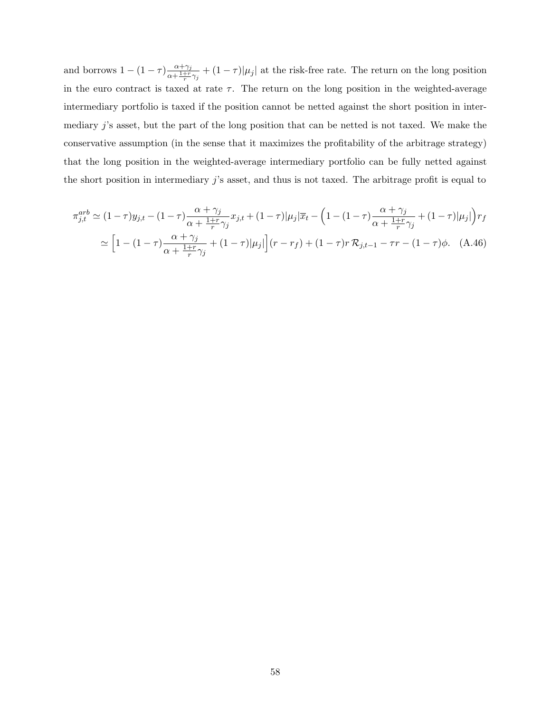and borrows  $1 - (1 - \tau) \frac{\alpha + \gamma_j}{\alpha + 1 + r}$  $\frac{\alpha+\gamma_j}{\alpha+\frac{1+r}{r}\gamma_j}+(1-\tau)|\mu_j|$  at the risk-free rate. The return on the long position in the euro contract is taxed at rate  $\tau$ . The return on the long position in the weighted-average intermediary portfolio is taxed if the position cannot be netted against the short position in intermediary j's asset, but the part of the long position that can be netted is not taxed. We make the conservative assumption (in the sense that it maximizes the profitability of the arbitrage strategy) that the long position in the weighted-average intermediary portfolio can be fully netted against the short position in intermediary j's asset, and thus is not taxed. The arbitrage profit is equal to

$$
\pi_{j,t}^{arb} \simeq (1-\tau)y_{j,t} - (1-\tau)\frac{\alpha + \gamma_j}{\alpha + \frac{1+r}{r}\gamma_j}x_{j,t} + (1-\tau)|\mu_j|\overline{x}_t - \left(1 - (1-\tau)\frac{\alpha + \gamma_j}{\alpha + \frac{1+r}{r}\gamma_j} + (1-\tau)|\mu_j|\right)r_f
$$

$$
\simeq \left[1 - (1-\tau)\frac{\alpha + \gamma_j}{\alpha + \frac{1+r}{r}\gamma_j} + (1-\tau)|\mu_j|\right](r - r_f) + (1-\tau)r\mathcal{R}_{j,t-1} - \tau r - (1-\tau)\phi. \tag{A.46}
$$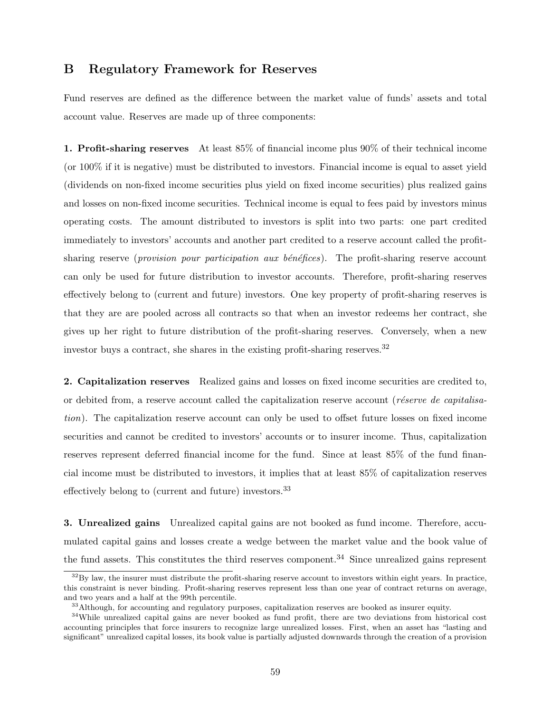## <span id="page-60-0"></span>B Regulatory Framework for Reserves

Fund reserves are defined as the difference between the market value of funds' assets and total account value. Reserves are made up of three components:

1. Profit-sharing reserves At least 85% of financial income plus 90% of their technical income (or 100% if it is negative) must be distributed to investors. Financial income is equal to asset yield (dividends on non-fixed income securities plus yield on fixed income securities) plus realized gains and losses on non-fixed income securities. Technical income is equal to fees paid by investors minus operating costs. The amount distributed to investors is split into two parts: one part credited immediately to investors' accounts and another part credited to a reserve account called the profitsharing reserve (*provision pour participation aux bénéfices*). The profit-sharing reserve account can only be used for future distribution to investor accounts. Therefore, profit-sharing reserves effectively belong to (current and future) investors. One key property of profit-sharing reserves is that they are are pooled across all contracts so that when an investor redeems her contract, she gives up her right to future distribution of the profit-sharing reserves. Conversely, when a new investor buys a contract, she shares in the existing profit-sharing reserves.<sup>[32](#page-60-3)</sup>

2. Capitalization reserves Realized gains and losses on fixed income securities are credited to, or debited from, a reserve account called the capitalization reserve account (*réserve de capitalisa*tion). The capitalization reserve account can only be used to offset future losses on fixed income securities and cannot be credited to investors' accounts or to insurer income. Thus, capitalization reserves represent deferred financial income for the fund. Since at least 85% of the fund financial income must be distributed to investors, it implies that at least 85% of capitalization reserves effectively belong to (current and future) investors.<sup>[33](#page-60-2)</sup>

3. Unrealized gains Unrealized capital gains are not booked as fund income. Therefore, accumulated capital gains and losses create a wedge between the market value and the book value of the fund assets. This constitutes the third reserves component.<sup>[34](#page-60-1)</sup> Since unrealized gains represent

<span id="page-60-3"></span> $32\text{By law}$ , the insurer must distribute the profit-sharing reserve account to investors within eight years. In practice, this constraint is never binding. Profit-sharing reserves represent less than one year of contract returns on average, and two years and a half at the 99th percentile.

<span id="page-60-2"></span><span id="page-60-1"></span><sup>&</sup>lt;sup>33</sup>Although, for accounting and regulatory purposes, capitalization reserves are booked as insurer equity.

<sup>34</sup>While unrealized capital gains are never booked as fund profit, there are two deviations from historical cost accounting principles that force insurers to recognize large unrealized losses. First, when an asset has "lasting and significant" unrealized capital losses, its book value is partially adjusted downwards through the creation of a provision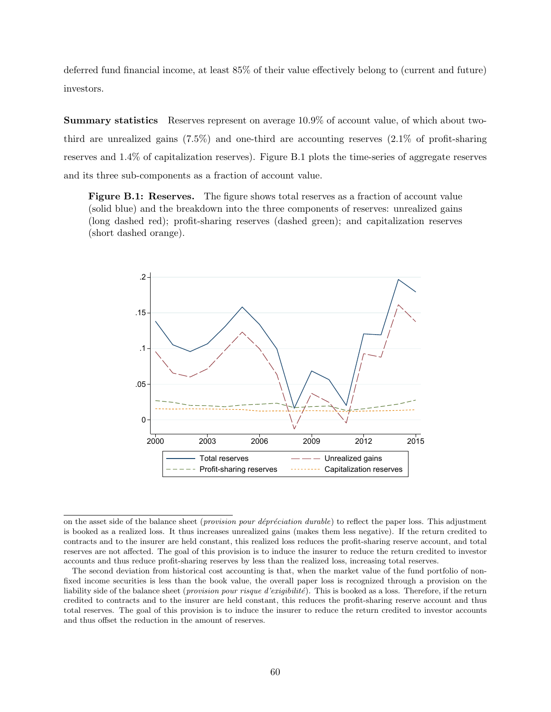deferred fund financial income, at least 85% of their value effectively belong to (current and future) investors.

Summary statistics Reserves represent on average 10.9% of account value, of which about twothird are unrealized gains (7.5%) and one-third are accounting reserves (2.1% of profit-sharing reserves and 1.4% of capitalization reserves). Figure [B.1](#page-61-0) plots the time-series of aggregate reserves and its three sub-components as a fraction of account value.

<span id="page-61-0"></span>Figure B.1: Reserves. The figure shows total reserves as a fraction of account value (solid blue) and the breakdown into the three components of reserves: unrealized gains (long dashed red); profit-sharing reserves (dashed green); and capitalization reserves (short dashed orange).



on the asset side of the balance sheet (*provision pour dépréciation durable*) to reflect the paper loss. This adjustment is booked as a realized loss. It thus increases unrealized gains (makes them less negative). If the return credited to contracts and to the insurer are held constant, this realized loss reduces the profit-sharing reserve account, and total reserves are not affected. The goal of this provision is to induce the insurer to reduce the return credited to investor accounts and thus reduce profit-sharing reserves by less than the realized loss, increasing total reserves.

The second deviation from historical cost accounting is that, when the market value of the fund portfolio of nonfixed income securities is less than the book value, the overall paper loss is recognized through a provision on the liability side of the balance sheet (*provision pour risque d'exigibilité*). This is booked as a loss. Therefore, if the return credited to contracts and to the insurer are held constant, this reduces the profit-sharing reserve account and thus total reserves. The goal of this provision is to induce the insurer to reduce the return credited to investor accounts and thus offset the reduction in the amount of reserves.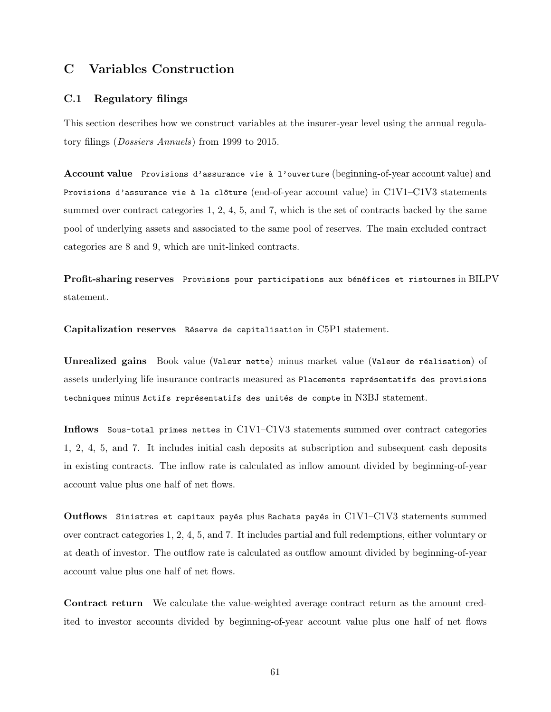# C Variables Construction

### <span id="page-62-0"></span>C.1 Regulatory filings

This section describes how we construct variables at the insurer-year level using the annual regulatory filings (Dossiers Annuels) from 1999 to 2015.

Account value Provisions d'assurance vie à l'ouverture (beginning-of-year account value) and Provisions d'assurance vie à la clôture (end-of-year account value) in C1V1–C1V3 statements summed over contract categories 1, 2, 4, 5, and 7, which is the set of contracts backed by the same pool of underlying assets and associated to the same pool of reserves. The main excluded contract categories are 8 and 9, which are unit-linked contracts.

Profit-sharing reserves Provisions pour participations aux bénéfices et ristournes in BILPV statement.

Capitalization reserves Réserve de capitalisation in C5P1 statement.

Unrealized gains Book value (Valeur nette) minus market value (Valeur de réalisation) of assets underlying life insurance contracts measured as Placements représentatifs des provisions techniques minus Actifs représentatifs des unités de compte in N3BJ statement.

Inflows Sous-total primes nettes in C1V1–C1V3 statements summed over contract categories 1, 2, 4, 5, and 7. It includes initial cash deposits at subscription and subsequent cash deposits in existing contracts. The inflow rate is calculated as inflow amount divided by beginning-of-year account value plus one half of net flows.

Outflows Sinistres et capitaux payés plus Rachats payés in  $CIV1-C1V3$  statements summed over contract categories 1, 2, 4, 5, and 7. It includes partial and full redemptions, either voluntary or at death of investor. The outflow rate is calculated as outflow amount divided by beginning-of-year account value plus one half of net flows.

Contract return We calculate the value-weighted average contract return as the amount credited to investor accounts divided by beginning-of-year account value plus one half of net flows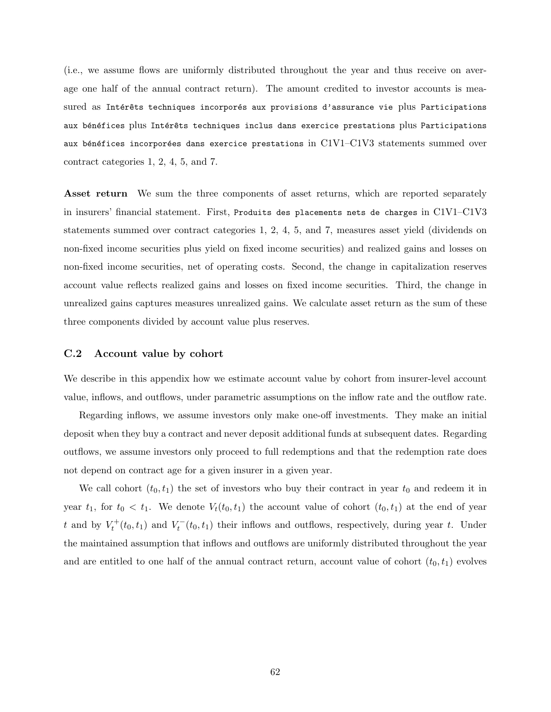(i.e., we assume flows are uniformly distributed throughout the year and thus receive on average one half of the annual contract return). The amount credited to investor accounts is measured as Intérêts techniques incorporés aux provisions d'assurance vie plus Participations aux bénéfices plus Intérêts techniques inclus dans exercice prestations plus Participations aux bénéfices incorporées dans exercice prestations in  $C1V1-C1V3$  statements summed over contract categories 1, 2, 4, 5, and 7.

Asset return We sum the three components of asset returns, which are reported separately in insurers' financial statement. First, Produits des placements nets de charges in C1V1–C1V3 statements summed over contract categories 1, 2, 4, 5, and 7, measures asset yield (dividends on non-fixed income securities plus yield on fixed income securities) and realized gains and losses on non-fixed income securities, net of operating costs. Second, the change in capitalization reserves account value reflects realized gains and losses on fixed income securities. Third, the change in unrealized gains captures measures unrealized gains. We calculate asset return as the sum of these three components divided by account value plus reserves.

### <span id="page-63-0"></span>C.2 Account value by cohort

We describe in this appendix how we estimate account value by cohort from insurer-level account value, inflows, and outflows, under parametric assumptions on the inflow rate and the outflow rate.

Regarding inflows, we assume investors only make one-off investments. They make an initial deposit when they buy a contract and never deposit additional funds at subsequent dates. Regarding outflows, we assume investors only proceed to full redemptions and that the redemption rate does not depend on contract age for a given insurer in a given year.

We call cohort  $(t_0, t_1)$  the set of investors who buy their contract in year  $t_0$  and redeem it in year  $t_1$ , for  $t_0 < t_1$ . We denote  $V_t(t_0, t_1)$  the account value of cohort  $(t_0, t_1)$  at the end of year t and by  $V_t^+(t_0, t_1)$  and  $V_t^-(t_0, t_1)$  their inflows and outflows, respectively, during year t. Under the maintained assumption that inflows and outflows are uniformly distributed throughout the year and are entitled to one half of the annual contract return, account value of cohort  $(t_0, t_1)$  evolves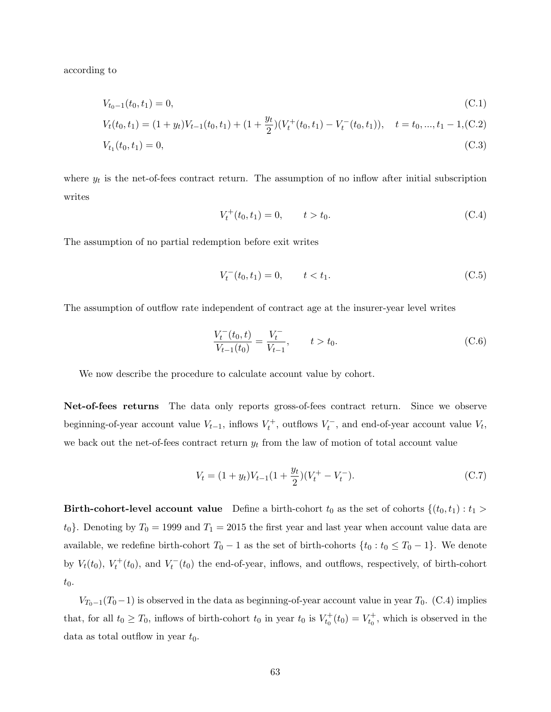according to

<span id="page-64-2"></span>
$$
V_{t_0-1}(t_0, t_1) = 0,\t\t (C.1)
$$

$$
V_t(t_0, t_1) = (1 + y_t)V_{t-1}(t_0, t_1) + (1 + \frac{y_t}{2})(V_t^+(t_0, t_1) - V_t^-(t_0, t_1)), \quad t = t_0, ..., t_1 - 1, (C.2)
$$

$$
V_{t_1}(t_0, t_1) = 0,\t\t(C.3)
$$

where  $y_t$  is the net-of-fees contract return. The assumption of no inflow after initial subscription writes

<span id="page-64-0"></span>
$$
V_t^+(t_0, t_1) = 0, \t t > t_0. \t (C.4)
$$

The assumption of no partial redemption before exit writes

<span id="page-64-3"></span>
$$
V_t^-(t_0, t_1) = 0, \t t < t_1.
$$
\n(C.5)

The assumption of outflow rate independent of contract age at the insurer-year level writes

<span id="page-64-1"></span>
$$
\frac{V_t^-(t_0, t)}{V_{t-1}(t_0)} = \frac{V_t^-}{V_{t-1}}, \qquad t > t_0.
$$
\n(C.6)

We now describe the procedure to calculate account value by cohort.

Net-of-fees returns The data only reports gross-of-fees contract return. Since we observe beginning-of-year account value  $V_{t-1}$ , inflows  $V_t^+$ , outflows  $V_t^-$ , and end-of-year account value  $V_t$ , we back out the net-of-fees contract return  $y_t$  from the law of motion of total account value

$$
V_t = (1 + y_t)V_{t-1}(1 + \frac{y_t}{2})(V_t^+ - V_t^-). \tag{C.7}
$$

Birth-cohort-level account value Define a birth-cohort  $t_0$  as the set of cohorts  $\{(t_0, t_1) : t_1 >$  $t_0$ . Denoting by  $T_0 = 1999$  and  $T_1 = 2015$  the first year and last year when account value data are available, we redefine birth-cohort  $T_0 - 1$  as the set of birth-cohorts  $\{t_0 : t_0 \le T_0 - 1\}$ . We denote by  $V_t(t_0)$ ,  $V_t^+(t_0)$ , and  $V_t^-(t_0)$  the end-of-year, inflows, and outflows, respectively, of birth-cohort  $t_0$ .

 $V_{T_0-1}(T_0-1)$  is observed in the data as beginning-of-year account value in year  $T_0$ . [\(C.4\)](#page-64-0) implies that, for all  $t_0 \geq T_0$ , inflows of birth-cohort  $t_0$  in year  $t_0$  is  $V_{t_0}^+(t_0) = V_{t_0}^+$ , which is observed in the data as total outflow in year  $t_0$ .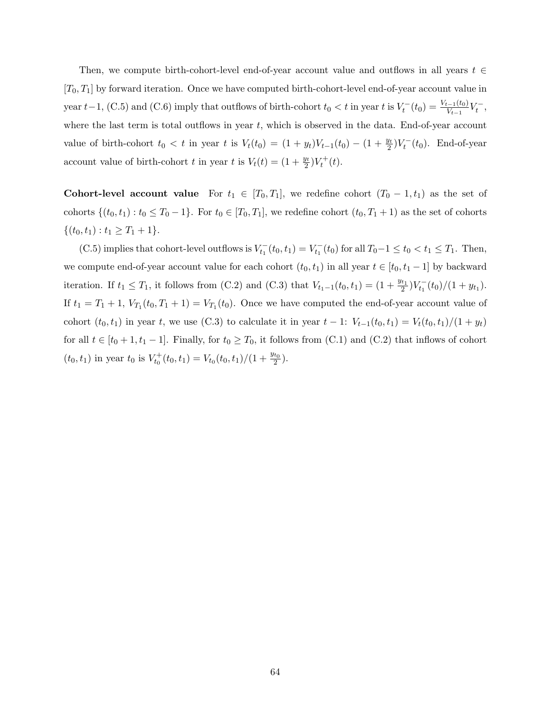Then, we compute birth-cohort-level end-of-year account value and outflows in all years  $t \in$  $[T_0, T_1]$  by forward iteration. Once we have computed birth-cohort-level end-of-year account value in year t -1, [\(C.5\)](#page-64-3) and [\(C.6\)](#page-64-1) imply that outflows of birth-cohort  $t_0 < t$  in year t is  $V_t^-(t_0) = \frac{V_{t-1}(t_0)}{V_{t-1}} V_t^-,$ where the last term is total outflows in year  $t$ , which is observed in the data. End-of-year account value of birth-cohort  $t_0 < t$  in year t is  $V_t(t_0) = (1 + y_t)V_{t-1}(t_0) - (1 + \frac{y_t}{2})V_t^-(t_0)$ . End-of-year account value of birth-cohort t in year t is  $V_t(t) = (1 + \frac{y_t}{2})V_t^+(t)$ .

Cohort-level account value For  $t_1 \in [T_0, T_1]$ , we redefine cohort  $(T_0 - 1, t_1)$  as the set of cohorts  $\{(t_0, t_1): t_0 \leq T_0 - 1\}$ . For  $t_0 \in [T_0, T_1]$ , we redefine cohort  $(t_0, T_1 + 1)$  as the set of cohorts  $\{(t_0, t_1): t_1 \geq T_1 + 1\}.$ 

[\(C.5\)](#page-64-3) implies that cohort-level outflows is  $V_{t_1}^-(t_0, t_1) = V_{t_1}^-(t_0)$  for all  $T_0-1 \le t_0 < t_1 \le T_1$ . Then, we compute end-of-year account value for each cohort  $(t_0, t_1)$  in all year  $t \in [t_0, t_1 - 1]$  by backward iteration. If  $t_1 \leq T_1$ , it follows from [\(C.2\)](#page-64-2) and [\(C.3\)](#page-64-2) that  $V_{t_1-1}(t_0,t_1) = (1+\frac{y_{t_1}}{2})V_{t_1}^-(t_0)/(1+y_{t_1})$ . If  $t_1 = T_1 + 1$ ,  $V_{T_1}(t_0, T_1 + 1) = V_{T_1}(t_0)$ . Once we have computed the end-of-year account value of cohort  $(t_0, t_1)$  in year t, we use [\(C.3\)](#page-64-2) to calculate it in year  $t - 1$ :  $V_{t-1}(t_0, t_1) = V_t(t_0, t_1)/(1 + y_t)$ for all  $t \in [t_0 + 1, t_1 - 1]$ . Finally, for  $t_0 \geq T_0$ , it follows from [\(C.1\)](#page-64-2) and [\(C.2\)](#page-64-2) that inflows of cohort  $(t_0, t_1)$  in year  $t_0$  is  $V_{t_0}^+(t_0, t_1) = V_{t_0}(t_0, t_1)/(1 + \frac{y_{t_0}}{2})$ .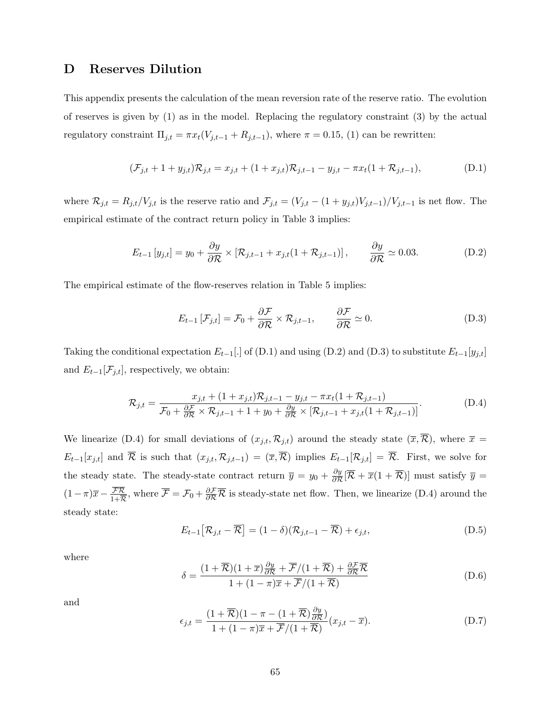# <span id="page-66-0"></span>D Reserves Dilution

This appendix presents the calculation of the mean reversion rate of the reserve ratio. The evolution of reserves is given by [\(1\)](#page-8-2) as in the model. Replacing the regulatory constraint [\(3\)](#page-9-1) by the actual regulatory constraint  $\Pi_{j,t} = \pi x_t(V_{j,t-1} + R_{j,t-1})$ , where  $\pi = 0.15$ , [\(1\)](#page-8-2) can be rewritten:

<span id="page-66-1"></span>
$$
(\mathcal{F}_{j,t} + 1 + y_{j,t})\mathcal{R}_{j,t} = x_{j,t} + (1 + x_{j,t})\mathcal{R}_{j,t-1} - y_{j,t} - \pi x_t (1 + \mathcal{R}_{j,t-1}),
$$
(D.1)

where  $\mathcal{R}_{j,t} = R_{j,t}/V_{j,t}$  is the reserve ratio and  $\mathcal{F}_{j,t} = (V_{j,t} - (1 + y_{j,t})V_{j,t-1})/V_{j,t-1}$  is net flow. The empirical estimate of the contract return policy in Table [3](#page-42-0) implies:

<span id="page-66-2"></span>
$$
E_{t-1}[y_{j,t}] = y_0 + \frac{\partial y}{\partial \mathcal{R}} \times [\mathcal{R}_{j,t-1} + x_{j,t}(1 + \mathcal{R}_{j,t-1})], \qquad \frac{\partial y}{\partial \mathcal{R}} \simeq 0.03. \tag{D.2}
$$

The empirical estimate of the flow-reserves relation in Table [5](#page-44-0) implies:

<span id="page-66-4"></span>
$$
E_{t-1}\left[\mathcal{F}_{j,t}\right] = \mathcal{F}_0 + \frac{\partial \mathcal{F}}{\partial \mathcal{R}} \times \mathcal{R}_{j,t-1}, \qquad \frac{\partial \mathcal{F}}{\partial \mathcal{R}} \simeq 0. \tag{D.3}
$$

Taking the conditional expectation  $E_{t-1}$ [.] of [\(D.1\)](#page-66-1) and using [\(D.2\)](#page-66-2) and [\(D.3\)](#page-66-4) to substitute  $E_{t-1}[y_{j,t}]$ and  $E_{t-1}[\mathcal{F}_{j,t}]$ , respectively, we obtain:

<span id="page-66-3"></span>
$$
\mathcal{R}_{j,t} = \frac{x_{j,t} + (1 + x_{j,t})\mathcal{R}_{j,t-1} - y_{j,t} - \pi x_t (1 + \mathcal{R}_{j,t-1})}{\mathcal{F}_0 + \frac{\partial \mathcal{F}}{\partial \mathcal{R}} \times \mathcal{R}_{j,t-1} + 1 + y_0 + \frac{\partial y}{\partial \mathcal{R}} \times [\mathcal{R}_{j,t-1} + x_{j,t} (1 + \mathcal{R}_{j,t-1})]}.
$$
(D.4)

We linearize [\(D.4\)](#page-66-3) for small deviations of  $(x_{j,t}, \mathcal{R}_{j,t})$  around the steady state  $(\overline{x}, \overline{\mathcal{R}})$ , where  $\overline{x} =$  $E_{t-1}[x_{j,t}]$  and  $\overline{\mathcal{R}}$  is such that  $(x_{j,t}, \mathcal{R}_{j,t-1}) = (\overline{x}, \overline{\mathcal{R}})$  implies  $E_{t-1}[\mathcal{R}_{j,t}] = \overline{\mathcal{R}}$ . First, we solve for the steady state. The steady-state contract return  $\bar{y} = y_0 + \frac{\partial y}{\partial \mathcal{R}}$  $\frac{\partial y}{\partial \mathcal{R}}[\mathcal{\overline{R}} + \overline{x}(1+\mathcal{\overline{R}})]$  must satisfy  $\overline{y} =$  $(1-\pi)\overline{x} - \frac{\mathcal{FR}}{1+\overline{\pi}}$  $\frac{\mathcal{FR}}{1+\overline{\mathcal{R}}}$ , where  $\overline{\mathcal{F}} = \mathcal{F}_0 + \frac{\partial \mathcal{F}}{\partial \mathcal{R}} \overline{\mathcal{R}}$  is steady-state net flow. Then, we linearize [\(D.4\)](#page-66-3) around the steady state:

$$
E_{t-1}[\mathcal{R}_{j,t} - \overline{\mathcal{R}}] = (1 - \delta)(\mathcal{R}_{j,t-1} - \overline{\mathcal{R}}) + \epsilon_{j,t},
$$
\n(D.5)

where

<span id="page-66-5"></span>
$$
\delta = \frac{(1+\overline{\mathcal{R}})(1+\overline{x})\frac{\partial y}{\partial \mathcal{R}} + \overline{\mathcal{F}}/(1+\overline{\mathcal{R}}) + \frac{\partial \mathcal{F}}{\partial \mathcal{R}} \overline{\mathcal{R}}}{1 + (1-\pi)\overline{x} + \overline{\mathcal{F}}/(1+\overline{\mathcal{R}})}
$$
(D.6)

and

$$
\epsilon_{j,t} = \frac{(1+\overline{\mathcal{R}})(1-\pi-(1+\overline{\mathcal{R}})\frac{\partial y}{\partial \mathcal{R}})}{1+(1-\pi)\overline{x}+\overline{\mathcal{F}}/(1+\overline{\mathcal{R}})}(x_{j,t}-\overline{x}).
$$
\n(D.7)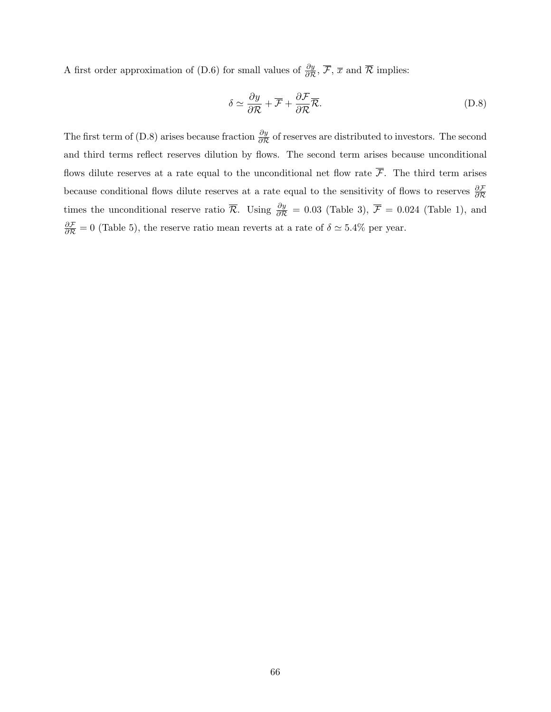A first order approximation of [\(D.6\)](#page-66-5) for small values of  $\frac{\partial y}{\partial \mathcal{R}}$ ,  $\overline{\mathcal{F}}$ ,  $\overline{x}$  and  $\overline{\mathcal{R}}$  implies:

<span id="page-67-0"></span>
$$
\delta \simeq \frac{\partial y}{\partial \mathcal{R}} + \overline{\mathcal{F}} + \frac{\partial \mathcal{F}}{\partial \mathcal{R}} \overline{\mathcal{R}}.
$$
 (D.8)

The first term of [\(D.8\)](#page-67-0) arises because fraction  $\frac{\partial y}{\partial \mathcal{R}}$  of reserves are distributed to investors. The second and third terms reflect reserves dilution by flows. The second term arises because unconditional flows dilute reserves at a rate equal to the unconditional net flow rate  $\overline{\mathcal{F}}$ . The third term arises because conditional flows dilute reserves at a rate equal to the sensitivity of flows to reserves  $\frac{\partial \mathcal{F}}{\partial \mathcal{R}}$ times the unconditional reserve ratio  $\bar{\mathcal{R}}$ . Using  $\frac{\partial y}{\partial \mathcal{R}} = 0.03$  (Table [3\)](#page-42-0),  $\bar{\mathcal{F}} = 0.024$  (Table [1\)](#page-40-0), and  $\frac{\partial \mathcal{F}}{\partial \mathcal{R}} = 0$  (Table [5\)](#page-44-0), the reserve ratio mean reverts at a rate of  $\delta \simeq 5.4\%$  per year.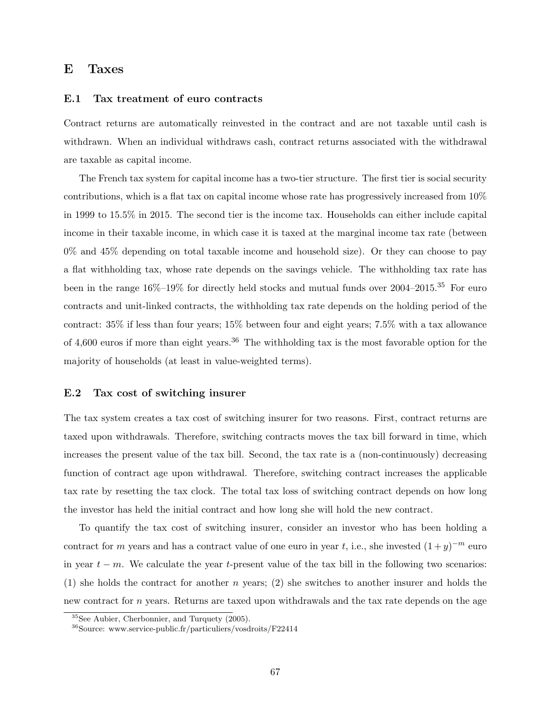## <span id="page-68-0"></span>E Taxes

### <span id="page-68-1"></span>E.1 Tax treatment of euro contracts

Contract returns are automatically reinvested in the contract and are not taxable until cash is withdrawn. When an individual withdraws cash, contract returns associated with the withdrawal are taxable as capital income.

The French tax system for capital income has a two-tier structure. The first tier is social security contributions, which is a flat tax on capital income whose rate has progressively increased from 10% in 1999 to 15.5% in 2015. The second tier is the income tax. Households can either include capital income in their taxable income, in which case it is taxed at the marginal income tax rate (between 0% and 45% depending on total taxable income and household size). Or they can choose to pay a flat withholding tax, whose rate depends on the savings vehicle. The withholding tax rate has been in the range  $16\%$ – $19\%$  for directly held stocks and mutual funds over  $2004$ – $2015$ .<sup>[35](#page-68-3)</sup> For euro contracts and unit-linked contracts, the withholding tax rate depends on the holding period of the contract: 35% if less than four years; 15% between four and eight years; 7.5% with a tax allowance of 4,600 euros if more than eight years.<sup>[36](#page-68-2)</sup> The withholding tax is the most favorable option for the majority of households (at least in value-weighted terms).

### E.2 Tax cost of switching insurer

The tax system creates a tax cost of switching insurer for two reasons. First, contract returns are taxed upon withdrawals. Therefore, switching contracts moves the tax bill forward in time, which increases the present value of the tax bill. Second, the tax rate is a (non-continuously) decreasing function of contract age upon withdrawal. Therefore, switching contract increases the applicable tax rate by resetting the tax clock. The total tax loss of switching contract depends on how long the investor has held the initial contract and how long she will hold the new contract.

To quantify the tax cost of switching insurer, consider an investor who has been holding a contract for m years and has a contract value of one euro in year t, i.e., she invested  $(1+y)^{-m}$  euro in year  $t - m$ . We calculate the year t-present value of the tax bill in the following two scenarios: (1) she holds the contract for another n years; (2) she switches to another insurer and holds the new contract for n years. Returns are taxed upon withdrawals and the tax rate depends on the age

<span id="page-68-3"></span><sup>35</sup>See [Aubier, Cherbonnier, and Turquety](#page-35-12) [\(2005\)](#page-35-12).

<span id="page-68-2"></span><sup>36</sup>Source: [www.service-public.fr/particuliers/vosdroits/F22414](https://www.service-public.fr/particuliers/vosdroits/F22414)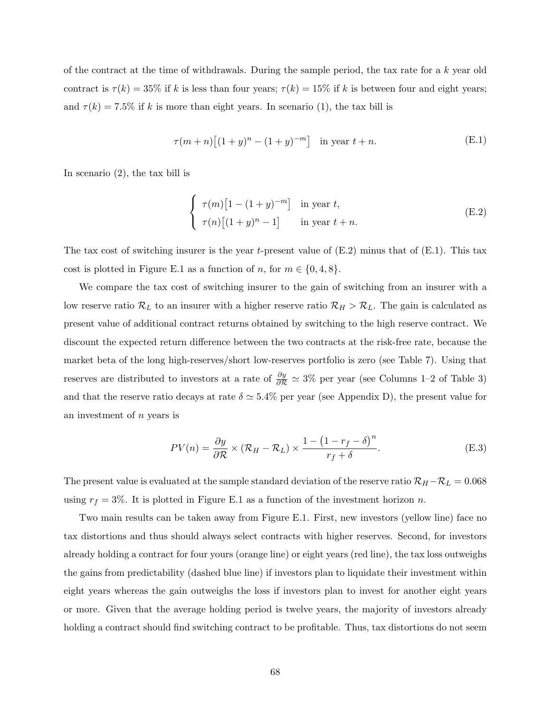of the contract at the time of withdrawals. During the sample period, the tax rate for a  $k$  year old contract is  $\tau(k) = 35\%$  if k is less than four years;  $\tau(k) = 15\%$  if k is between four and eight years; and  $\tau(k) = 7.5\%$  if k is more than eight years. In scenario (1), the tax bill is

<span id="page-69-1"></span>
$$
\tau(m+n)[(1+y)^n - (1+y)^{-m}] \quad \text{in year } t+n. \tag{E.1}
$$

In scenario (2), the tax bill is

<span id="page-69-0"></span>
$$
\begin{cases}\n\tau(m)\left[1 - (1+y)^{-m}\right] & \text{in year } t, \\
\tau(n)\left[(1+y)^n - 1\right] & \text{in year } t + n.\n\end{cases}
$$
\n(E.2)

The tax cost of switching insurer is the year t-present value of  $(E.2)$  minus that of  $(E.1)$ . This tax cost is plotted in Figure [E.1](#page-70-0) as a function of n, for  $m \in \{0, 4, 8\}$ .

We compare the tax cost of switching insurer to the gain of switching from an insurer with a low reserve ratio  $\mathcal{R}_L$  to an insurer with a higher reserve ratio  $\mathcal{R}_H > \mathcal{R}_L$ . The gain is calculated as present value of additional contract returns obtained by switching to the high reserve contract. We discount the expected return difference between the two contracts at the risk-free rate, because the market beta of the long high-reserves/short low-reserves portfolio is zero (see Table [7\)](#page-46-0). Using that reserves are distributed to investors at a rate of  $\frac{\partial y}{\partial \mathcal{R}} \simeq 3\%$  per year (see Columns 1–2 of Table [3\)](#page-42-0) and that the reserve ratio decays at rate  $\delta \simeq 5.4\%$  per year (see Appendix [D\)](#page-66-0), the present value for an investment of n years is

$$
PV(n) = \frac{\partial y}{\partial \mathcal{R}} \times (\mathcal{R}_H - \mathcal{R}_L) \times \frac{1 - (1 - r_f - \delta)^n}{r_f + \delta}.
$$
 (E.3)

The present value is evaluated at the sample standard deviation of the reserve ratio  $\mathcal{R}_H - \mathcal{R}_L = 0.068$ using  $r_f = 3\%$ . It is plotted in Figure [E.1](#page-70-0) as a function of the investment horizon n.

Two main results can be taken away from Figure [E.1.](#page-70-0) First, new investors (yellow line) face no tax distortions and thus should always select contracts with higher reserves. Second, for investors already holding a contract for four yours (orange line) or eight years (red line), the tax loss outweighs the gains from predictability (dashed blue line) if investors plan to liquidate their investment within eight years whereas the gain outweighs the loss if investors plan to invest for another eight years or more. Given that the average holding period is twelve years, the majority of investors already holding a contract should find switching contract to be profitable. Thus, tax distortions do not seem